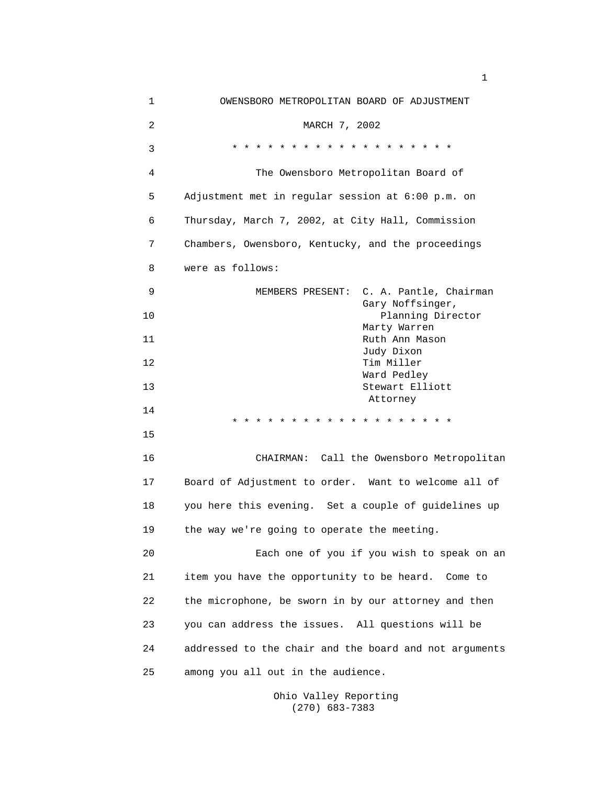| 1  | OWENSBORO METROPOLITAN BOARD OF ADJUSTMENT             |
|----|--------------------------------------------------------|
| 2  | MARCH 7, 2002                                          |
| 3  | * * * * * * * * * * * * * * * * * * *                  |
| 4  | The Owensboro Metropolitan Board of                    |
| 5  | Adjustment met in regular session at 6:00 p.m. on      |
| 6  | Thursday, March 7, 2002, at City Hall, Commission      |
| 7  | Chambers, Owensboro, Kentucky, and the proceedings     |
| 8  | were as follows:                                       |
| 9  | C. A. Pantle, Chairman<br>MEMBERS PRESENT:             |
| 10 | Gary Noffsinger,<br>Planning Director                  |
| 11 | Marty Warren<br>Ruth Ann Mason                         |
| 12 | Judy Dixon<br>Tim Miller                               |
| 13 | Ward Pedley<br>Stewart Elliott                         |
| 14 | Attorney                                               |
| 15 | * * * * * * * * * * * * * * * * *<br>$\star$ $\star$   |
| 16 | CHAIRMAN: Call the Owensboro Metropolitan              |
| 17 | Board of Adjustment to order. Want to welcome all of   |
| 18 | you here this evening. Set a couple of guidelines up   |
| 19 | the way we're going to operate the meeting.            |
| 20 | Each one of you if you wish to speak on an             |
| 21 | item you have the opportunity to be heard. Come to     |
| 22 | the microphone, be sworn in by our attorney and then   |
| 23 | you can address the issues. All questions will be      |
| 24 | addressed to the chair and the board and not arguments |
| 25 | among you all out in the audience.                     |
|    |                                                        |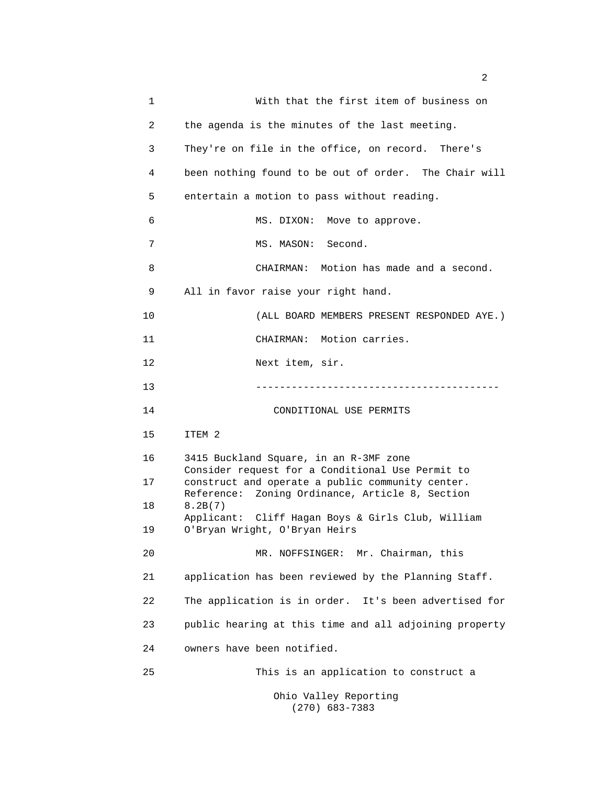1 With that the first item of business on 2 the agenda is the minutes of the last meeting. 3 They're on file in the office, on record. There's 4 been nothing found to be out of order. The Chair will 5 entertain a motion to pass without reading. 6 MS. DIXON: Move to approve. 7 MS. MASON: Second. 8 CHAIRMAN: Motion has made and a second. 9 All in favor raise your right hand. 10 (ALL BOARD MEMBERS PRESENT RESPONDED AYE.) 11 CHAIRMAN: Motion carries. 12 Next item, sir. 13 ----------------------------------------- 14 CONDITIONAL USE PERMITS 15 ITEM 2 16 3415 Buckland Square, in an R-3MF zone Consider request for a Conditional Use Permit to 17 construct and operate a public community center. Reference: Zoning Ordinance, Article 8, Section 18 8.2B(7) Applicant: Cliff Hagan Boys & Girls Club, William 19 O'Bryan Wright, O'Bryan Heirs 20 MR. NOFFSINGER: Mr. Chairman, this 21 application has been reviewed by the Planning Staff. 22 The application is in order. It's been advertised for 23 public hearing at this time and all adjoining property 24 owners have been notified. 25 This is an application to construct a Ohio Valley Reporting (270) 683-7383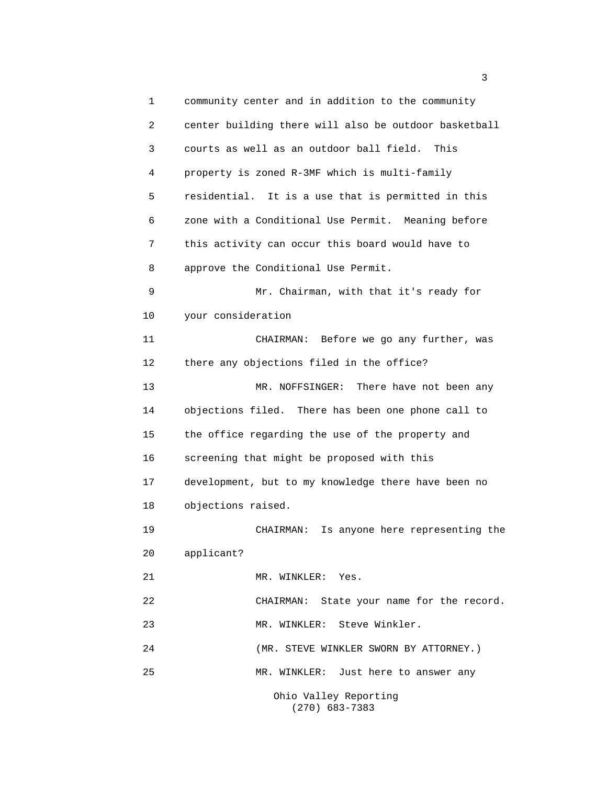1 community center and in addition to the community 2 center building there will also be outdoor basketball 3 courts as well as an outdoor ball field. This 4 property is zoned R-3MF which is multi-family 5 residential. It is a use that is permitted in this 6 zone with a Conditional Use Permit. Meaning before 7 this activity can occur this board would have to 8 approve the Conditional Use Permit. 9 Mr. Chairman, with that it's ready for 10 your consideration 11 CHAIRMAN: Before we go any further, was 12 there any objections filed in the office? 13 MR. NOFFSINGER: There have not been any 14 objections filed. There has been one phone call to 15 the office regarding the use of the property and 16 screening that might be proposed with this 17 development, but to my knowledge there have been no 18 objections raised. 19 CHAIRMAN: Is anyone here representing the 20 applicant? 21 MR. WINKLER: Yes. 22 CHAIRMAN: State your name for the record. 23 MR. WINKLER: Steve Winkler. 24 (MR. STEVE WINKLER SWORN BY ATTORNEY.) 25 MR. WINKLER: Just here to answer any Ohio Valley Reporting

(270) 683-7383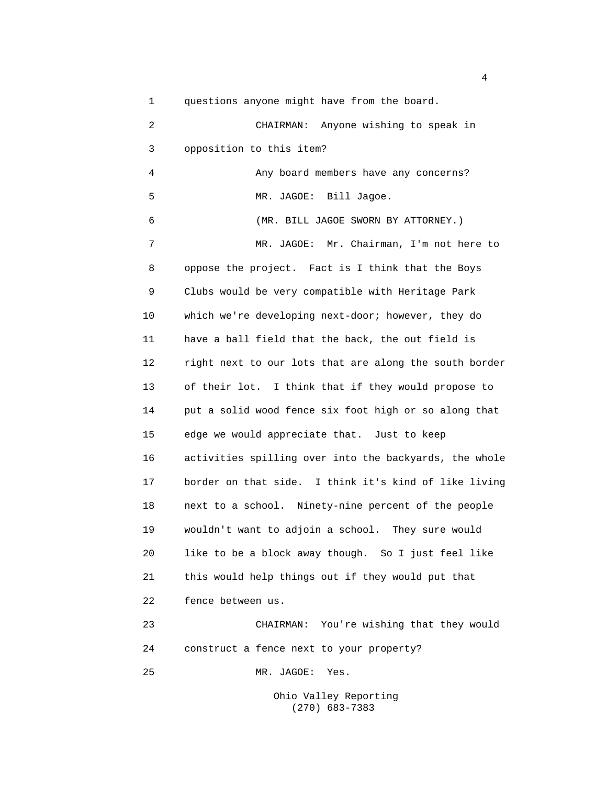1 questions anyone might have from the board. 2 CHAIRMAN: Anyone wishing to speak in 3 opposition to this item? 4 Any board members have any concerns? 5 MR. JAGOE: Bill Jagoe. 6 (MR. BILL JAGOE SWORN BY ATTORNEY.) 7 MR. JAGOE: Mr. Chairman, I'm not here to 8 oppose the project. Fact is I think that the Boys 9 Clubs would be very compatible with Heritage Park 10 which we're developing next-door; however, they do 11 have a ball field that the back, the out field is 12 right next to our lots that are along the south border 13 of their lot. I think that if they would propose to 14 put a solid wood fence six foot high or so along that 15 edge we would appreciate that. Just to keep 16 activities spilling over into the backyards, the whole 17 border on that side. I think it's kind of like living 18 next to a school. Ninety-nine percent of the people 19 wouldn't want to adjoin a school. They sure would 20 like to be a block away though. So I just feel like 21 this would help things out if they would put that 22 fence between us. 23 CHAIRMAN: You're wishing that they would 24 construct a fence next to your property? 25 MR. JAGOE: Yes.

> Ohio Valley Reporting (270) 683-7383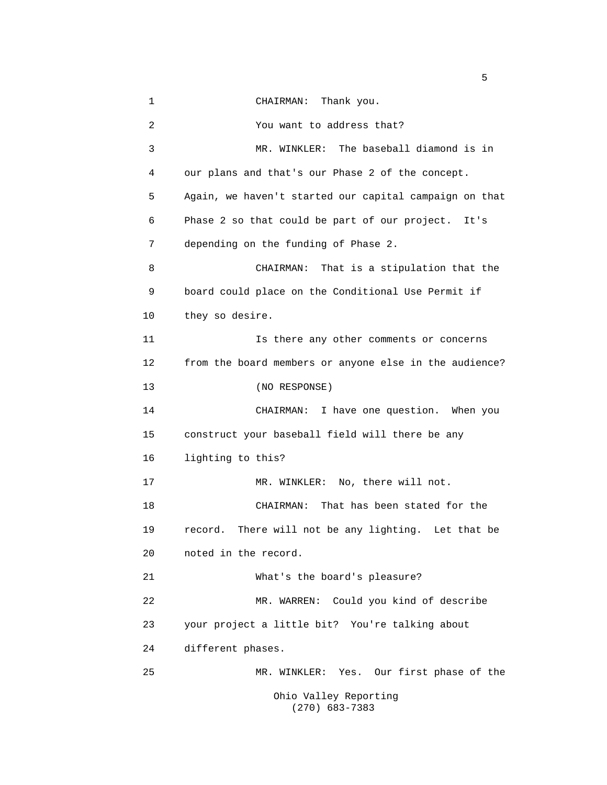1 CHAIRMAN: Thank you. 2 You want to address that? 3 MR. WINKLER: The baseball diamond is in 4 our plans and that's our Phase 2 of the concept. 5 Again, we haven't started our capital campaign on that 6 Phase 2 so that could be part of our project. It's 7 depending on the funding of Phase 2. 8 CHAIRMAN: That is a stipulation that the 9 board could place on the Conditional Use Permit if 10 they so desire. 11 Is there any other comments or concerns 12 from the board members or anyone else in the audience? 13 (NO RESPONSE) 14 CHAIRMAN: I have one question. When you 15 construct your baseball field will there be any 16 lighting to this? 17 MR. WINKLER: No, there will not. 18 CHAIRMAN: That has been stated for the 19 record. There will not be any lighting. Let that be 20 noted in the record. 21 What's the board's pleasure? 22 MR. WARREN: Could you kind of describe 23 your project a little bit? You're talking about 24 different phases. 25 MR. WINKLER: Yes. Our first phase of the Ohio Valley Reporting (270) 683-7383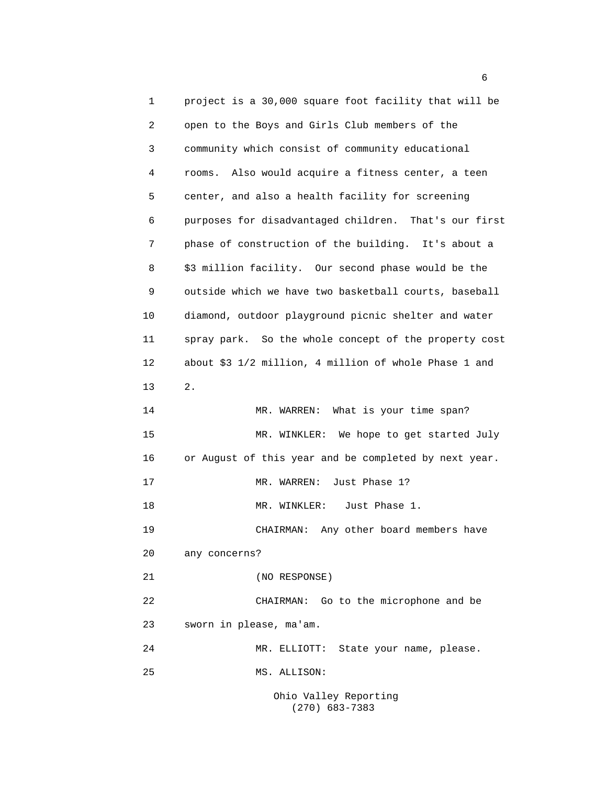1 project is a 30,000 square foot facility that will be 2 open to the Boys and Girls Club members of the 3 community which consist of community educational 4 rooms. Also would acquire a fitness center, a teen 5 center, and also a health facility for screening 6 purposes for disadvantaged children. That's our first 7 phase of construction of the building. It's about a 8 \$3 million facility. Our second phase would be the 9 outside which we have two basketball courts, baseball 10 diamond, outdoor playground picnic shelter and water 11 spray park. So the whole concept of the property cost 12 about \$3 1/2 million, 4 million of whole Phase 1 and 13 2. 14 MR. WARREN: What is your time span? 15 MR. WINKLER: We hope to get started July 16 or August of this year and be completed by next year. 17 MR. WARREN: Just Phase 1? 18 MR. WINKLER: Just Phase 1. 19 CHAIRMAN: Any other board members have 20 any concerns? 21 (NO RESPONSE) 22 CHAIRMAN: Go to the microphone and be 23 sworn in please, ma'am. 24 MR. ELLIOTT: State your name, please. 25 MS. ALLISON: Ohio Valley Reporting

(270) 683-7383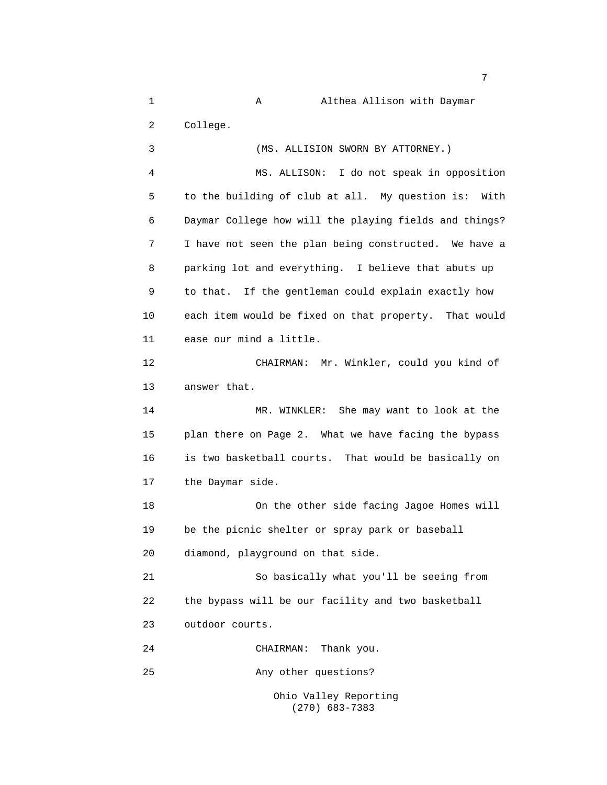1 A Althea Allison with Daymar 2 College. 3 (MS. ALLISION SWORN BY ATTORNEY.) 4 MS. ALLISON: I do not speak in opposition 5 to the building of club at all. My question is: With 6 Daymar College how will the playing fields and things? 7 I have not seen the plan being constructed. We have a 8 parking lot and everything. I believe that abuts up 9 to that. If the gentleman could explain exactly how 10 each item would be fixed on that property. That would 11 ease our mind a little. 12 CHAIRMAN: Mr. Winkler, could you kind of 13 answer that. 14 MR. WINKLER: She may want to look at the 15 plan there on Page 2. What we have facing the bypass 16 is two basketball courts. That would be basically on 17 the Daymar side. 18 On the other side facing Jagoe Homes will 19 be the picnic shelter or spray park or baseball 20 diamond, playground on that side. 21 So basically what you'll be seeing from 22 the bypass will be our facility and two basketball 23 outdoor courts. 24 CHAIRMAN: Thank you. 25 Any other questions? Ohio Valley Reporting

(270) 683-7383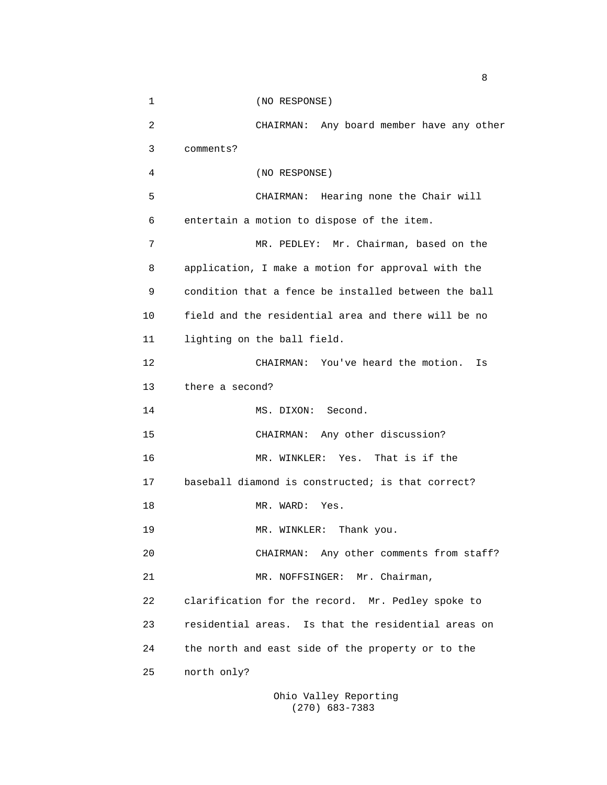1 (NO RESPONSE) 2 CHAIRMAN: Any board member have any other 3 comments? 4 (NO RESPONSE) 5 CHAIRMAN: Hearing none the Chair will 6 entertain a motion to dispose of the item. 7 MR. PEDLEY: Mr. Chairman, based on the 8 application, I make a motion for approval with the 9 condition that a fence be installed between the ball 10 field and the residential area and there will be no 11 lighting on the ball field. 12 CHAIRMAN: You've heard the motion. Is 13 there a second? 14 MS. DIXON: Second. 15 CHAIRMAN: Any other discussion? 16 MR. WINKLER: Yes. That is if the 17 baseball diamond is constructed; is that correct? 18 MR. WARD: Yes. 19 MR. WINKLER: Thank you. 20 CHAIRMAN: Any other comments from staff? 21 MR. NOFFSINGER: Mr. Chairman, 22 clarification for the record. Mr. Pedley spoke to 23 residential areas. Is that the residential areas on 24 the north and east side of the property or to the 25 north only?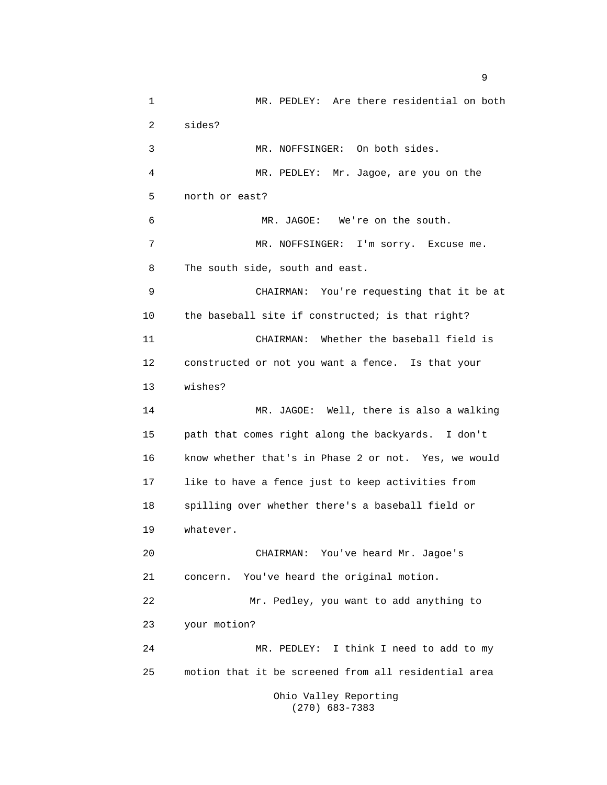1 MR. PEDLEY: Are there residential on both 2 sides? 3 MR. NOFFSINGER: On both sides. 4 MR. PEDLEY: Mr. Jagoe, are you on the 5 north or east? 6 MR. JAGOE: We're on the south. 7 MR. NOFFSINGER: I'm sorry. Excuse me. 8 The south side, south and east. 9 CHAIRMAN: You're requesting that it be at 10 the baseball site if constructed; is that right? 11 CHAIRMAN: Whether the baseball field is 12 constructed or not you want a fence. Is that your 13 wishes? 14 MR. JAGOE: Well, there is also a walking 15 path that comes right along the backyards. I don't 16 know whether that's in Phase 2 or not. Yes, we would 17 like to have a fence just to keep activities from 18 spilling over whether there's a baseball field or 19 whatever. 20 CHAIRMAN: You've heard Mr. Jagoe's 21 concern. You've heard the original motion. 22 Mr. Pedley, you want to add anything to 23 your motion? 24 MR. PEDLEY: I think I need to add to my 25 motion that it be screened from all residential area Ohio Valley Reporting

(270) 683-7383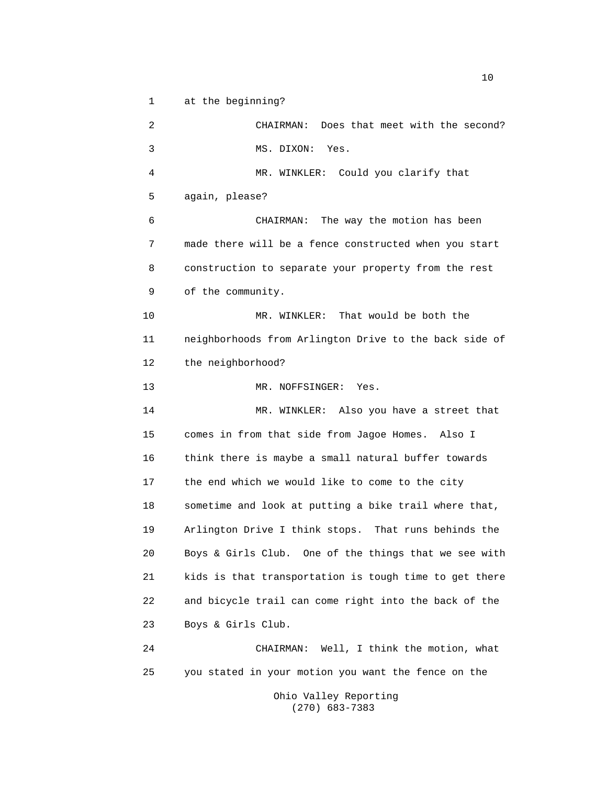1 at the beginning?

2 CHAIRMAN: Does that meet with the second? 3 MS. DIXON: Yes. 4 MR. WINKLER: Could you clarify that 5 again, please? 6 CHAIRMAN: The way the motion has been 7 made there will be a fence constructed when you start 8 construction to separate your property from the rest 9 of the community. 10 MR. WINKLER: That would be both the 11 neighborhoods from Arlington Drive to the back side of 12 the neighborhood? 13 MR. NOFFSINGER: Yes. 14 MR. WINKLER: Also you have a street that 15 comes in from that side from Jagoe Homes. Also I 16 think there is maybe a small natural buffer towards 17 the end which we would like to come to the city 18 sometime and look at putting a bike trail where that, 19 Arlington Drive I think stops. That runs behinds the 20 Boys & Girls Club. One of the things that we see with 21 kids is that transportation is tough time to get there 22 and bicycle trail can come right into the back of the 23 Boys & Girls Club. 24 CHAIRMAN: Well, I think the motion, what 25 you stated in your motion you want the fence on the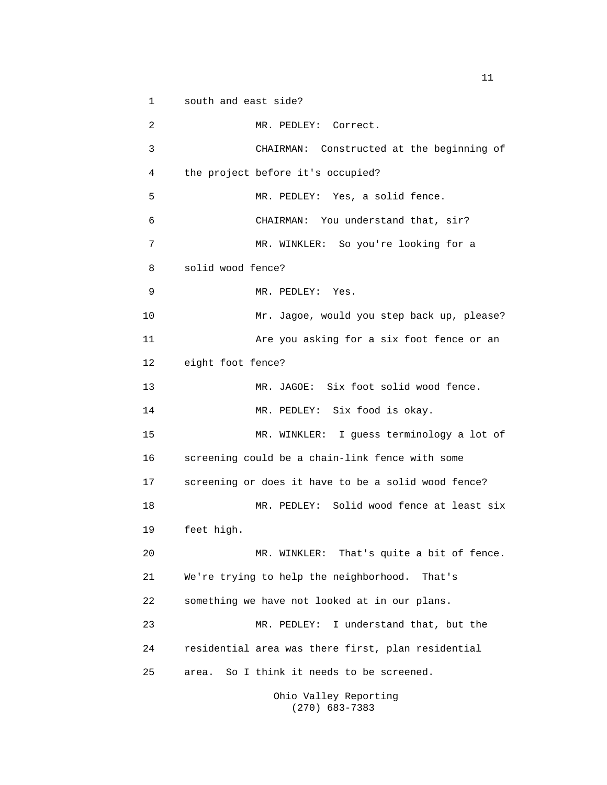1 south and east side?

2 MR. PEDLEY: Correct. 3 CHAIRMAN: Constructed at the beginning of 4 the project before it's occupied? 5 MR. PEDLEY: Yes, a solid fence. 6 CHAIRMAN: You understand that, sir? 7 MR. WINKLER: So you're looking for a 8 solid wood fence? 9 MR. PEDLEY: Yes. 10 Mr. Jagoe, would you step back up, please? 11 Are you asking for a six foot fence or an 12 eight foot fence? 13 MR. JAGOE: Six foot solid wood fence. 14 MR. PEDLEY: Six food is okay. 15 MR. WINKLER: I guess terminology a lot of 16 screening could be a chain-link fence with some 17 screening or does it have to be a solid wood fence? 18 MR. PEDLEY: Solid wood fence at least six 19 feet high. 20 MR. WINKLER: That's quite a bit of fence. 21 We're trying to help the neighborhood. That's 22 something we have not looked at in our plans. 23 MR. PEDLEY: I understand that, but the 24 residential area was there first, plan residential 25 area. So I think it needs to be screened.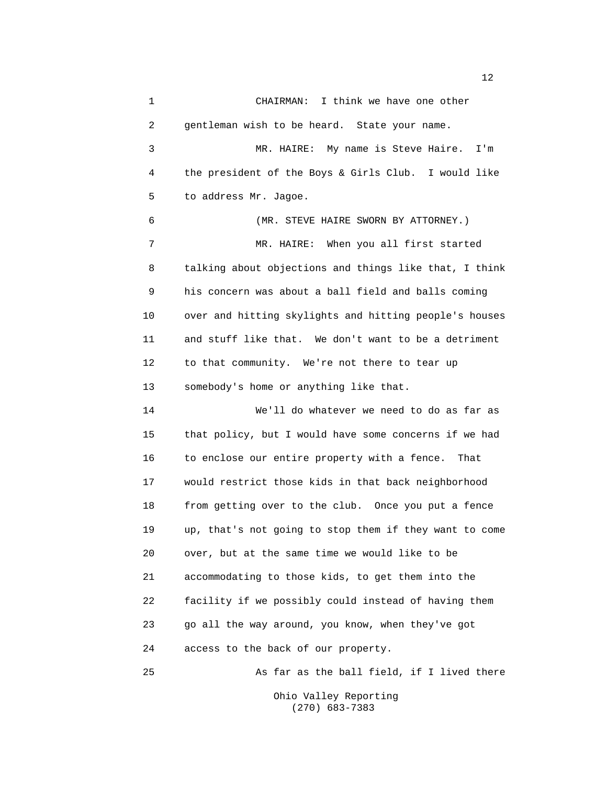1 CHAIRMAN: I think we have one other 2 gentleman wish to be heard. State your name. 3 MR. HAIRE: My name is Steve Haire. I'm 4 the president of the Boys & Girls Club. I would like 5 to address Mr. Jagoe. 6 (MR. STEVE HAIRE SWORN BY ATTORNEY.) 7 MR. HAIRE: When you all first started 8 talking about objections and things like that, I think 9 his concern was about a ball field and balls coming 10 over and hitting skylights and hitting people's houses 11 and stuff like that. We don't want to be a detriment 12 to that community. We're not there to tear up 13 somebody's home or anything like that. 14 We'll do whatever we need to do as far as 15 that policy, but I would have some concerns if we had 16 to enclose our entire property with a fence. That 17 would restrict those kids in that back neighborhood 18 from getting over to the club. Once you put a fence 19 up, that's not going to stop them if they want to come 20 over, but at the same time we would like to be 21 accommodating to those kids, to get them into the 22 facility if we possibly could instead of having them 23 go all the way around, you know, when they've got 24 access to the back of our property. 25 As far as the ball field, if I lived there

> Ohio Valley Reporting (270) 683-7383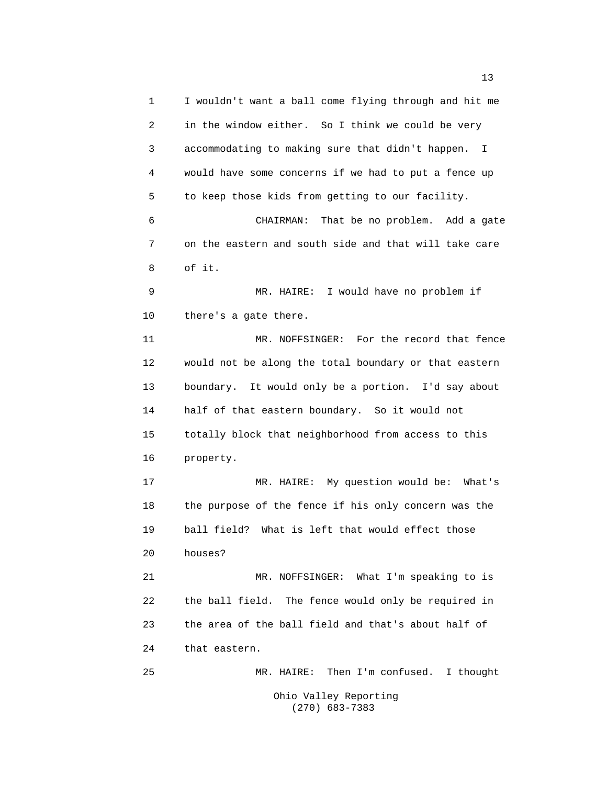1 I wouldn't want a ball come flying through and hit me 2 in the window either. So I think we could be very 3 accommodating to making sure that didn't happen. I 4 would have some concerns if we had to put a fence up 5 to keep those kids from getting to our facility. 6 CHAIRMAN: That be no problem. Add a gate 7 on the eastern and south side and that will take care 8 of it. 9 MR. HAIRE: I would have no problem if 10 there's a gate there. 11 MR. NOFFSINGER: For the record that fence 12 would not be along the total boundary or that eastern 13 boundary. It would only be a portion. I'd say about 14 half of that eastern boundary. So it would not 15 totally block that neighborhood from access to this 16 property. 17 MR. HAIRE: My question would be: What's 18 the purpose of the fence if his only concern was the 19 ball field? What is left that would effect those 20 houses? 21 MR. NOFFSINGER: What I'm speaking to is 22 the ball field. The fence would only be required in 23 the area of the ball field and that's about half of 24 that eastern. 25 MR. HAIRE: Then I'm confused. I thought Ohio Valley Reporting

(270) 683-7383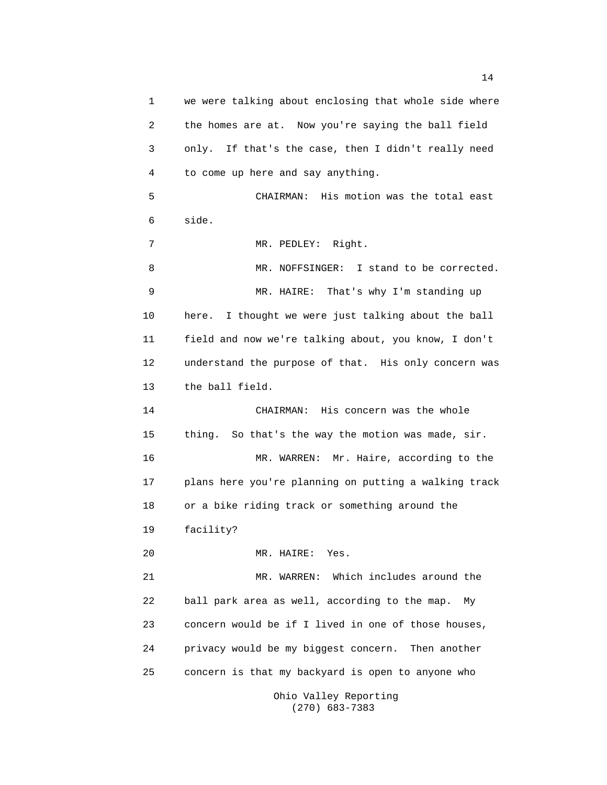1 we were talking about enclosing that whole side where 2 the homes are at. Now you're saying the ball field 3 only. If that's the case, then I didn't really need 4 to come up here and say anything. 5 CHAIRMAN: His motion was the total east 6 side. 7 MR. PEDLEY: Right. 8 MR. NOFFSINGER: I stand to be corrected. 9 MR. HAIRE: That's why I'm standing up 10 here. I thought we were just talking about the ball 11 field and now we're talking about, you know, I don't 12 understand the purpose of that. His only concern was 13 the ball field. 14 CHAIRMAN: His concern was the whole 15 thing. So that's the way the motion was made, sir. 16 MR. WARREN: Mr. Haire, according to the 17 plans here you're planning on putting a walking track 18 or a bike riding track or something around the 19 facility? 20 MR. HAIRE: Yes. 21 MR. WARREN: Which includes around the 22 ball park area as well, according to the map. My 23 concern would be if I lived in one of those houses, 24 privacy would be my biggest concern. Then another 25 concern is that my backyard is open to anyone who Ohio Valley Reporting

(270) 683-7383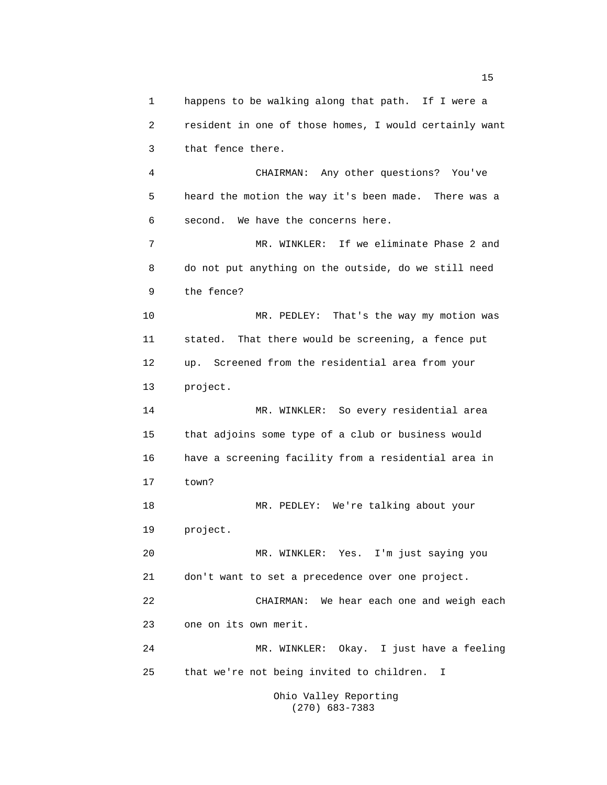1 happens to be walking along that path. If I were a 2 resident in one of those homes, I would certainly want 3 that fence there. 4 CHAIRMAN: Any other questions? You've 5 heard the motion the way it's been made. There was a 6 second. We have the concerns here. 7 MR. WINKLER: If we eliminate Phase 2 and 8 do not put anything on the outside, do we still need 9 the fence? 10 MR. PEDLEY: That's the way my motion was 11 stated. That there would be screening, a fence put 12 up. Screened from the residential area from your 13 project. 14 MR. WINKLER: So every residential area 15 that adjoins some type of a club or business would 16 have a screening facility from a residential area in 17 town? 18 MR. PEDLEY: We're talking about your 19 project. 20 MR. WINKLER: Yes. I'm just saying you 21 don't want to set a precedence over one project. 22 CHAIRMAN: We hear each one and weigh each 23 one on its own merit. 24 MR. WINKLER: Okay. I just have a feeling 25 that we're not being invited to children. I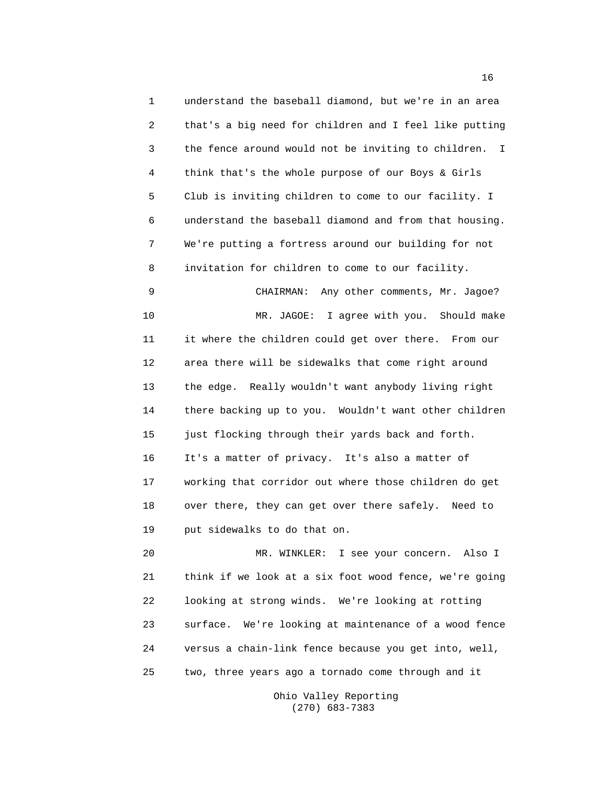1 understand the baseball diamond, but we're in an area 2 that's a big need for children and I feel like putting 3 the fence around would not be inviting to children. I 4 think that's the whole purpose of our Boys & Girls 5 Club is inviting children to come to our facility. I 6 understand the baseball diamond and from that housing. 7 We're putting a fortress around our building for not 8 invitation for children to come to our facility. 9 CHAIRMAN: Any other comments, Mr. Jagoe? 10 MR. JAGOE: I agree with you. Should make 11 it where the children could get over there. From our 12 area there will be sidewalks that come right around 13 the edge. Really wouldn't want anybody living right 14 there backing up to you. Wouldn't want other children 15 just flocking through their yards back and forth. 16 It's a matter of privacy. It's also a matter of 17 working that corridor out where those children do get 18 over there, they can get over there safely. Need to 19 put sidewalks to do that on. 20 MR. WINKLER: I see your concern. Also I 21 think if we look at a six foot wood fence, we're going 22 looking at strong winds. We're looking at rotting 23 surface. We're looking at maintenance of a wood fence

25 two, three years ago a tornado come through and it

24 versus a chain-link fence because you get into, well,

Ohio Valley Reporting (270) 683-7383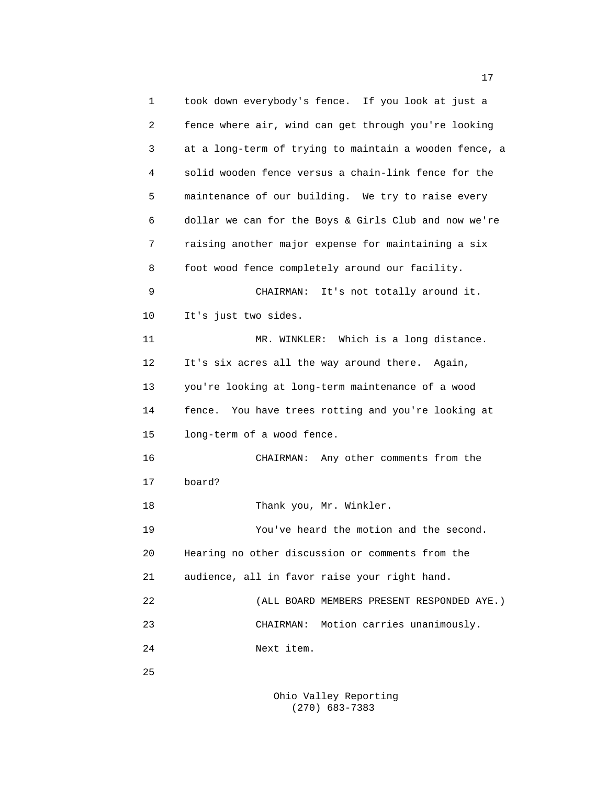1 took down everybody's fence. If you look at just a 2 fence where air, wind can get through you're looking 3 at a long-term of trying to maintain a wooden fence, a 4 solid wooden fence versus a chain-link fence for the 5 maintenance of our building. We try to raise every 6 dollar we can for the Boys & Girls Club and now we're 7 raising another major expense for maintaining a six 8 foot wood fence completely around our facility. 9 CHAIRMAN: It's not totally around it. 10 It's just two sides. 11 MR. WINKLER: Which is a long distance. 12 It's six acres all the way around there. Again, 13 you're looking at long-term maintenance of a wood 14 fence. You have trees rotting and you're looking at 15 long-term of a wood fence. 16 CHAIRMAN: Any other comments from the 17 board? 18 Thank you, Mr. Winkler. 19 You've heard the motion and the second. 20 Hearing no other discussion or comments from the 21 audience, all in favor raise your right hand. 22 (ALL BOARD MEMBERS PRESENT RESPONDED AYE.) 23 CHAIRMAN: Motion carries unanimously. 24 Next item. 25

> Ohio Valley Reporting (270) 683-7383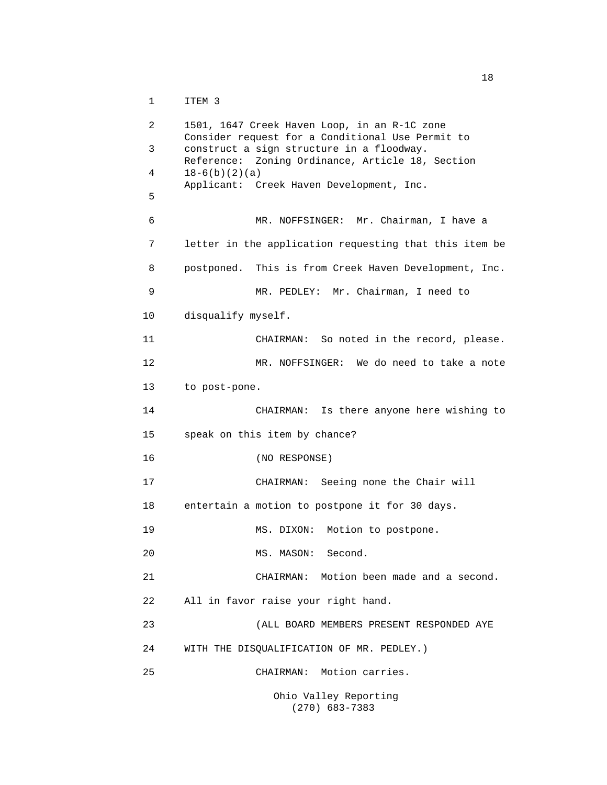1 ITEM 3

```
2 1501, 1647 Creek Haven Loop, in an R-1C zone
     Consider request for a Conditional Use Permit to
3 construct a sign structure in a floodway.
     Reference: Zoning Ordinance, Article 18, Section
 18-6(b)(2)(a)Applicant: Creek Haven Development, Inc.
5
6 MR. NOFFSINGER: Mr. Chairman, I have a
7 letter in the application requesting that this item be
8 postponed. This is from Creek Haven Development, Inc.
9 MR. PEDLEY: Mr. Chairman, I need to
10 disqualify myself.
11 CHAIRMAN: So noted in the record, please.
12 MR. NOFFSINGER: We do need to take a note
13 to post-pone.
14 CHAIRMAN: Is there anyone here wishing to
15 speak on this item by chance?
16 (NO RESPONSE)
17 CHAIRMAN: Seeing none the Chair will
18 entertain a motion to postpone it for 30 days.
19 MS. DIXON: Motion to postpone.
20 MS. MASON: Second.
21 CHAIRMAN: Motion been made and a second.
22 All in favor raise your right hand.
23 (ALL BOARD MEMBERS PRESENT RESPONDED AYE
24 WITH THE DISQUALIFICATION OF MR. PEDLEY.)
25 CHAIRMAN: Motion carries.
                 Ohio Valley Reporting
```
(270) 683-7383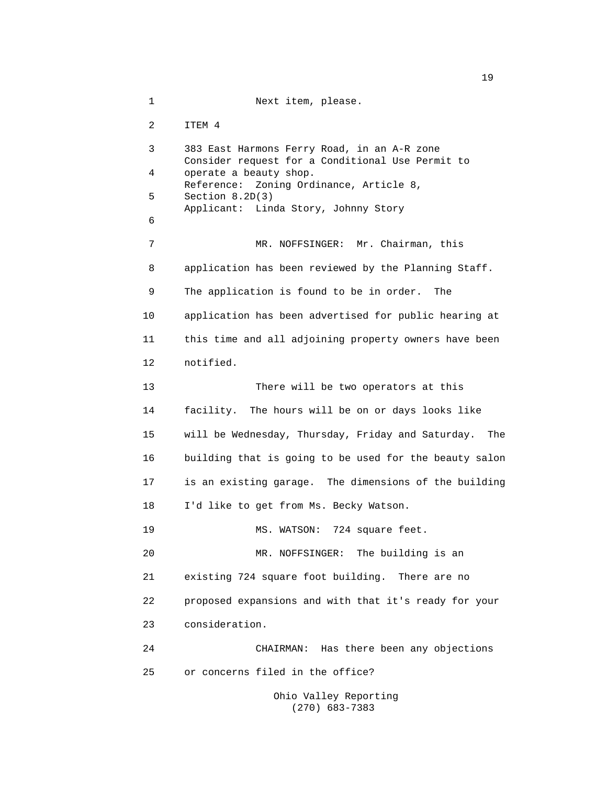1 Next item, please. 2 ITEM 4 3 383 East Harmons Ferry Road, in an A-R zone Consider request for a Conditional Use Permit to 4 operate a beauty shop. Reference: Zoning Ordinance, Article 8, 5 Section 8.2D(3) Applicant: Linda Story, Johnny Story 6 7 MR. NOFFSINGER: Mr. Chairman, this 8 application has been reviewed by the Planning Staff. 9 The application is found to be in order. The 10 application has been advertised for public hearing at 11 this time and all adjoining property owners have been 12 notified. 13 There will be two operators at this 14 facility. The hours will be on or days looks like 15 will be Wednesday, Thursday, Friday and Saturday. The 16 building that is going to be used for the beauty salon 17 is an existing garage. The dimensions of the building 18 I'd like to get from Ms. Becky Watson. 19 MS. WATSON: 724 square feet. 20 MR. NOFFSINGER: The building is an 21 existing 724 square foot building. There are no 22 proposed expansions and with that it's ready for your 23 consideration. 24 CHAIRMAN: Has there been any objections 25 or concerns filed in the office? Ohio Valley Reporting

(270) 683-7383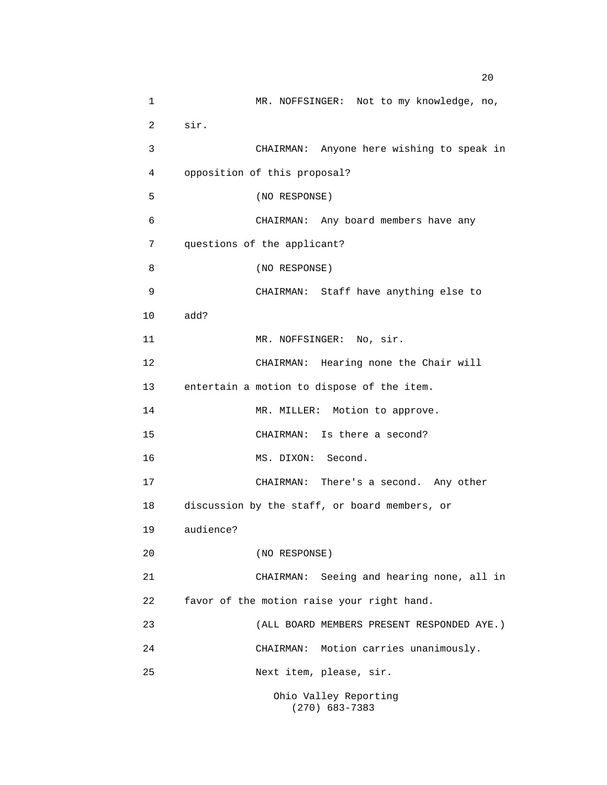1 MR. NOFFSINGER: Not to my knowledge, no, 2 sir. 3 CHAIRMAN: Anyone here wishing to speak in 4 opposition of this proposal? 5 (NO RESPONSE) 6 CHAIRMAN: Any board members have any 7 questions of the applicant? 8 (NO RESPONSE) 9 CHAIRMAN: Staff have anything else to 10 add? 11 MR. NOFFSINGER: No, sir. 12 CHAIRMAN: Hearing none the Chair will 13 entertain a motion to dispose of the item. 14 MR. MILLER: Motion to approve. 15 CHAIRMAN: Is there a second? 16 MS. DIXON: Second. 17 CHAIRMAN: There's a second. Any other 18 discussion by the staff, or board members, or 19 audience? 20 (NO RESPONSE) 21 CHAIRMAN: Seeing and hearing none, all in 22 favor of the motion raise your right hand. 23 (ALL BOARD MEMBERS PRESENT RESPONDED AYE.) 24 CHAIRMAN: Motion carries unanimously. 25 Next item, please, sir. Ohio Valley Reporting

(270) 683-7383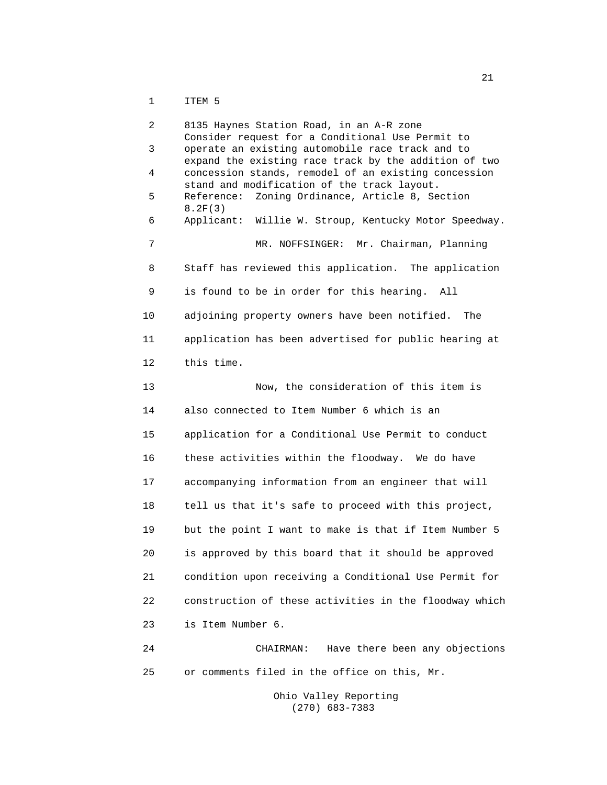1 ITEM 5

2 8135 Haynes Station Road, in an A-R zone Consider request for a Conditional Use Permit to 3 operate an existing automobile race track and to expand the existing race track by the addition of two 4 concession stands, remodel of an existing concession stand and modification of the track layout. 5 Reference: Zoning Ordinance, Article 8, Section 8.2F(3) 6 Applicant: Willie W. Stroup, Kentucky Motor Speedway. 7 MR. NOFFSINGER: Mr. Chairman, Planning 8 Staff has reviewed this application. The application 9 is found to be in order for this hearing. All 10 adjoining property owners have been notified. The 11 application has been advertised for public hearing at 12 this time. 13 Now, the consideration of this item is 14 also connected to Item Number 6 which is an 15 application for a Conditional Use Permit to conduct 16 these activities within the floodway. We do have 17 accompanying information from an engineer that will 18 tell us that it's safe to proceed with this project, 19 but the point I want to make is that if Item Number 5 20 is approved by this board that it should be approved 21 condition upon receiving a Conditional Use Permit for 22 construction of these activities in the floodway which 23 is Item Number 6. 24 CHAIRMAN: Have there been any objections 25 or comments filed in the office on this, Mr.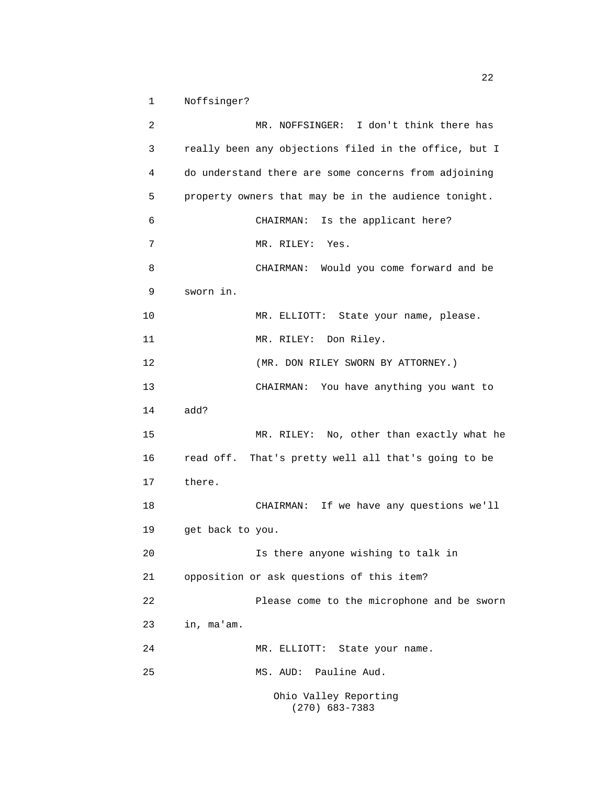1 Noffsinger?

2 MR. NOFFSINGER: I don't think there has 3 really been any objections filed in the office, but I 4 do understand there are some concerns from adjoining 5 property owners that may be in the audience tonight. 6 CHAIRMAN: Is the applicant here? 7 MR. RILEY: Yes. 8 CHAIRMAN: Would you come forward and be 9 sworn in. 10 MR. ELLIOTT: State your name, please. 11 MR. RILEY: Don Riley. 12 (MR. DON RILEY SWORN BY ATTORNEY.) 13 CHAIRMAN: You have anything you want to 14 add? 15 MR. RILEY: No, other than exactly what he 16 read off. That's pretty well all that's going to be 17 there. 18 CHAIRMAN: If we have any questions we'll 19 get back to you. 20 Is there anyone wishing to talk in 21 opposition or ask questions of this item? 22 Please come to the microphone and be sworn 23 in, ma'am. 24 MR. ELLIOTT: State your name. 25 MS. AUD: Pauline Aud. Ohio Valley Reporting

(270) 683-7383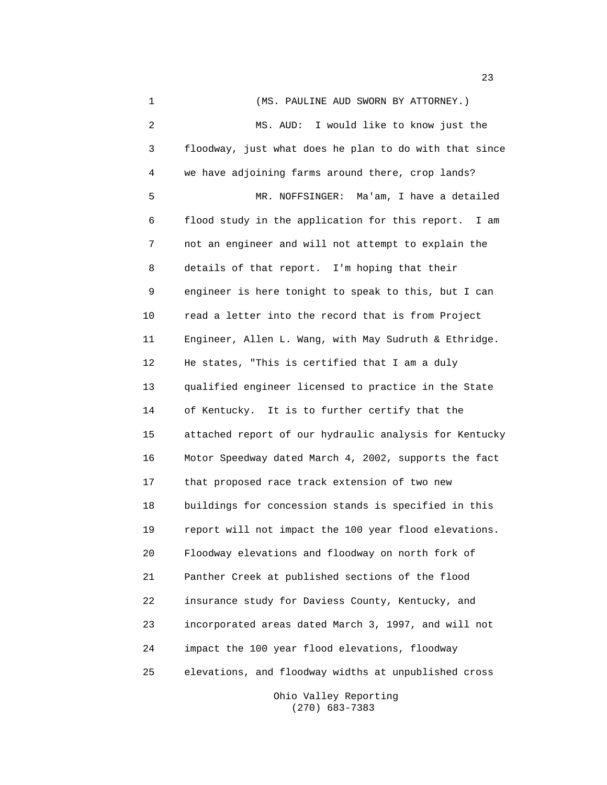1 (MS. PAULINE AUD SWORN BY ATTORNEY.) 2 MS. AUD: I would like to know just the 3 floodway, just what does he plan to do with that since 4 we have adjoining farms around there, crop lands? 5 MR. NOFFSINGER: Ma'am, I have a detailed 6 flood study in the application for this report. I am 7 not an engineer and will not attempt to explain the 8 details of that report. I'm hoping that their 9 engineer is here tonight to speak to this, but I can 10 read a letter into the record that is from Project 11 Engineer, Allen L. Wang, with May Sudruth & Ethridge. 12 He states, "This is certified that I am a duly 13 qualified engineer licensed to practice in the State 14 of Kentucky. It is to further certify that the 15 attached report of our hydraulic analysis for Kentucky 16 Motor Speedway dated March 4, 2002, supports the fact 17 that proposed race track extension of two new 18 buildings for concession stands is specified in this 19 report will not impact the 100 year flood elevations. 20 Floodway elevations and floodway on north fork of 21 Panther Creek at published sections of the flood 22 insurance study for Daviess County, Kentucky, and 23 incorporated areas dated March 3, 1997, and will not 24 impact the 100 year flood elevations, floodway 25 elevations, and floodway widths at unpublished cross

> Ohio Valley Reporting (270) 683-7383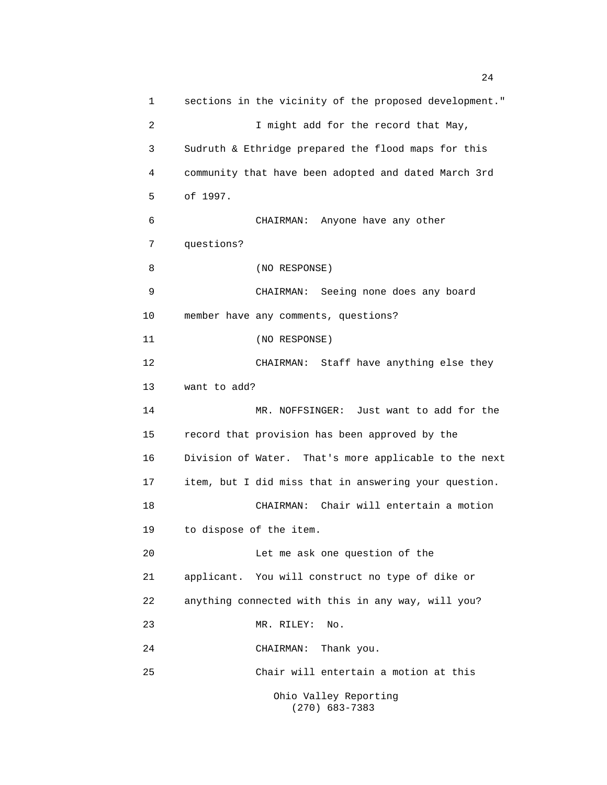1 sections in the vicinity of the proposed development." 2 I might add for the record that May, 3 Sudruth & Ethridge prepared the flood maps for this 4 community that have been adopted and dated March 3rd 5 of 1997. 6 CHAIRMAN: Anyone have any other 7 questions? 8 (NO RESPONSE) 9 CHAIRMAN: Seeing none does any board 10 member have any comments, questions? 11 (NO RESPONSE) 12 CHAIRMAN: Staff have anything else they 13 want to add? 14 MR. NOFFSINGER: Just want to add for the 15 record that provision has been approved by the 16 Division of Water. That's more applicable to the next 17 item, but I did miss that in answering your question. 18 CHAIRMAN: Chair will entertain a motion 19 to dispose of the item. 20 Let me ask one question of the 21 applicant. You will construct no type of dike or 22 anything connected with this in any way, will you? 23 MR. RILEY: No. 24 CHAIRMAN: Thank you. 25 Chair will entertain a motion at this Ohio Valley Reporting (270) 683-7383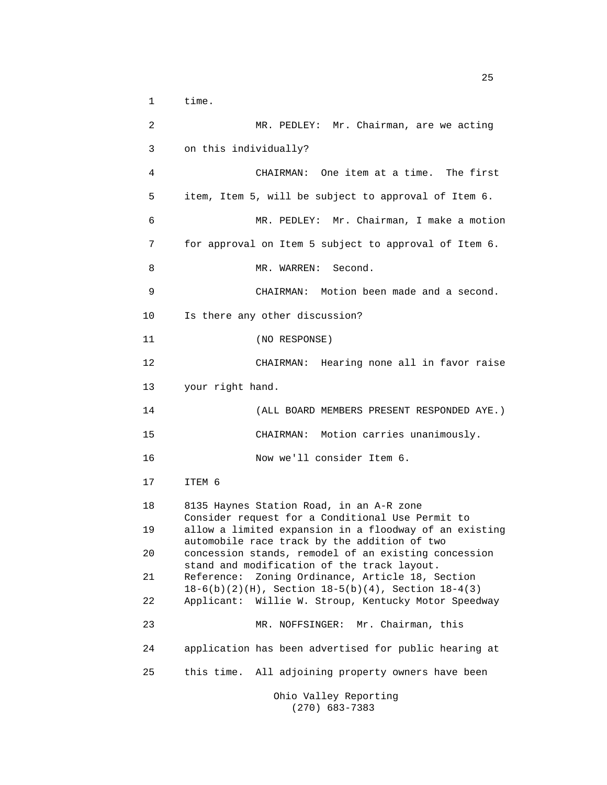1 time.

2 MR. PEDLEY: Mr. Chairman, are we acting 3 on this individually? 4 CHAIRMAN: One item at a time. The first 5 item, Item 5, will be subject to approval of Item 6. 6 MR. PEDLEY: Mr. Chairman, I make a motion 7 for approval on Item 5 subject to approval of Item 6. 8 MR. WARREN: Second. 9 CHAIRMAN: Motion been made and a second. 10 Is there any other discussion? 11 (NO RESPONSE) 12 CHAIRMAN: Hearing none all in favor raise 13 your right hand. 14 (ALL BOARD MEMBERS PRESENT RESPONDED AYE.) 15 CHAIRMAN: Motion carries unanimously. 16 Now we'll consider Item 6. 17 ITEM 6 18 8135 Haynes Station Road, in an A-R zone Consider request for a Conditional Use Permit to 19 allow a limited expansion in a floodway of an existing automobile race track by the addition of two 20 concession stands, remodel of an existing concession stand and modification of the track layout. 21 Reference: Zoning Ordinance, Article 18, Section 18-6(b)(2)(H), Section 18-5(b)(4), Section 18-4(3) 22 Applicant: Willie W. Stroup, Kentucky Motor Speedway 23 MR. NOFFSINGER: Mr. Chairman, this 24 application has been advertised for public hearing at 25 this time. All adjoining property owners have been Ohio Valley Reporting

(270) 683-7383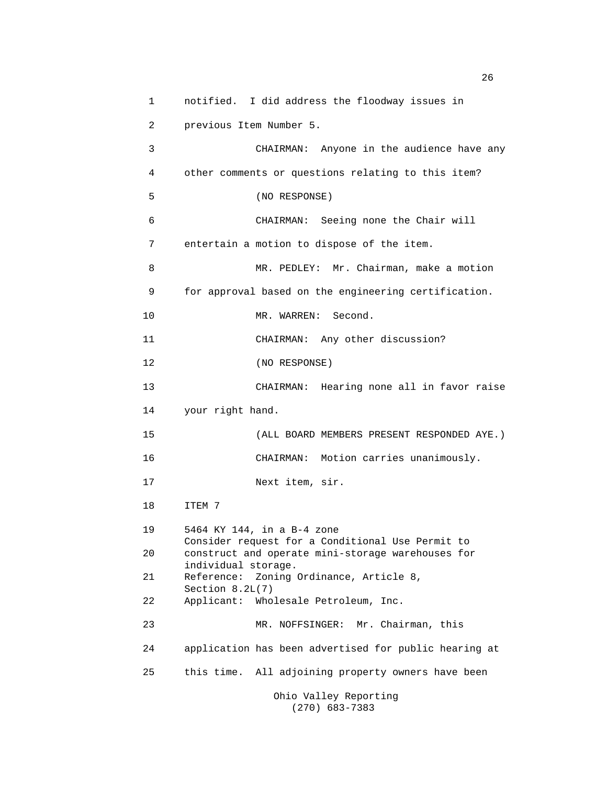1 notified. I did address the floodway issues in 2 previous Item Number 5. 3 CHAIRMAN: Anyone in the audience have any 4 other comments or questions relating to this item? 5 (NO RESPONSE) 6 CHAIRMAN: Seeing none the Chair will 7 entertain a motion to dispose of the item. 8 MR. PEDLEY: Mr. Chairman, make a motion 9 for approval based on the engineering certification. 10 MR. WARREN: Second. 11 CHAIRMAN: Any other discussion? 12 (NO RESPONSE) 13 CHAIRMAN: Hearing none all in favor raise 14 your right hand. 15 (ALL BOARD MEMBERS PRESENT RESPONDED AYE.) 16 CHAIRMAN: Motion carries unanimously. 17 Next item, sir. 18 ITEM 7 19 5464 KY 144, in a B-4 zone Consider request for a Conditional Use Permit to 20 construct and operate mini-storage warehouses for individual storage. 21 Reference: Zoning Ordinance, Article 8, Section 8.2L(7) 22 Applicant: Wholesale Petroleum, Inc. 23 MR. NOFFSINGER: Mr. Chairman, this 24 application has been advertised for public hearing at 25 this time. All adjoining property owners have been Ohio Valley Reporting

(270) 683-7383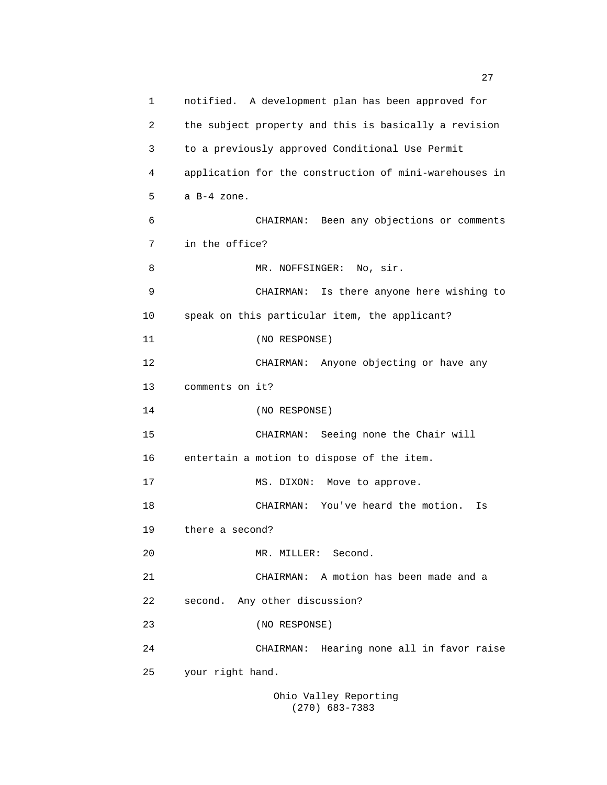1 notified. A development plan has been approved for 2 the subject property and this is basically a revision 3 to a previously approved Conditional Use Permit 4 application for the construction of mini-warehouses in 5 a B-4 zone. 6 CHAIRMAN: Been any objections or comments 7 in the office? 8 MR. NOFFSINGER: No, sir. 9 CHAIRMAN: Is there anyone here wishing to 10 speak on this particular item, the applicant? 11 (NO RESPONSE) 12 CHAIRMAN: Anyone objecting or have any 13 comments on it? 14 (NO RESPONSE) 15 CHAIRMAN: Seeing none the Chair will 16 entertain a motion to dispose of the item. 17 MS. DIXON: Move to approve. 18 CHAIRMAN: You've heard the motion. Is 19 there a second? 20 MR. MILLER: Second. 21 CHAIRMAN: A motion has been made and a 22 second. Any other discussion? 23 (NO RESPONSE) 24 CHAIRMAN: Hearing none all in favor raise 25 your right hand. Ohio Valley Reporting

(270) 683-7383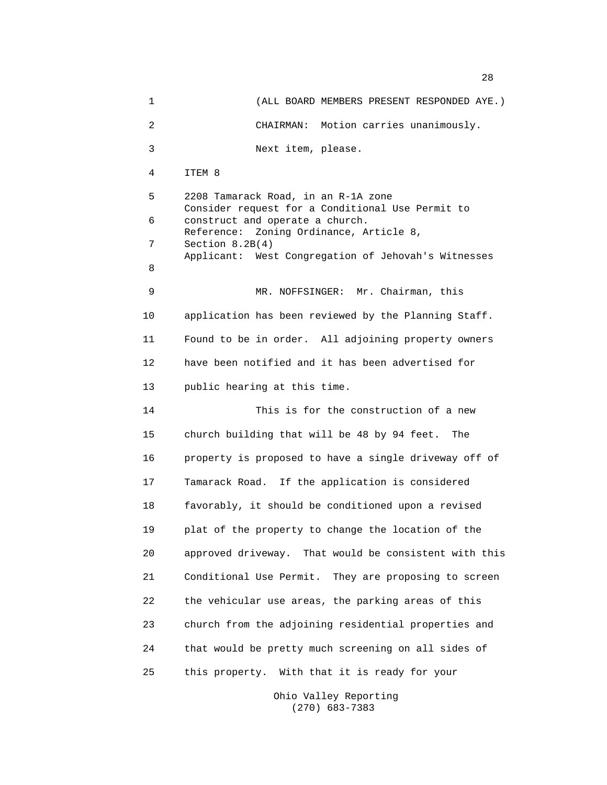1 (ALL BOARD MEMBERS PRESENT RESPONDED AYE.) 2 CHAIRMAN: Motion carries unanimously. 3 Next item, please. 4 ITEM 8 5 2208 Tamarack Road, in an R-1A zone Consider request for a Conditional Use Permit to 6 construct and operate a church. Reference: Zoning Ordinance, Article 8, 7 Section 8.2B(4) Applicant: West Congregation of Jehovah's Witnesses 8 9 MR. NOFFSINGER: Mr. Chairman, this 10 application has been reviewed by the Planning Staff. 11 Found to be in order. All adjoining property owners 12 have been notified and it has been advertised for 13 public hearing at this time. 14 This is for the construction of a new 15 church building that will be 48 by 94 feet. The 16 property is proposed to have a single driveway off of 17 Tamarack Road. If the application is considered 18 favorably, it should be conditioned upon a revised 19 plat of the property to change the location of the 20 approved driveway. That would be consistent with this 21 Conditional Use Permit. They are proposing to screen 22 the vehicular use areas, the parking areas of this 23 church from the adjoining residential properties and 24 that would be pretty much screening on all sides of 25 this property. With that it is ready for your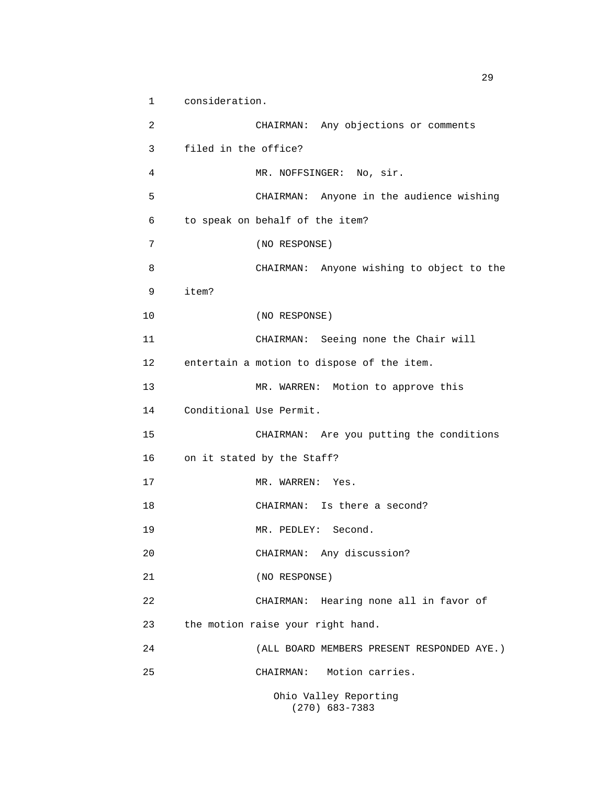1 consideration. 2 CHAIRMAN: Any objections or comments 3 filed in the office? 4 MR. NOFFSINGER: No, sir. 5 CHAIRMAN: Anyone in the audience wishing 6 to speak on behalf of the item? 7 (NO RESPONSE) 8 CHAIRMAN: Anyone wishing to object to the 9 item? 10 (NO RESPONSE) 11 CHAIRMAN: Seeing none the Chair will 12 entertain a motion to dispose of the item. 13 MR. WARREN: Motion to approve this 14 Conditional Use Permit. 15 CHAIRMAN: Are you putting the conditions 16 on it stated by the Staff? 17 MR. WARREN: Yes. 18 CHAIRMAN: Is there a second? 19 MR. PEDLEY: Second. 20 CHAIRMAN: Any discussion? 21 (NO RESPONSE) 22 CHAIRMAN: Hearing none all in favor of 23 the motion raise your right hand. 24 (ALL BOARD MEMBERS PRESENT RESPONDED AYE.) 25 CHAIRMAN: Motion carries. Ohio Valley Reporting

(270) 683-7383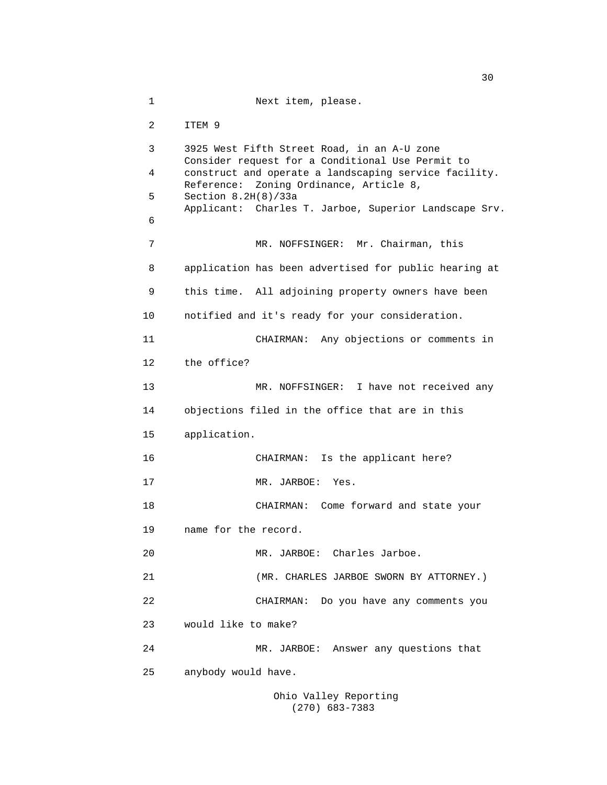1 Next item, please. 2 ITEM 9 3 3925 West Fifth Street Road, in an A-U zone Consider request for a Conditional Use Permit to 4 construct and operate a landscaping service facility. Reference: Zoning Ordinance, Article 8, 5 Section 8.2H(8)/33a Applicant: Charles T. Jarboe, Superior Landscape Srv. 6 7 MR. NOFFSINGER: Mr. Chairman, this 8 application has been advertised for public hearing at 9 this time. All adjoining property owners have been 10 notified and it's ready for your consideration. 11 CHAIRMAN: Any objections or comments in 12 the office? 13 MR. NOFFSINGER: I have not received any 14 objections filed in the office that are in this 15 application. 16 CHAIRMAN: Is the applicant here? 17 MR. JARBOE: Yes. 18 CHAIRMAN: Come forward and state your 19 name for the record. 20 MR. JARBOE: Charles Jarboe. 21 (MR. CHARLES JARBOE SWORN BY ATTORNEY.) 22 CHAIRMAN: Do you have any comments you 23 would like to make? 24 MR. JARBOE: Answer any questions that 25 anybody would have. Ohio Valley Reporting

(270) 683-7383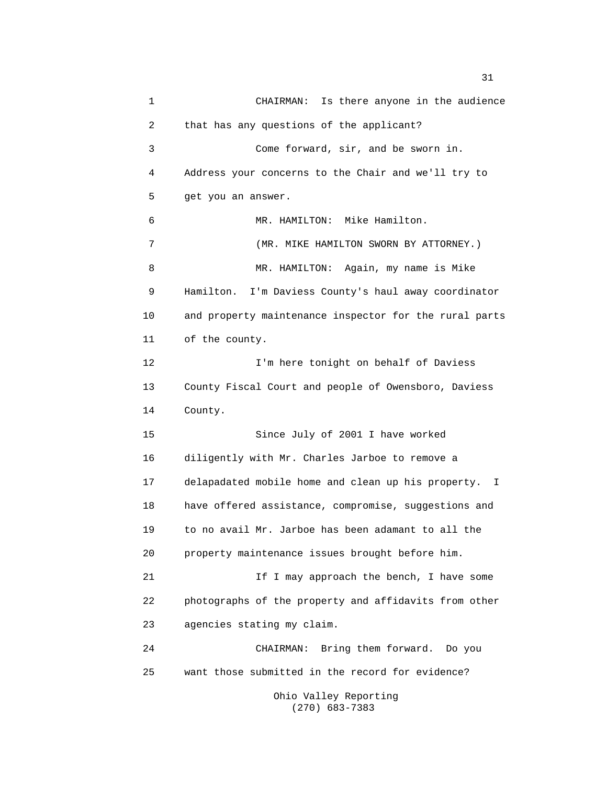1 CHAIRMAN: Is there anyone in the audience 2 that has any questions of the applicant? 3 Come forward, sir, and be sworn in. 4 Address your concerns to the Chair and we'll try to 5 get you an answer. 6 MR. HAMILTON: Mike Hamilton. 7 (MR. MIKE HAMILTON SWORN BY ATTORNEY.) 8 MR. HAMILTON: Again, my name is Mike 9 Hamilton. I'm Daviess County's haul away coordinator 10 and property maintenance inspector for the rural parts 11 of the county. 12 I'm here tonight on behalf of Daviess 13 County Fiscal Court and people of Owensboro, Daviess 14 County. 15 Since July of 2001 I have worked 16 diligently with Mr. Charles Jarboe to remove a 17 delapadated mobile home and clean up his property. I 18 have offered assistance, compromise, suggestions and 19 to no avail Mr. Jarboe has been adamant to all the 20 property maintenance issues brought before him. 21 1 If I may approach the bench, I have some 22 photographs of the property and affidavits from other 23 agencies stating my claim. 24 CHAIRMAN: Bring them forward. Do you 25 want those submitted in the record for evidence? Ohio Valley Reporting

(270) 683-7383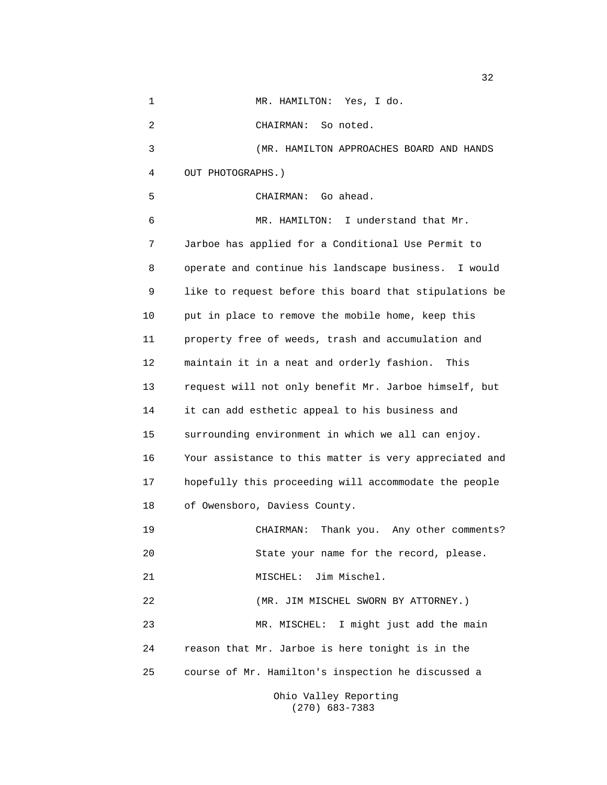| 1  | MR. HAMILTON: Yes, I do.                               |
|----|--------------------------------------------------------|
| 2  | CHAIRMAN: So noted.                                    |
| 3  | (MR. HAMILTON APPROACHES BOARD AND HANDS               |
| 4  | OUT PHOTOGRAPHS.)                                      |
| 5  | CHAIRMAN: Go ahead.                                    |
| 6  | MR. HAMILTON: I understand that Mr.                    |
| 7  | Jarboe has applied for a Conditional Use Permit to     |
| 8  | operate and continue his landscape business. I would   |
| 9  | like to request before this board that stipulations be |
| 10 | put in place to remove the mobile home, keep this      |
| 11 | property free of weeds, trash and accumulation and     |
| 12 | maintain it in a neat and orderly fashion. This        |
| 13 | request will not only benefit Mr. Jarboe himself, but  |
| 14 | it can add esthetic appeal to his business and         |
| 15 | surrounding environment in which we all can enjoy.     |
| 16 | Your assistance to this matter is very appreciated and |
| 17 | hopefully this proceeding will accommodate the people  |
| 18 | of Owensboro, Daviess County.                          |
| 19 | Thank you. Any other comments?<br>CHAIRMAN:            |
| 20 | State your name for the record, please.                |
| 21 | MISCHEL: Jim Mischel.                                  |
| 22 | (MR. JIM MISCHEL SWORN BY ATTORNEY.)                   |
| 23 | MR. MISCHEL: I might just add the main                 |
| 24 | reason that Mr. Jarboe is here tonight is in the       |
| 25 | course of Mr. Hamilton's inspection he discussed a     |
|    | Ohio Valley Reporting<br>$(270)$ 683-7383              |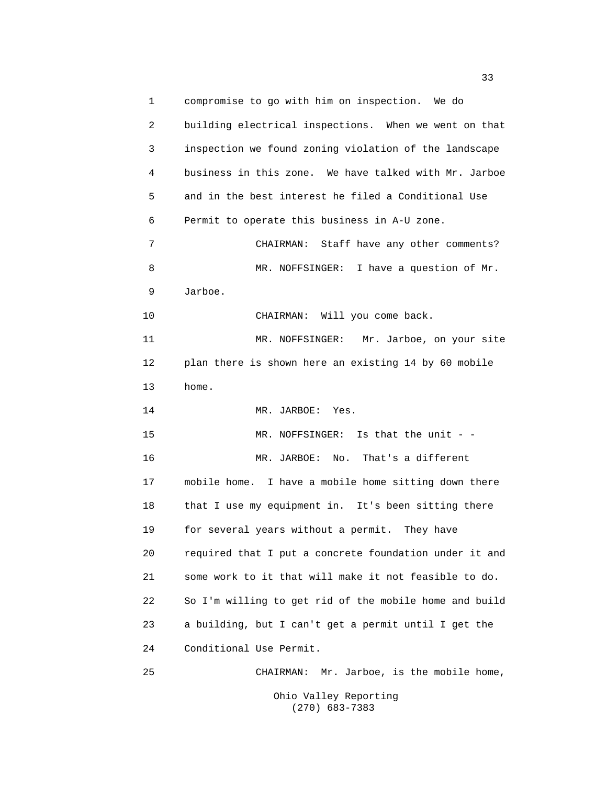1 compromise to go with him on inspection. We do 2 building electrical inspections. When we went on that 3 inspection we found zoning violation of the landscape 4 business in this zone. We have talked with Mr. Jarboe 5 and in the best interest he filed a Conditional Use 6 Permit to operate this business in A-U zone. 7 CHAIRMAN: Staff have any other comments? 8 MR. NOFFSINGER: I have a question of Mr. 9 Jarboe. 10 CHAIRMAN: Will you come back. 11 MR. NOFFSINGER: Mr. Jarboe, on your site 12 plan there is shown here an existing 14 by 60 mobile 13 home. 14 MR. JARBOE: Yes. 15 MR. NOFFSINGER: Is that the unit - -16 MR. JARBOE: No. That's a different 17 mobile home. I have a mobile home sitting down there 18 that I use my equipment in. It's been sitting there 19 for several years without a permit. They have 20 required that I put a concrete foundation under it and 21 some work to it that will make it not feasible to do. 22 So I'm willing to get rid of the mobile home and build 23 a building, but I can't get a permit until I get the 24 Conditional Use Permit. 25 CHAIRMAN: Mr. Jarboe, is the mobile home,

Ohio Valley Reporting (270) 683-7383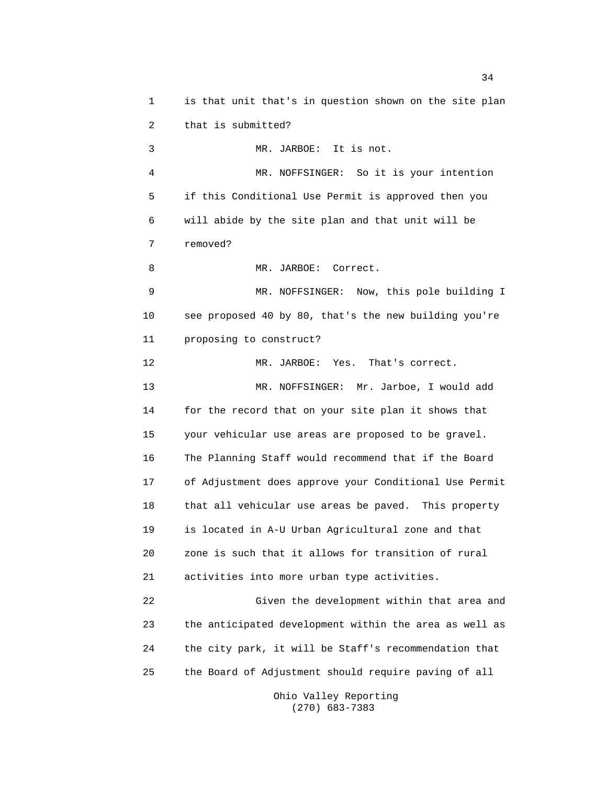1 is that unit that's in question shown on the site plan 2 that is submitted? 3 MR. JARBOE: It is not. 4 MR. NOFFSINGER: So it is your intention 5 if this Conditional Use Permit is approved then you 6 will abide by the site plan and that unit will be 7 removed? 8 MR. JARBOE: Correct. 9 MR. NOFFSINGER: Now, this pole building I 10 see proposed 40 by 80, that's the new building you're 11 proposing to construct? 12 MR. JARBOE: Yes. That's correct. 13 MR. NOFFSINGER: Mr. Jarboe, I would add 14 for the record that on your site plan it shows that 15 your vehicular use areas are proposed to be gravel. 16 The Planning Staff would recommend that if the Board 17 of Adjustment does approve your Conditional Use Permit 18 that all vehicular use areas be paved. This property 19 is located in A-U Urban Agricultural zone and that 20 zone is such that it allows for transition of rural 21 activities into more urban type activities. 22 Given the development within that area and 23 the anticipated development within the area as well as 24 the city park, it will be Staff's recommendation that 25 the Board of Adjustment should require paving of all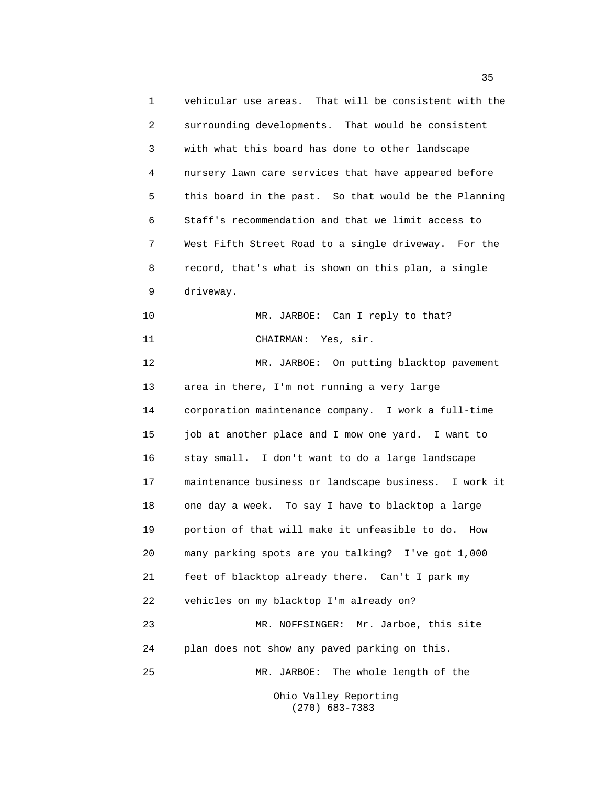1 vehicular use areas. That will be consistent with the 2 surrounding developments. That would be consistent 3 with what this board has done to other landscape 4 nursery lawn care services that have appeared before 5 this board in the past. So that would be the Planning 6 Staff's recommendation and that we limit access to 7 West Fifth Street Road to a single driveway. For the 8 record, that's what is shown on this plan, a single 9 driveway. 10 MR. JARBOE: Can I reply to that? 11 CHAIRMAN: Yes, sir. 12 MR. JARBOE: On putting blacktop pavement 13 area in there, I'm not running a very large 14 corporation maintenance company. I work a full-time 15 job at another place and I mow one yard. I want to 16 stay small. I don't want to do a large landscape 17 maintenance business or landscape business. I work it 18 one day a week. To say I have to blacktop a large 19 portion of that will make it unfeasible to do. How 20 many parking spots are you talking? I've got 1,000 21 feet of blacktop already there. Can't I park my 22 vehicles on my blacktop I'm already on? 23 MR. NOFFSINGER: Mr. Jarboe, this site 24 plan does not show any paved parking on this. 25 MR. JARBOE: The whole length of the Ohio Valley Reporting

(270) 683-7383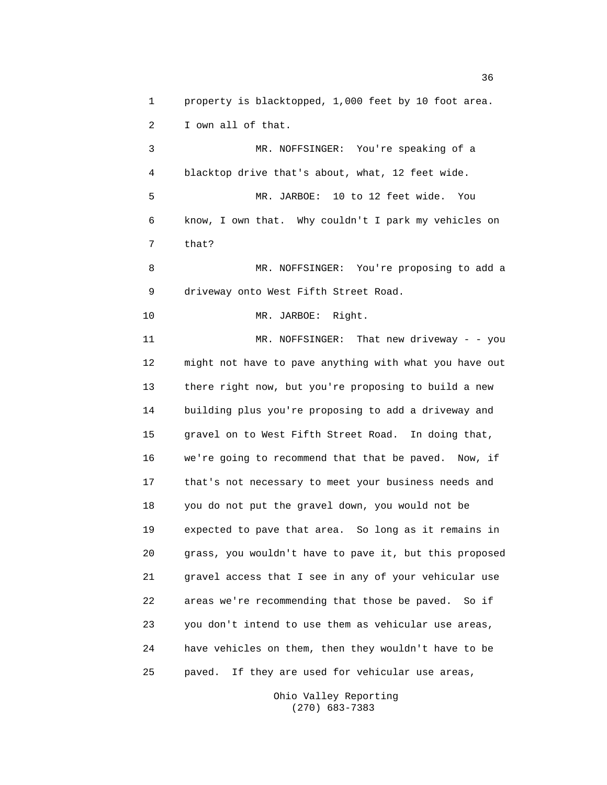1 property is blacktopped, 1,000 feet by 10 foot area. 2 I own all of that.

3 MR. NOFFSINGER: You're speaking of a 4 blacktop drive that's about, what, 12 feet wide. 5 MR. JARBOE: 10 to 12 feet wide. You 6 know, I own that. Why couldn't I park my vehicles on 7 that?

8 MR. NOFFSINGER: You're proposing to add a 9 driveway onto West Fifth Street Road.

10 MR. JARBOE: Right.

11 MR. NOFFSINGER: That new driveway - - you 12 might not have to pave anything with what you have out 13 there right now, but you're proposing to build a new 14 building plus you're proposing to add a driveway and 15 gravel on to West Fifth Street Road. In doing that, 16 we're going to recommend that that be paved. Now, if 17 that's not necessary to meet your business needs and 18 you do not put the gravel down, you would not be 19 expected to pave that area. So long as it remains in 20 grass, you wouldn't have to pave it, but this proposed 21 gravel access that I see in any of your vehicular use 22 areas we're recommending that those be paved. So if 23 you don't intend to use them as vehicular use areas, 24 have vehicles on them, then they wouldn't have to be 25 paved. If they are used for vehicular use areas,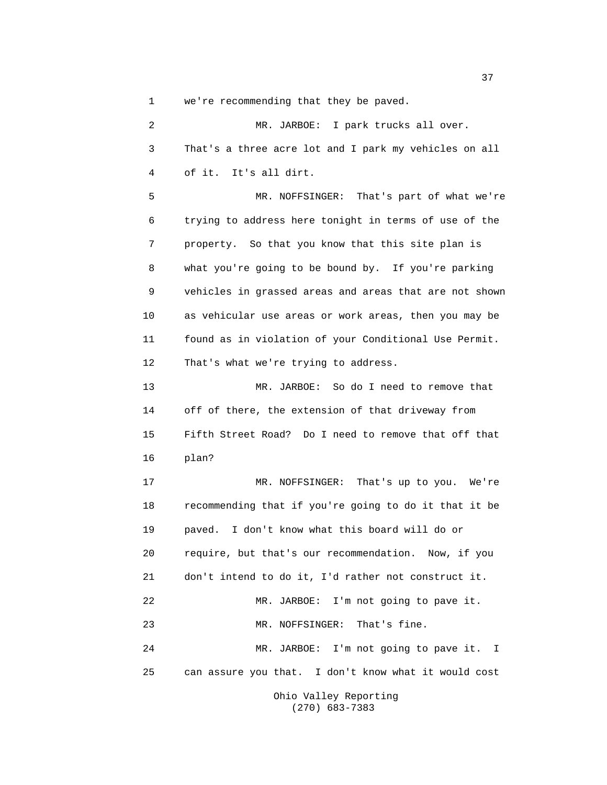1 we're recommending that they be paved.

2 MR. JARBOE: I park trucks all over. 3 That's a three acre lot and I park my vehicles on all 4 of it. It's all dirt. 5 MR. NOFFSINGER: That's part of what we're 6 trying to address here tonight in terms of use of the 7 property. So that you know that this site plan is 8 what you're going to be bound by. If you're parking 9 vehicles in grassed areas and areas that are not shown 10 as vehicular use areas or work areas, then you may be 11 found as in violation of your Conditional Use Permit. 12 That's what we're trying to address. 13 MR. JARBOE: So do I need to remove that 14 off of there, the extension of that driveway from 15 Fifth Street Road? Do I need to remove that off that 16 plan? 17 MR. NOFFSINGER: That's up to you. We're 18 recommending that if you're going to do it that it be 19 paved. I don't know what this board will do or 20 require, but that's our recommendation. Now, if you 21 don't intend to do it, I'd rather not construct it. 22 MR. JARBOE: I'm not going to pave it. 23 MR. NOFFSINGER: That's fine. 24 MR. JARBOE: I'm not going to pave it. I 25 can assure you that. I don't know what it would cost Ohio Valley Reporting

(270) 683-7383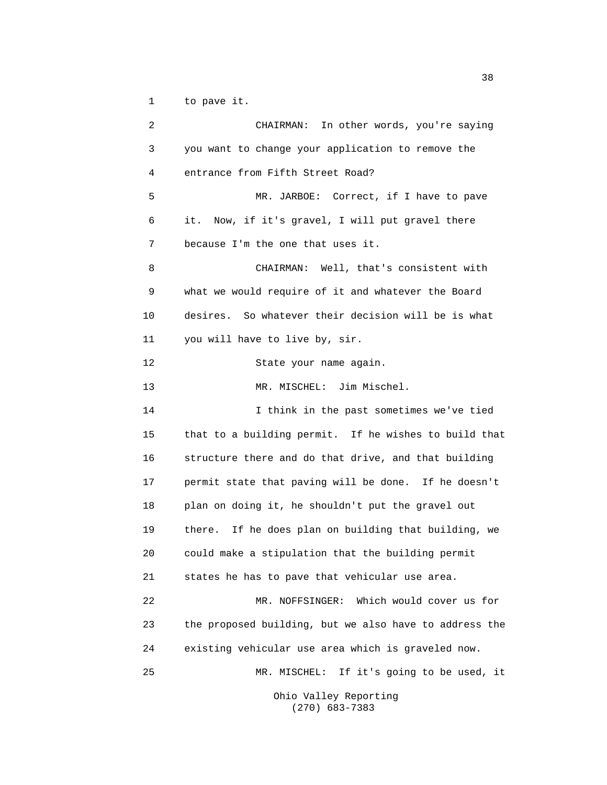1 to pave it.

2 CHAIRMAN: In other words, you're saying 3 you want to change your application to remove the 4 entrance from Fifth Street Road? 5 MR. JARBOE: Correct, if I have to pave 6 it. Now, if it's gravel, I will put gravel there 7 because I'm the one that uses it. 8 CHAIRMAN: Well, that's consistent with 9 what we would require of it and whatever the Board 10 desires. So whatever their decision will be is what 11 you will have to live by, sir. 12 State your name again. 13 MR. MISCHEL: Jim Mischel. 14 I think in the past sometimes we've tied 15 that to a building permit. If he wishes to build that 16 structure there and do that drive, and that building 17 permit state that paving will be done. If he doesn't 18 plan on doing it, he shouldn't put the gravel out 19 there. If he does plan on building that building, we 20 could make a stipulation that the building permit 21 states he has to pave that vehicular use area. 22 MR. NOFFSINGER: Which would cover us for 23 the proposed building, but we also have to address the 24 existing vehicular use area which is graveled now. 25 MR. MISCHEL: If it's going to be used, it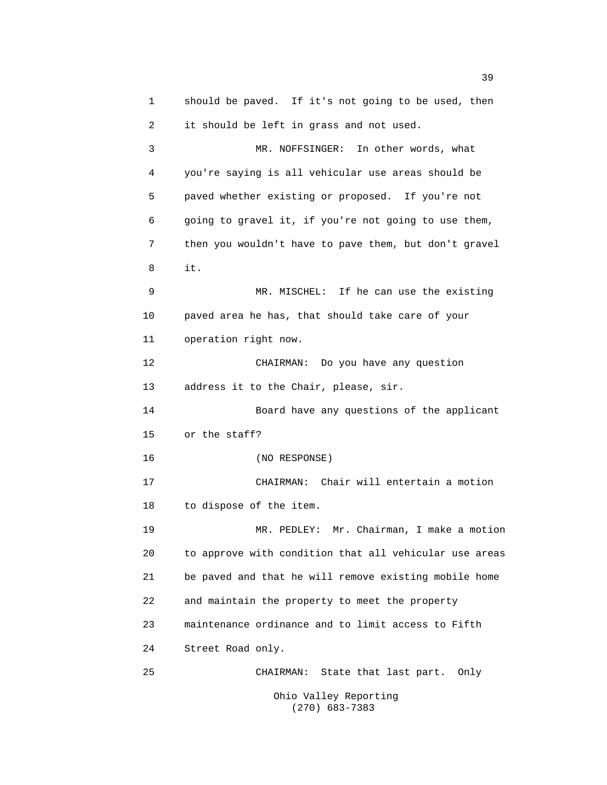1 should be paved. If it's not going to be used, then 2 it should be left in grass and not used. 3 MR. NOFFSINGER: In other words, what 4 you're saying is all vehicular use areas should be 5 paved whether existing or proposed. If you're not 6 going to gravel it, if you're not going to use them, 7 then you wouldn't have to pave them, but don't gravel 8 it. 9 MR. MISCHEL: If he can use the existing 10 paved area he has, that should take care of your 11 operation right now. 12 CHAIRMAN: Do you have any question 13 address it to the Chair, please, sir. 14 Board have any questions of the applicant 15 or the staff? 16 (NO RESPONSE) 17 CHAIRMAN: Chair will entertain a motion 18 to dispose of the item. 19 MR. PEDLEY: Mr. Chairman, I make a motion 20 to approve with condition that all vehicular use areas 21 be paved and that he will remove existing mobile home 22 and maintain the property to meet the property 23 maintenance ordinance and to limit access to Fifth 24 Street Road only. 25 CHAIRMAN: State that last part. Only Ohio Valley Reporting (270) 683-7383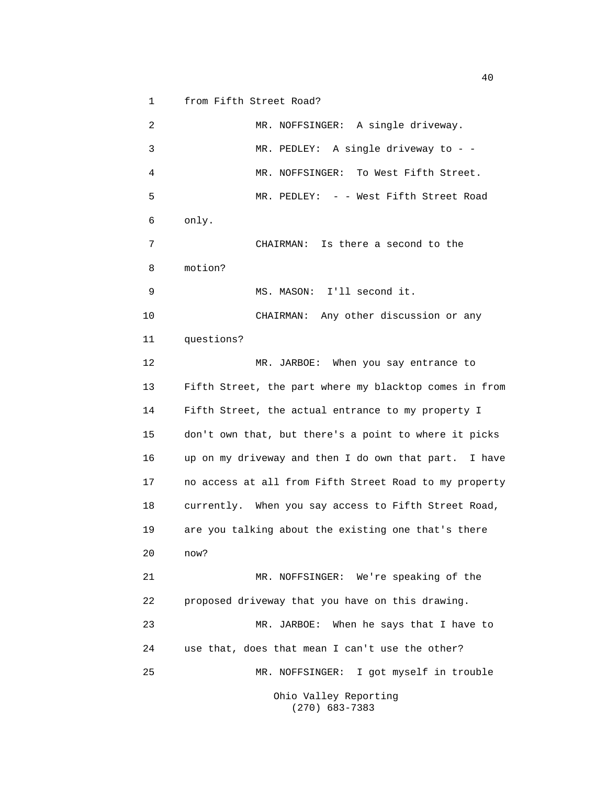1 from Fifth Street Road?

2 MR. NOFFSINGER: A single driveway. 3 MR. PEDLEY: A single driveway to - - 4 MR. NOFFSINGER: To West Fifth Street. 5 MR. PEDLEY: - - West Fifth Street Road 6 only. 7 CHAIRMAN: Is there a second to the 8 motion? 9 MS. MASON: I'll second it. 10 CHAIRMAN: Any other discussion or any 11 questions? 12 MR. JARBOE: When you say entrance to 13 Fifth Street, the part where my blacktop comes in from 14 Fifth Street, the actual entrance to my property I 15 don't own that, but there's a point to where it picks 16 up on my driveway and then I do own that part. I have 17 no access at all from Fifth Street Road to my property 18 currently. When you say access to Fifth Street Road, 19 are you talking about the existing one that's there 20 now? 21 MR. NOFFSINGER: We're speaking of the 22 proposed driveway that you have on this drawing. 23 MR. JARBOE: When he says that I have to 24 use that, does that mean I can't use the other? 25 MR. NOFFSINGER: I got myself in trouble Ohio Valley Reporting

(270) 683-7383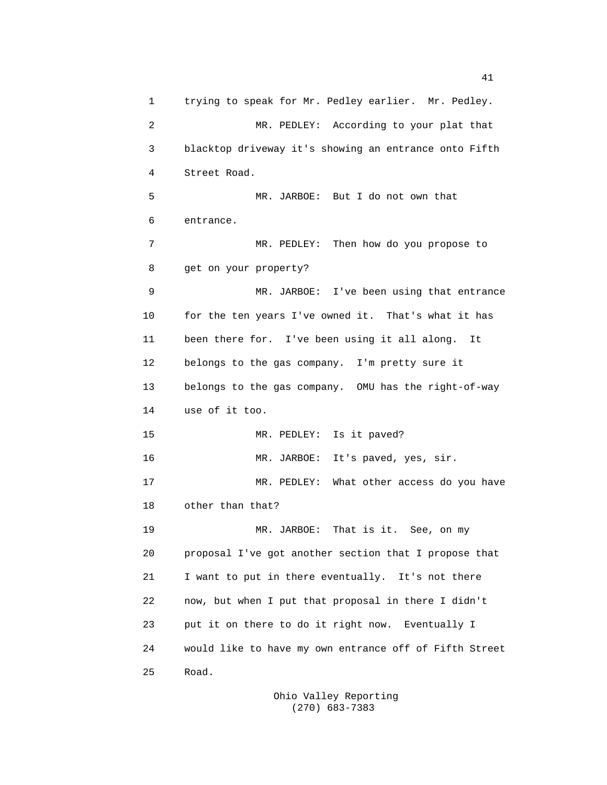1 trying to speak for Mr. Pedley earlier. Mr. Pedley. 2 MR. PEDLEY: According to your plat that 3 blacktop driveway it's showing an entrance onto Fifth 4 Street Road. 5 MR. JARBOE: But I do not own that 6 entrance. 7 MR. PEDLEY: Then how do you propose to 8 get on your property? 9 MR. JARBOE: I've been using that entrance 10 for the ten years I've owned it. That's what it has 11 been there for. I've been using it all along. It 12 belongs to the gas company. I'm pretty sure it 13 belongs to the gas company. OMU has the right-of-way 14 use of it too. 15 MR. PEDLEY: Is it paved? 16 MR. JARBOE: It's paved, yes, sir. 17 MR. PEDLEY: What other access do you have 18 other than that? 19 MR. JARBOE: That is it. See, on my 20 proposal I've got another section that I propose that 21 I want to put in there eventually. It's not there 22 now, but when I put that proposal in there I didn't 23 put it on there to do it right now. Eventually I 24 would like to have my own entrance off of Fifth Street 25 Road.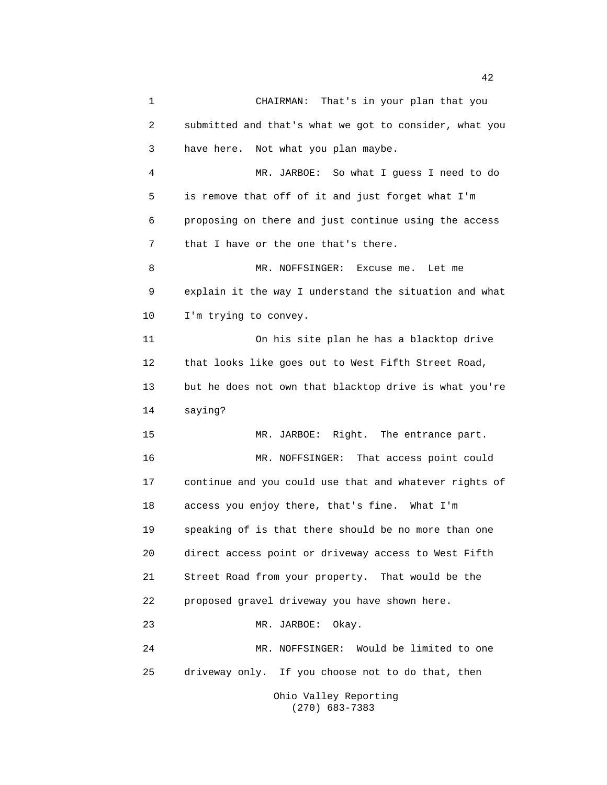1 CHAIRMAN: That's in your plan that you 2 submitted and that's what we got to consider, what you 3 have here. Not what you plan maybe. 4 MR. JARBOE: So what I guess I need to do 5 is remove that off of it and just forget what I'm 6 proposing on there and just continue using the access 7 that I have or the one that's there. 8 MR. NOFFSINGER: Excuse me. Let me 9 explain it the way I understand the situation and what 10 I'm trying to convey. 11 On his site plan he has a blacktop drive 12 that looks like goes out to West Fifth Street Road, 13 but he does not own that blacktop drive is what you're 14 saying? 15 MR. JARBOE: Right. The entrance part. 16 MR. NOFFSINGER: That access point could 17 continue and you could use that and whatever rights of 18 access you enjoy there, that's fine. What I'm 19 speaking of is that there should be no more than one 20 direct access point or driveway access to West Fifth 21 Street Road from your property. That would be the 22 proposed gravel driveway you have shown here. 23 MR. JARBOE: Okay. 24 MR. NOFFSINGER: Would be limited to one 25 driveway only. If you choose not to do that, then Ohio Valley Reporting

(270) 683-7383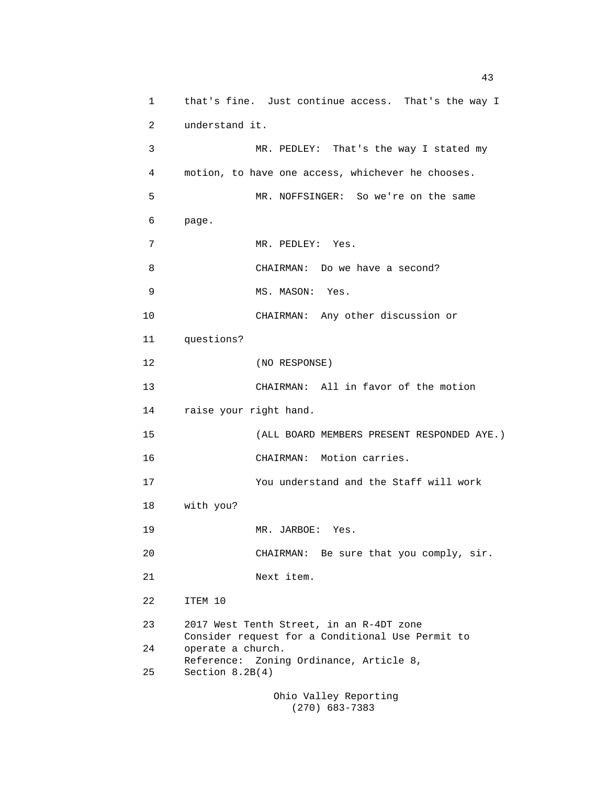1 that's fine. Just continue access. That's the way I 2 understand it. 3 MR. PEDLEY: That's the way I stated my 4 motion, to have one access, whichever he chooses. 5 MR. NOFFSINGER: So we're on the same 6 page. 7 MR. PEDLEY: Yes. 8 CHAIRMAN: Do we have a second? 9 MS. MASON: Yes. 10 CHAIRMAN: Any other discussion or 11 questions? 12 (NO RESPONSE) 13 CHAIRMAN: All in favor of the motion 14 raise your right hand. 15 (ALL BOARD MEMBERS PRESENT RESPONDED AYE.) 16 CHAIRMAN: Motion carries. 17 You understand and the Staff will work 18 with you? 19 MR. JARBOE: Yes. 20 CHAIRMAN: Be sure that you comply, sir. 21 Next item. 22 ITEM 10 23 2017 West Tenth Street, in an R-4DT zone Consider request for a Conditional Use Permit to 24 operate a church. Reference: Zoning Ordinance, Article 8, 25 Section 8.2B(4)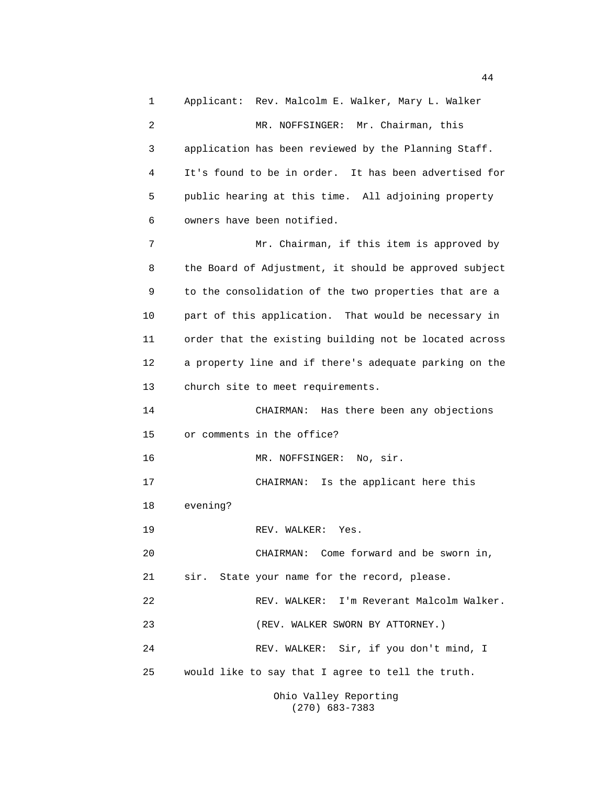1 Applicant: Rev. Malcolm E. Walker, Mary L. Walker 2 MR. NOFFSINGER: Mr. Chairman, this 3 application has been reviewed by the Planning Staff. 4 It's found to be in order. It has been advertised for 5 public hearing at this time. All adjoining property 6 owners have been notified. 7 Mr. Chairman, if this item is approved by 8 the Board of Adjustment, it should be approved subject 9 to the consolidation of the two properties that are a 10 part of this application. That would be necessary in 11 order that the existing building not be located across 12 a property line and if there's adequate parking on the 13 church site to meet requirements. 14 CHAIRMAN: Has there been any objections 15 or comments in the office? 16 MR. NOFFSINGER: No, sir. 17 CHAIRMAN: Is the applicant here this 18 evening? 19 REV. WALKER: Yes. 20 CHAIRMAN: Come forward and be sworn in, 21 sir. State your name for the record, please. 22 REV. WALKER: I'm Reverant Malcolm Walker. 23 (REV. WALKER SWORN BY ATTORNEY.) 24 REV. WALKER: Sir, if you don't mind, I 25 would like to say that I agree to tell the truth.

Ohio Valley Reporting (270) 683-7383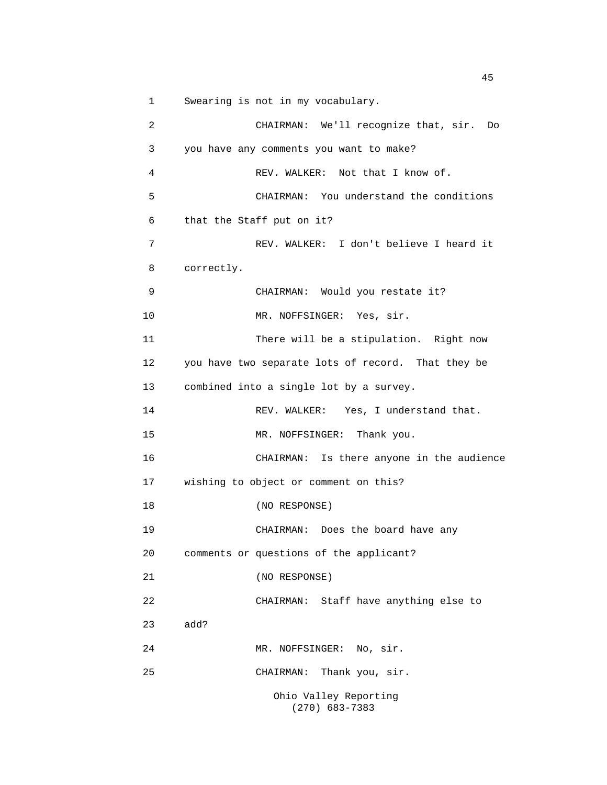1 Swearing is not in my vocabulary.

```
2 CHAIRMAN: We'll recognize that, sir. Do
3 you have any comments you want to make?
4 REV. WALKER: Not that I know of.
5 CHAIRMAN: You understand the conditions
6 that the Staff put on it?
7 REV. WALKER: I don't believe I heard it
8 correctly.
9 CHAIRMAN: Would you restate it?
10 MR. NOFFSINGER: Yes, sir.
11 There will be a stipulation. Right now
12 you have two separate lots of record. That they be
13 combined into a single lot by a survey.
14 REV. WALKER: Yes, I understand that.
15 MR. NOFFSINGER: Thank you.
16 CHAIRMAN: Is there anyone in the audience
17 wishing to object or comment on this?
18 (NO RESPONSE)
19 CHAIRMAN: Does the board have any
20 comments or questions of the applicant?
21 (NO RESPONSE)
22 CHAIRMAN: Staff have anything else to
23 add?
24 MR. NOFFSINGER: No, sir.
25 CHAIRMAN: Thank you, sir.
                Ohio Valley Reporting
                  (270) 683-7383
```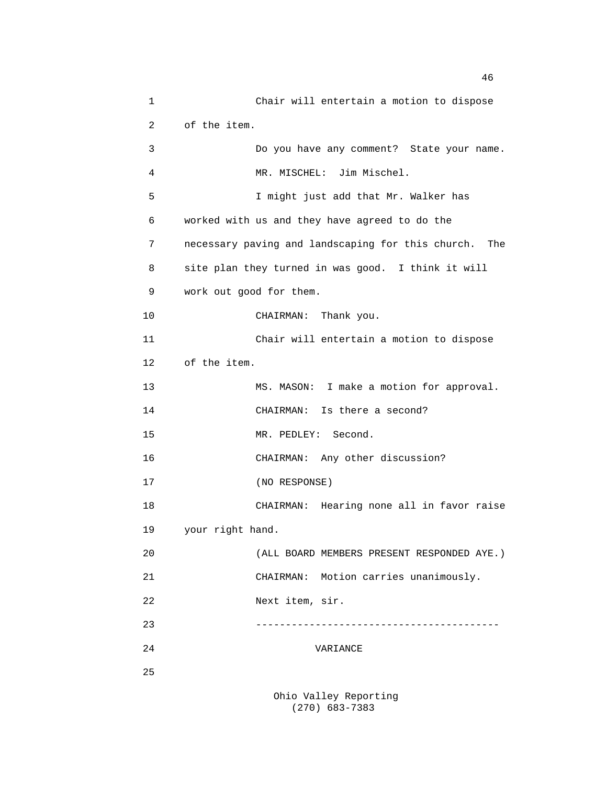1 Chair will entertain a motion to dispose 2 of the item. 3 Do you have any comment? State your name. 4 MR. MISCHEL: Jim Mischel. 5 I might just add that Mr. Walker has 6 worked with us and they have agreed to do the 7 necessary paving and landscaping for this church. The 8 site plan they turned in was good. I think it will 9 work out good for them. 10 CHAIRMAN: Thank you. 11 Chair will entertain a motion to dispose 12 of the item. 13 MS. MASON: I make a motion for approval. 14 CHAIRMAN: Is there a second? 15 MR. PEDLEY: Second. 16 CHAIRMAN: Any other discussion? 17 (NO RESPONSE) 18 CHAIRMAN: Hearing none all in favor raise 19 your right hand. 20 (ALL BOARD MEMBERS PRESENT RESPONDED AYE.) 21 CHAIRMAN: Motion carries unanimously. 22 Next item, sir. 23 ----------------------------------------- 24 VARIANCE 25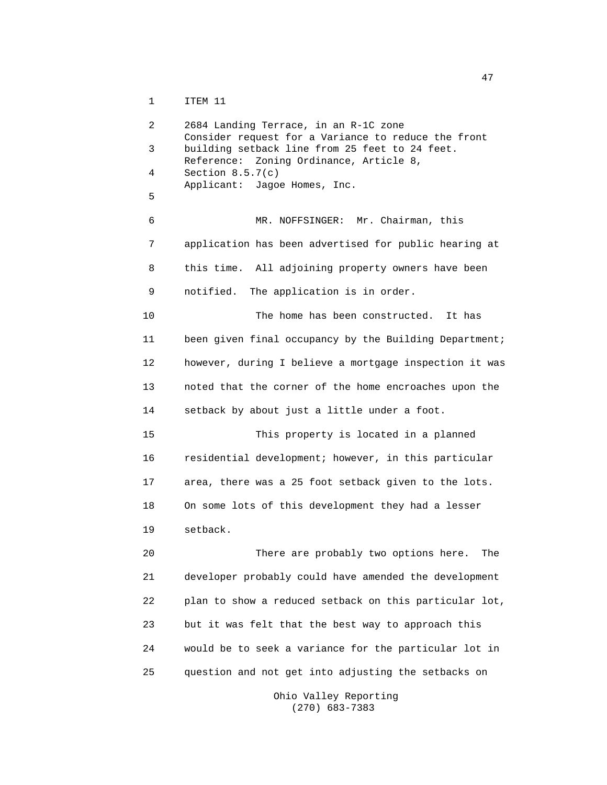1 ITEM 11

2 2684 Landing Terrace, in an R-1C zone Consider request for a Variance to reduce the front 3 building setback line from 25 feet to 24 feet. Reference: Zoning Ordinance, Article 8, 4 Section 8.5.7(c) Applicant: Jagoe Homes, Inc. 5 6 MR. NOFFSINGER: Mr. Chairman, this 7 application has been advertised for public hearing at 8 this time. All adjoining property owners have been 9 notified. The application is in order. 10 The home has been constructed. It has 11 been given final occupancy by the Building Department; 12 however, during I believe a mortgage inspection it was 13 noted that the corner of the home encroaches upon the 14 setback by about just a little under a foot. 15 This property is located in a planned 16 residential development; however, in this particular 17 area, there was a 25 foot setback given to the lots. 18 On some lots of this development they had a lesser 19 setback. 20 There are probably two options here. The 21 developer probably could have amended the development 22 plan to show a reduced setback on this particular lot, 23 but it was felt that the best way to approach this 24 would be to seek a variance for the particular lot in 25 question and not get into adjusting the setbacks on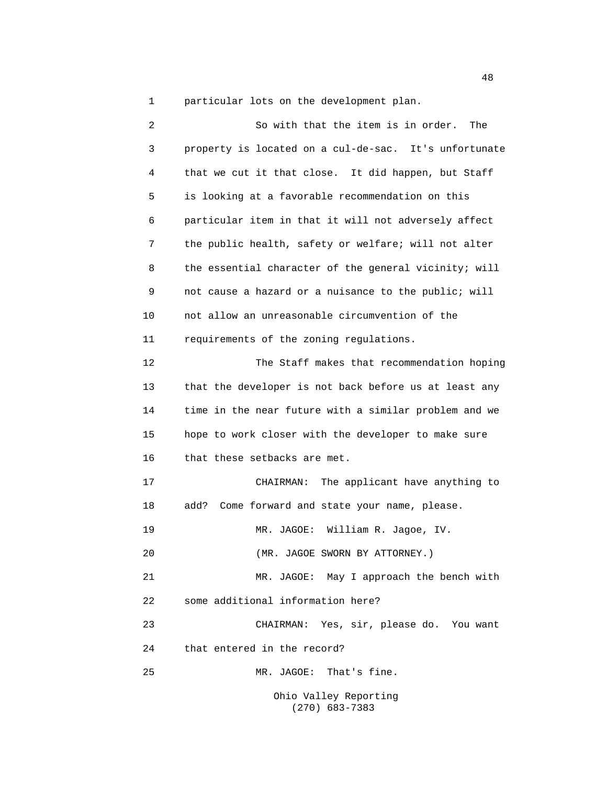1 particular lots on the development plan.

2 So with that the item is in order. The 3 property is located on a cul-de-sac. It's unfortunate 4 that we cut it that close. It did happen, but Staff 5 is looking at a favorable recommendation on this 6 particular item in that it will not adversely affect 7 the public health, safety or welfare; will not alter 8 the essential character of the general vicinity; will 9 not cause a hazard or a nuisance to the public; will 10 not allow an unreasonable circumvention of the 11 requirements of the zoning regulations. 12 The Staff makes that recommendation hoping 13 that the developer is not back before us at least any 14 time in the near future with a similar problem and we 15 hope to work closer with the developer to make sure 16 that these setbacks are met. 17 CHAIRMAN: The applicant have anything to 18 add? Come forward and state your name, please. 19 MR. JAGOE: William R. Jagoe, IV. 20 (MR. JAGOE SWORN BY ATTORNEY.) 21 MR. JAGOE: May I approach the bench with 22 some additional information here? 23 CHAIRMAN: Yes, sir, please do. You want 24 that entered in the record? 25 MR. JAGOE: That's fine. Ohio Valley Reporting

(270) 683-7383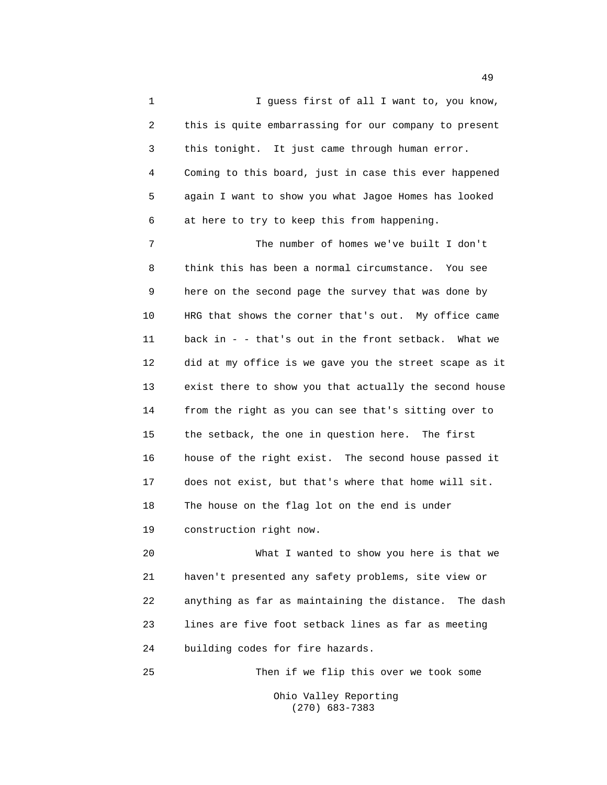1 1 I guess first of all I want to, you know, 2 this is quite embarrassing for our company to present 3 this tonight. It just came through human error. 4 Coming to this board, just in case this ever happened 5 again I want to show you what Jagoe Homes has looked 6 at here to try to keep this from happening.

7 The number of homes we've built I don't 8 think this has been a normal circumstance. You see 9 here on the second page the survey that was done by 10 HRG that shows the corner that's out. My office came 11 back in - - that's out in the front setback. What we 12 did at my office is we gave you the street scape as it 13 exist there to show you that actually the second house 14 from the right as you can see that's sitting over to 15 the setback, the one in question here. The first 16 house of the right exist. The second house passed it 17 does not exist, but that's where that home will sit. 18 The house on the flag lot on the end is under 19 construction right now.

20 What I wanted to show you here is that we 21 haven't presented any safety problems, site view or 22 anything as far as maintaining the distance. The dash 23 lines are five foot setback lines as far as meeting 24 building codes for fire hazards.

25 Then if we flip this over we took some

Ohio Valley Reporting (270) 683-7383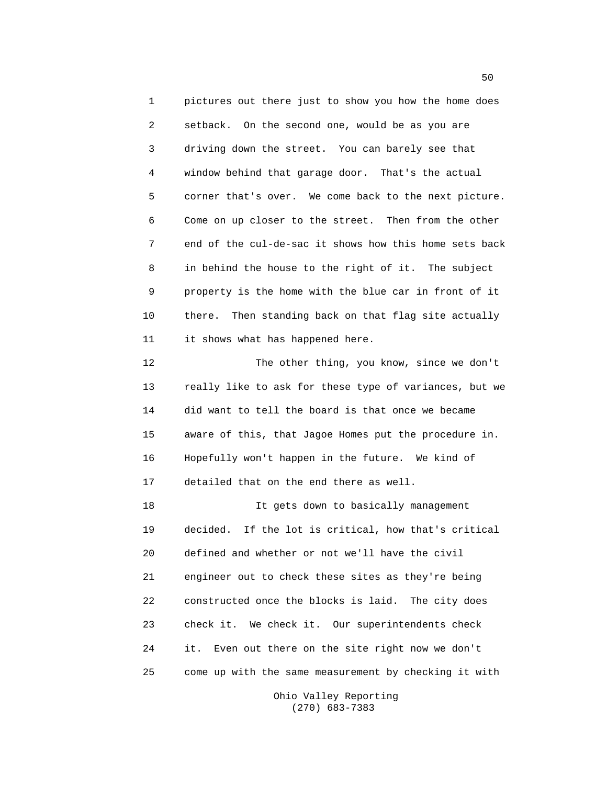1 pictures out there just to show you how the home does 2 setback. On the second one, would be as you are 3 driving down the street. You can barely see that 4 window behind that garage door. That's the actual 5 corner that's over. We come back to the next picture. 6 Come on up closer to the street. Then from the other 7 end of the cul-de-sac it shows how this home sets back 8 in behind the house to the right of it. The subject 9 property is the home with the blue car in front of it 10 there. Then standing back on that flag site actually 11 it shows what has happened here.

12 The other thing, you know, since we don't 13 really like to ask for these type of variances, but we 14 did want to tell the board is that once we became 15 aware of this, that Jagoe Homes put the procedure in. 16 Hopefully won't happen in the future. We kind of 17 detailed that on the end there as well.

18 It gets down to basically management 19 decided. If the lot is critical, how that's critical 20 defined and whether or not we'll have the civil 21 engineer out to check these sites as they're being 22 constructed once the blocks is laid. The city does 23 check it. We check it. Our superintendents check 24 it. Even out there on the site right now we don't 25 come up with the same measurement by checking it with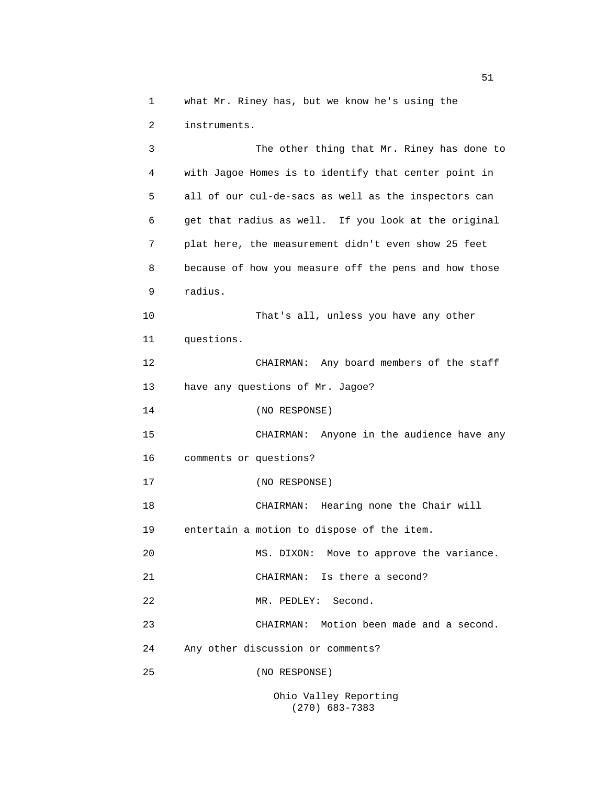1 what Mr. Riney has, but we know he's using the 2 instruments.

3 The other thing that Mr. Riney has done to 4 with Jagoe Homes is to identify that center point in 5 all of our cul-de-sacs as well as the inspectors can 6 get that radius as well. If you look at the original 7 plat here, the measurement didn't even show 25 feet 8 because of how you measure off the pens and how those 9 radius. 10 That's all, unless you have any other 11 questions. 12 CHAIRMAN: Any board members of the staff 13 have any questions of Mr. Jagoe? 14 (NO RESPONSE) 15 CHAIRMAN: Anyone in the audience have any 16 comments or questions? 17 (NO RESPONSE) 18 CHAIRMAN: Hearing none the Chair will 19 entertain a motion to dispose of the item. 20 MS. DIXON: Move to approve the variance. 21 CHAIRMAN: Is there a second? 22 MR. PEDLEY: Second. 23 CHAIRMAN: Motion been made and a second. 24 Any other discussion or comments? 25 (NO RESPONSE) Ohio Valley Reporting

(270) 683-7383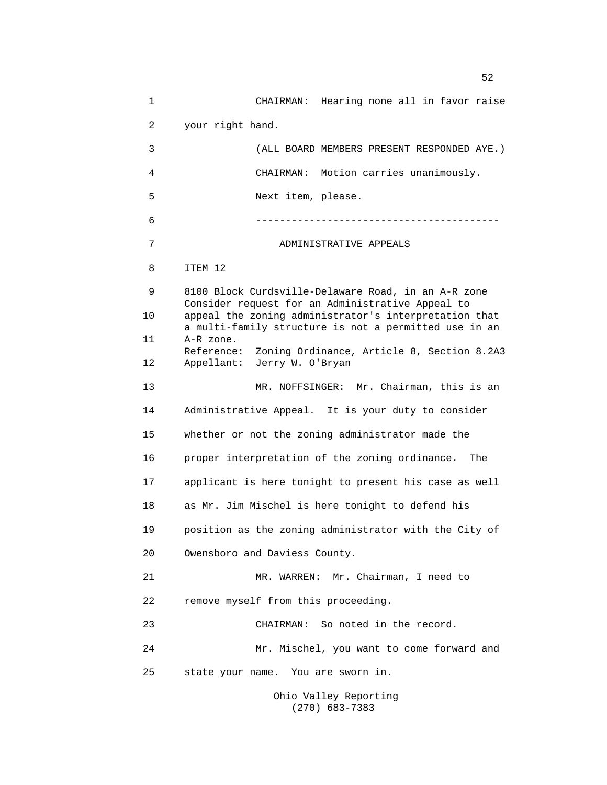1 CHAIRMAN: Hearing none all in favor raise 2 your right hand. 3 (ALL BOARD MEMBERS PRESENT RESPONDED AYE.) 4 CHAIRMAN: Motion carries unanimously. 5 Next item, please. 6 ----------------------------------------- 7 ADMINISTRATIVE APPEALS 8 ITEM 12 9 8100 Block Curdsville-Delaware Road, in an A-R zone Consider request for an Administrative Appeal to 10 appeal the zoning administrator's interpretation that a multi-family structure is not a permitted use in an 11 A-R zone. Reference: Zoning Ordinance, Article 8, Section 8.2A3 12 Appellant: Jerry W. O'Bryan 13 MR. NOFFSINGER: Mr. Chairman, this is an 14 Administrative Appeal. It is your duty to consider 15 whether or not the zoning administrator made the 16 proper interpretation of the zoning ordinance. The 17 applicant is here tonight to present his case as well 18 as Mr. Jim Mischel is here tonight to defend his 19 position as the zoning administrator with the City of 20 Owensboro and Daviess County. 21 MR. WARREN: Mr. Chairman, I need to 22 remove myself from this proceeding. 23 CHAIRMAN: So noted in the record. 24 Mr. Mischel, you want to come forward and 25 state your name. You are sworn in. Ohio Valley Reporting

(270) 683-7383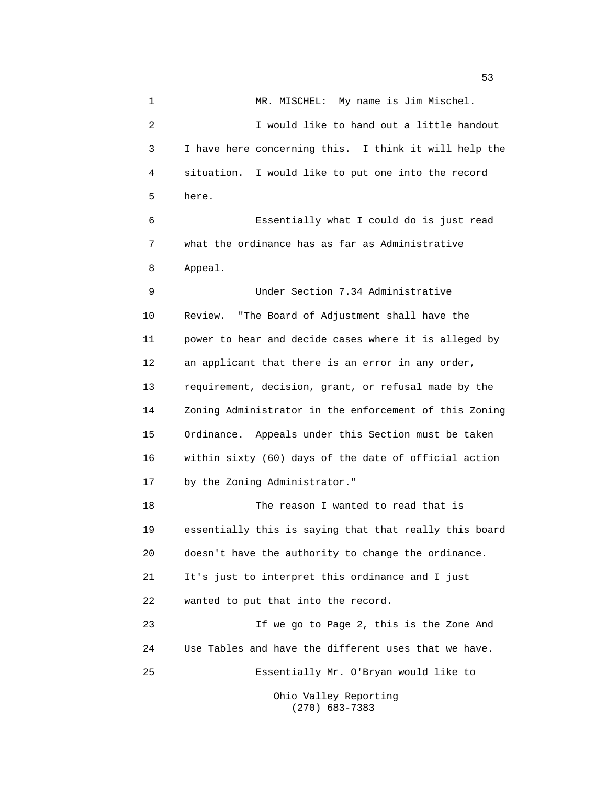1 MR. MISCHEL: My name is Jim Mischel. 2 I would like to hand out a little handout 3 I have here concerning this. I think it will help the 4 situation. I would like to put one into the record 5 here. 6 Essentially what I could do is just read 7 what the ordinance has as far as Administrative 8 Appeal. 9 Under Section 7.34 Administrative 10 Review. "The Board of Adjustment shall have the 11 power to hear and decide cases where it is alleged by 12 an applicant that there is an error in any order, 13 requirement, decision, grant, or refusal made by the 14 Zoning Administrator in the enforcement of this Zoning 15 Ordinance. Appeals under this Section must be taken 16 within sixty (60) days of the date of official action 17 by the Zoning Administrator." 18 The reason I wanted to read that is

19 essentially this is saying that that really this board 20 doesn't have the authority to change the ordinance. 21 It's just to interpret this ordinance and I just 22 wanted to put that into the record.

23 If we go to Page 2, this is the Zone And 24 Use Tables and have the different uses that we have. 25 Essentially Mr. O'Bryan would like to Ohio Valley Reporting

(270) 683-7383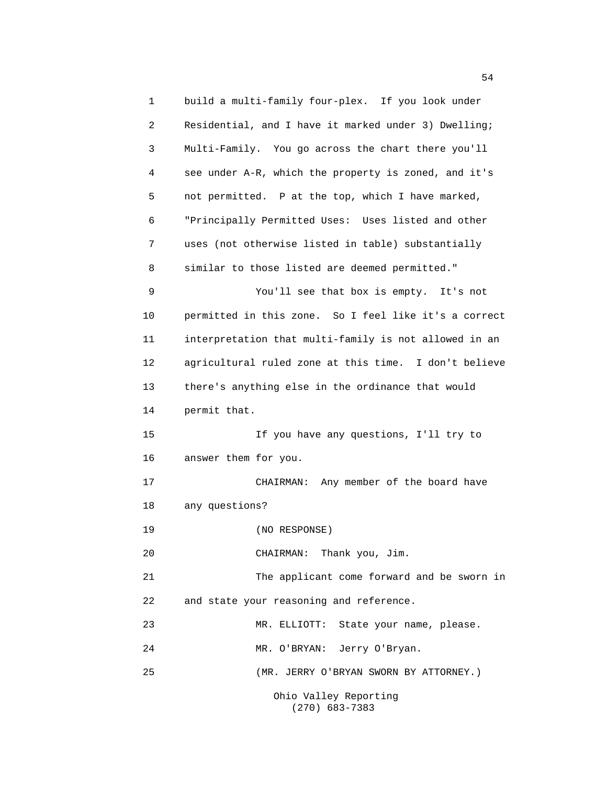1 build a multi-family four-plex. If you look under 2 Residential, and I have it marked under 3) Dwelling; 3 Multi-Family. You go across the chart there you'll 4 see under A-R, which the property is zoned, and it's 5 not permitted. P at the top, which I have marked, 6 "Principally Permitted Uses: Uses listed and other 7 uses (not otherwise listed in table) substantially 8 similar to those listed are deemed permitted." 9 You'll see that box is empty. It's not 10 permitted in this zone. So I feel like it's a correct 11 interpretation that multi-family is not allowed in an 12 agricultural ruled zone at this time. I don't believe 13 there's anything else in the ordinance that would 14 permit that. 15 If you have any questions, I'll try to 16 answer them for you. 17 CHAIRMAN: Any member of the board have 18 any questions? 19 (NO RESPONSE) 20 CHAIRMAN: Thank you, Jim. 21 The applicant come forward and be sworn in 22 and state your reasoning and reference. 23 MR. ELLIOTT: State your name, please. 24 MR. O'BRYAN: Jerry O'Bryan. 25 (MR. JERRY O'BRYAN SWORN BY ATTORNEY.) Ohio Valley Reporting (270) 683-7383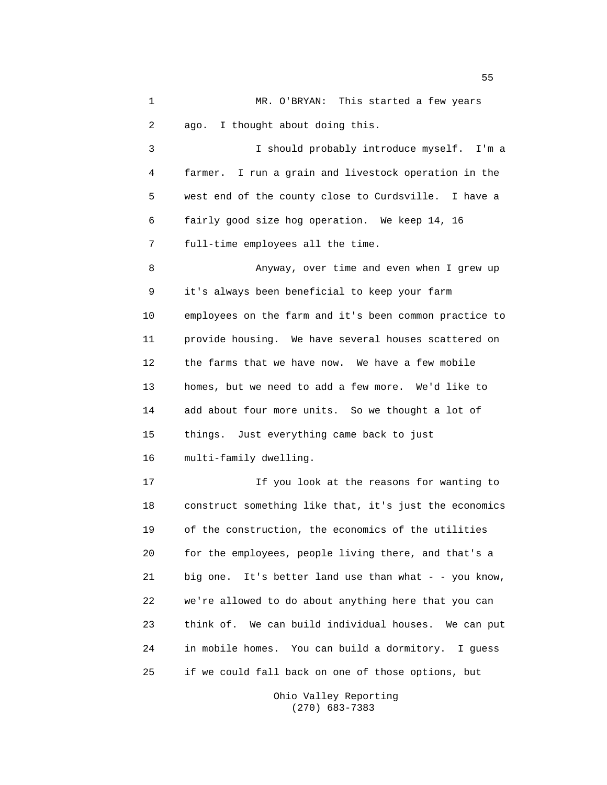1 MR. O'BRYAN: This started a few years 2 ago. I thought about doing this. 3 I should probably introduce myself. I'm a 4 farmer. I run a grain and livestock operation in the 5 west end of the county close to Curdsville. I have a 6 fairly good size hog operation. We keep 14, 16 7 full-time employees all the time. 8 Anyway, over time and even when I grew up 9 it's always been beneficial to keep your farm 10 employees on the farm and it's been common practice to 11 provide housing. We have several houses scattered on 12 the farms that we have now. We have a few mobile 13 homes, but we need to add a few more. We'd like to 14 add about four more units. So we thought a lot of 15 things. Just everything came back to just 16 multi-family dwelling. 17 If you look at the reasons for wanting to 18 construct something like that, it's just the economics 19 of the construction, the economics of the utilities 20 for the employees, people living there, and that's a 21 big one. It's better land use than what - - you know, 22 we're allowed to do about anything here that you can 23 think of. We can build individual houses. We can put 24 in mobile homes. You can build a dormitory. I guess 25 if we could fall back on one of those options, but

> Ohio Valley Reporting (270) 683-7383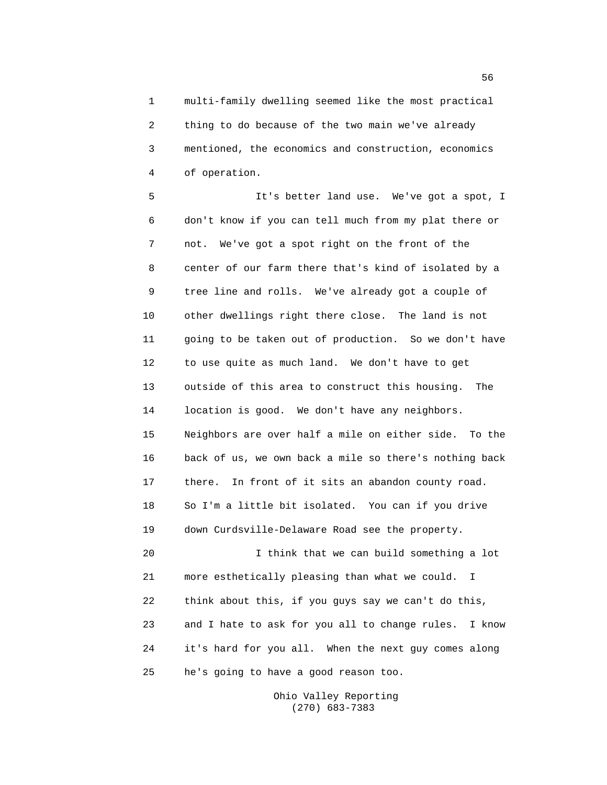1 multi-family dwelling seemed like the most practical 2 thing to do because of the two main we've already 3 mentioned, the economics and construction, economics 4 of operation.

5 It's better land use. We've got a spot, I 6 don't know if you can tell much from my plat there or 7 not. We've got a spot right on the front of the 8 center of our farm there that's kind of isolated by a 9 tree line and rolls. We've already got a couple of 10 other dwellings right there close. The land is not 11 going to be taken out of production. So we don't have 12 to use quite as much land. We don't have to get 13 outside of this area to construct this housing. The 14 location is good. We don't have any neighbors. 15 Neighbors are over half a mile on either side. To the 16 back of us, we own back a mile so there's nothing back 17 there. In front of it sits an abandon county road. 18 So I'm a little bit isolated. You can if you drive 19 down Curdsville-Delaware Road see the property. 20 I think that we can build something a lot 21 more esthetically pleasing than what we could. I 22 think about this, if you guys say we can't do this, 23 and I hate to ask for you all to change rules. I know 24 it's hard for you all. When the next guy comes along

25 he's going to have a good reason too.

Ohio Valley Reporting (270) 683-7383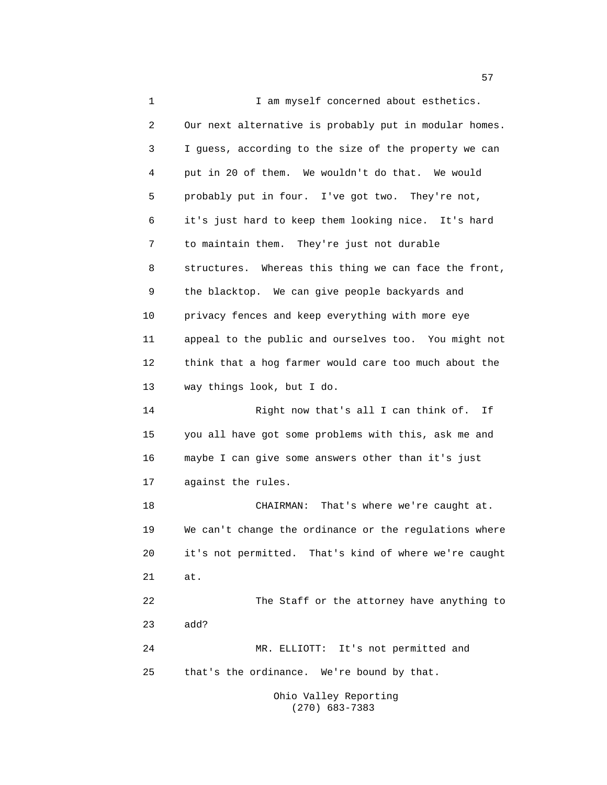1 I am myself concerned about esthetics. 2 Our next alternative is probably put in modular homes. 3 I guess, according to the size of the property we can 4 put in 20 of them. We wouldn't do that. We would 5 probably put in four. I've got two. They're not, 6 it's just hard to keep them looking nice. It's hard 7 to maintain them. They're just not durable 8 structures. Whereas this thing we can face the front, 9 the blacktop. We can give people backyards and 10 privacy fences and keep everything with more eye 11 appeal to the public and ourselves too. You might not 12 think that a hog farmer would care too much about the 13 way things look, but I do. 14 Right now that's all I can think of. If 15 you all have got some problems with this, ask me and 16 maybe I can give some answers other than it's just 17 against the rules. 18 CHAIRMAN: That's where we're caught at. 19 We can't change the ordinance or the regulations where 20 it's not permitted. That's kind of where we're caught 21 at. 22 The Staff or the attorney have anything to 23 add? 24 MR. ELLIOTT: It's not permitted and 25 that's the ordinance. We're bound by that. Ohio Valley Reporting

(270) 683-7383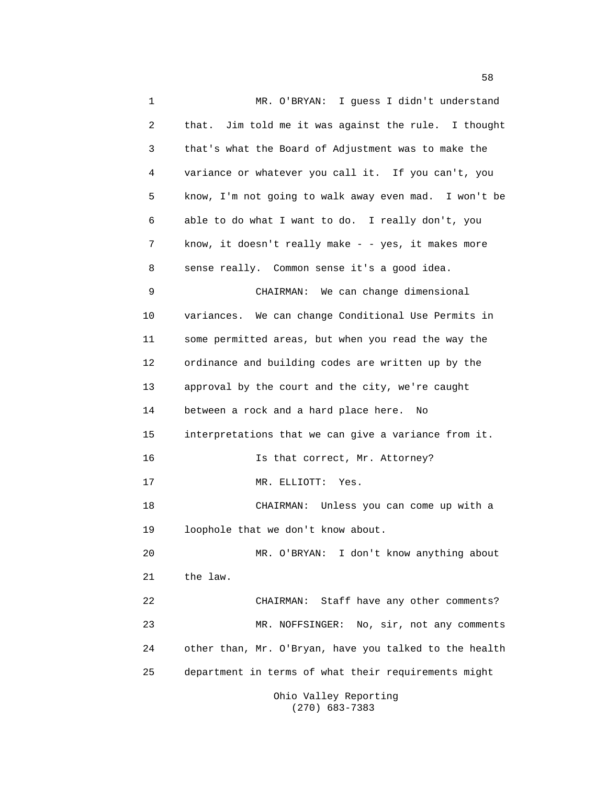1 MR. O'BRYAN: I guess I didn't understand 2 that. Jim told me it was against the rule. I thought 3 that's what the Board of Adjustment was to make the 4 variance or whatever you call it. If you can't, you 5 know, I'm not going to walk away even mad. I won't be 6 able to do what I want to do. I really don't, you 7 know, it doesn't really make - - yes, it makes more 8 sense really. Common sense it's a good idea. 9 CHAIRMAN: We can change dimensional 10 variances. We can change Conditional Use Permits in 11 some permitted areas, but when you read the way the 12 ordinance and building codes are written up by the 13 approval by the court and the city, we're caught 14 between a rock and a hard place here. No 15 interpretations that we can give a variance from it. 16 **Is that correct, Mr. Attorney?** 17 MR. ELLIOTT: Yes. 18 CHAIRMAN: Unless you can come up with a 19 loophole that we don't know about. 20 MR. O'BRYAN: I don't know anything about 21 the law. 22 CHAIRMAN: Staff have any other comments? 23 MR. NOFFSINGER: No, sir, not any comments 24 other than, Mr. O'Bryan, have you talked to the health 25 department in terms of what their requirements might

Ohio Valley Reporting (270) 683-7383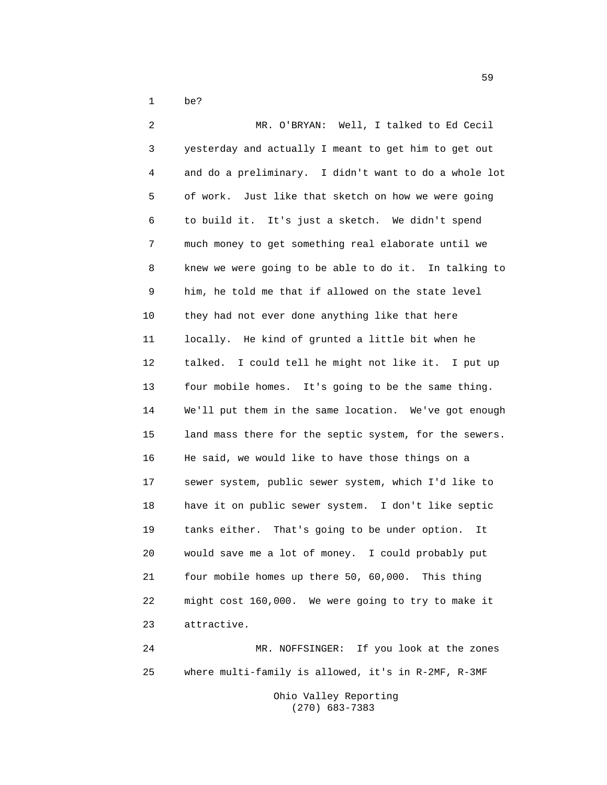1 be?

2 MR. O'BRYAN: Well, I talked to Ed Cecil 3 yesterday and actually I meant to get him to get out 4 and do a preliminary. I didn't want to do a whole lot 5 of work. Just like that sketch on how we were going 6 to build it. It's just a sketch. We didn't spend 7 much money to get something real elaborate until we 8 knew we were going to be able to do it. In talking to 9 him, he told me that if allowed on the state level 10 they had not ever done anything like that here 11 locally. He kind of grunted a little bit when he 12 talked. I could tell he might not like it. I put up 13 four mobile homes. It's going to be the same thing. 14 We'll put them in the same location. We've got enough 15 land mass there for the septic system, for the sewers. 16 He said, we would like to have those things on a 17 sewer system, public sewer system, which I'd like to 18 have it on public sewer system. I don't like septic 19 tanks either. That's going to be under option. It 20 would save me a lot of money. I could probably put 21 four mobile homes up there 50, 60,000. This thing 22 might cost 160,000. We were going to try to make it 23 attractive. 24 MR. NOFFSINGER: If you look at the zones

25 where multi-family is allowed, it's in R-2MF, R-3MF

Ohio Valley Reporting (270) 683-7383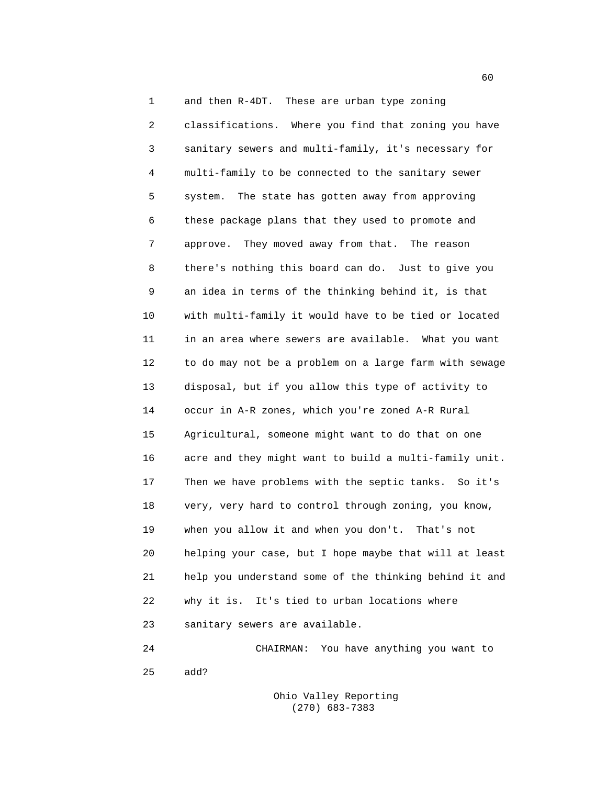1 and then R-4DT. These are urban type zoning 2 classifications. Where you find that zoning you have 3 sanitary sewers and multi-family, it's necessary for 4 multi-family to be connected to the sanitary sewer 5 system. The state has gotten away from approving 6 these package plans that they used to promote and 7 approve. They moved away from that. The reason 8 there's nothing this board can do. Just to give you 9 an idea in terms of the thinking behind it, is that 10 with multi-family it would have to be tied or located 11 in an area where sewers are available. What you want 12 to do may not be a problem on a large farm with sewage 13 disposal, but if you allow this type of activity to 14 occur in A-R zones, which you're zoned A-R Rural 15 Agricultural, someone might want to do that on one 16 acre and they might want to build a multi-family unit. 17 Then we have problems with the septic tanks. So it's 18 very, very hard to control through zoning, you know, 19 when you allow it and when you don't. That's not 20 helping your case, but I hope maybe that will at least 21 help you understand some of the thinking behind it and 22 why it is. It's tied to urban locations where 23 sanitary sewers are available.

24 CHAIRMAN: You have anything you want to 25 add?

> Ohio Valley Reporting (270) 683-7383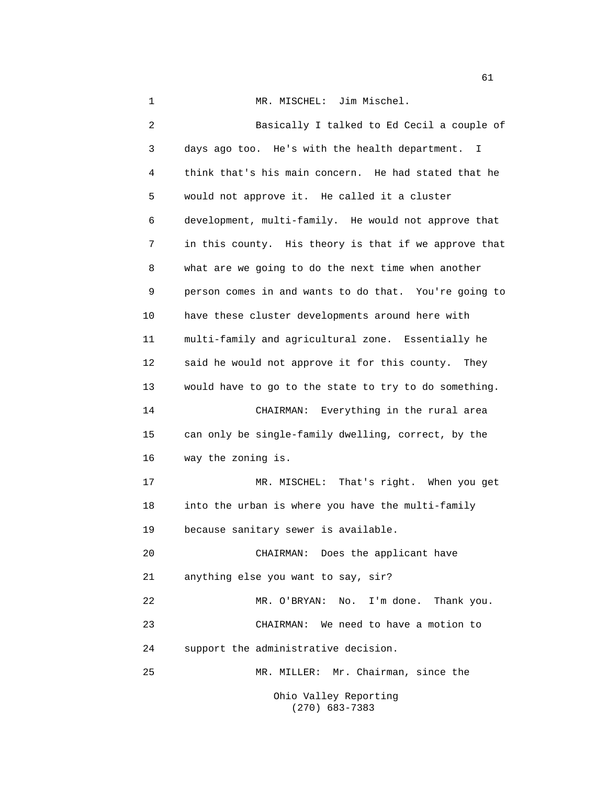1 MR. MISCHEL: Jim Mischel.

2 Basically I talked to Ed Cecil a couple of 3 days ago too. He's with the health department. I 4 think that's his main concern. He had stated that he 5 would not approve it. He called it a cluster 6 development, multi-family. He would not approve that 7 in this county. His theory is that if we approve that 8 what are we going to do the next time when another 9 person comes in and wants to do that. You're going to 10 have these cluster developments around here with 11 multi-family and agricultural zone. Essentially he 12 said he would not approve it for this county. They 13 would have to go to the state to try to do something. 14 CHAIRMAN: Everything in the rural area 15 can only be single-family dwelling, correct, by the 16 way the zoning is. 17 MR. MISCHEL: That's right. When you get 18 into the urban is where you have the multi-family 19 because sanitary sewer is available. 20 CHAIRMAN: Does the applicant have 21 anything else you want to say, sir? 22 MR. O'BRYAN: No. I'm done. Thank you. 23 CHAIRMAN: We need to have a motion to 24 support the administrative decision. 25 MR. MILLER: Mr. Chairman, since the Ohio Valley Reporting

(270) 683-7383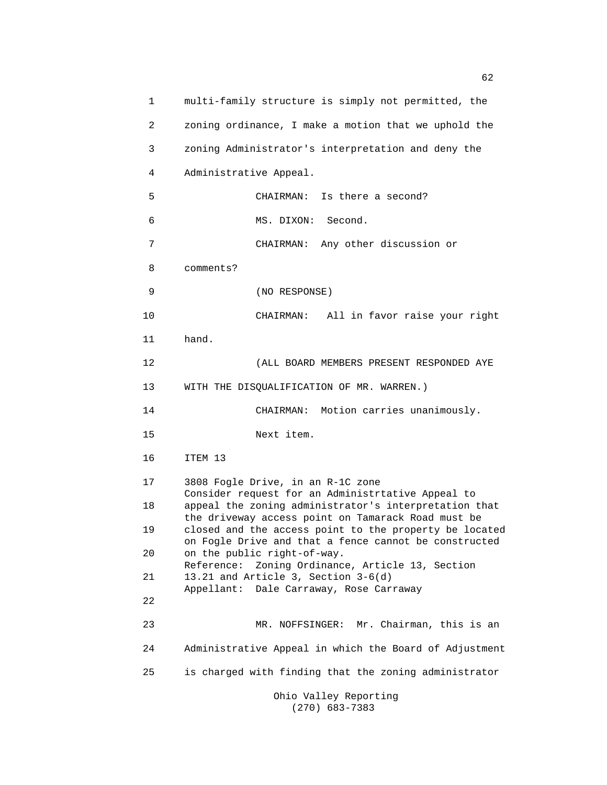1 multi-family structure is simply not permitted, the 2 zoning ordinance, I make a motion that we uphold the 3 zoning Administrator's interpretation and deny the 4 Administrative Appeal. 5 CHAIRMAN: Is there a second? 6 MS. DIXON: Second. 7 CHAIRMAN: Any other discussion or 8 comments? 9 (NO RESPONSE) 10 CHAIRMAN: All in favor raise your right 11 hand. 12 (ALL BOARD MEMBERS PRESENT RESPONDED AYE 13 WITH THE DISQUALIFICATION OF MR. WARREN.) 14 CHAIRMAN: Motion carries unanimously. 15 Next item. 16 ITEM 13 17 3808 Fogle Drive, in an R-1C zone Consider request for an Administrtative Appeal to 18 appeal the zoning administrator's interpretation that the driveway access point on Tamarack Road must be 19 closed and the access point to the property be located on Fogle Drive and that a fence cannot be constructed 20 on the public right-of-way. Reference: Zoning Ordinance, Article 13, Section 21 13.21 and Article 3, Section 3-6(d) Appellant: Dale Carraway, Rose Carraway 22 23 MR. NOFFSINGER: Mr. Chairman, this is an 24 Administrative Appeal in which the Board of Adjustment 25 is charged with finding that the zoning administrator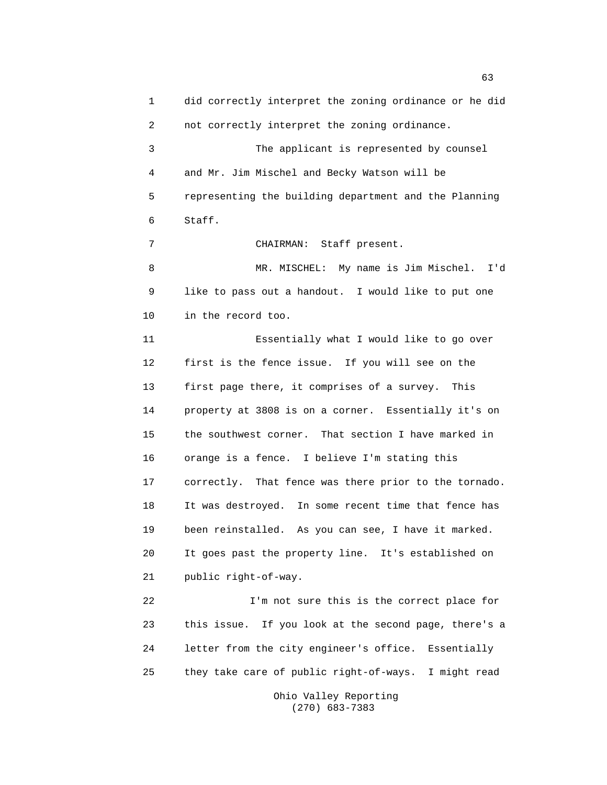1 did correctly interpret the zoning ordinance or he did 2 not correctly interpret the zoning ordinance. 3 The applicant is represented by counsel 4 and Mr. Jim Mischel and Becky Watson will be 5 representing the building department and the Planning 6 Staff. 7 CHAIRMAN: Staff present. 8 MR. MISCHEL: My name is Jim Mischel. I'd 9 like to pass out a handout. I would like to put one 10 in the record too. 11 Essentially what I would like to go over 12 first is the fence issue. If you will see on the 13 first page there, it comprises of a survey. This 14 property at 3808 is on a corner. Essentially it's on 15 the southwest corner. That section I have marked in 16 orange is a fence. I believe I'm stating this 17 correctly. That fence was there prior to the tornado. 18 It was destroyed. In some recent time that fence has 19 been reinstalled. As you can see, I have it marked. 20 It goes past the property line. It's established on 21 public right-of-way. 22 I'm not sure this is the correct place for 23 this issue. If you look at the second page, there's a 24 letter from the city engineer's office. Essentially 25 they take care of public right-of-ways. I might read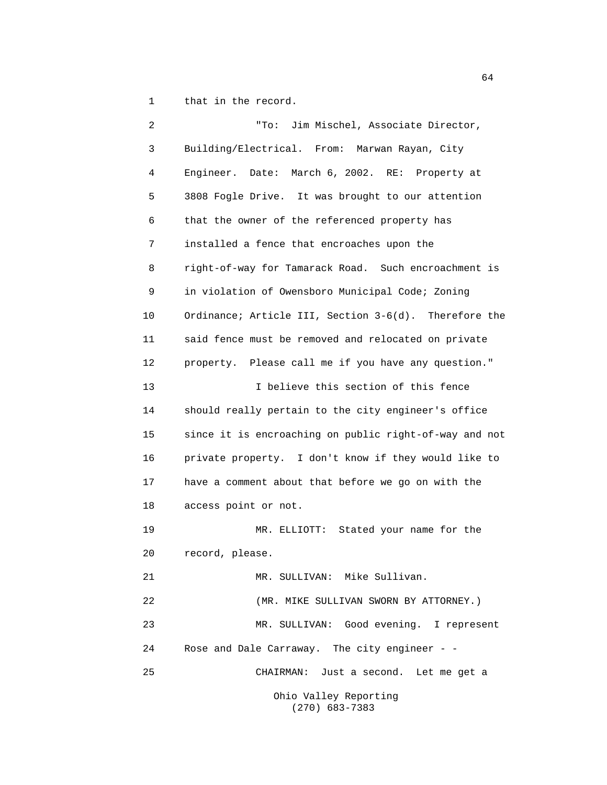1 that in the record.

2 "To: Jim Mischel, Associate Director, 3 Building/Electrical. From: Marwan Rayan, City 4 Engineer. Date: March 6, 2002. RE: Property at 5 3808 Fogle Drive. It was brought to our attention 6 that the owner of the referenced property has 7 installed a fence that encroaches upon the 8 right-of-way for Tamarack Road. Such encroachment is 9 in violation of Owensboro Municipal Code; Zoning 10 Ordinance; Article III, Section 3-6(d). Therefore the 11 said fence must be removed and relocated on private 12 property. Please call me if you have any question." 13 13 I believe this section of this fence 14 should really pertain to the city engineer's office 15 since it is encroaching on public right-of-way and not 16 private property. I don't know if they would like to 17 have a comment about that before we go on with the 18 access point or not. 19 MR. ELLIOTT: Stated your name for the 20 record, please. 21 MR. SULLIVAN: Mike Sullivan. 22 (MR. MIKE SULLIVAN SWORN BY ATTORNEY.) 23 MR. SULLIVAN: Good evening. I represent 24 Rose and Dale Carraway. The city engineer - - 25 CHAIRMAN: Just a second. Let me get a Ohio Valley Reporting (270) 683-7383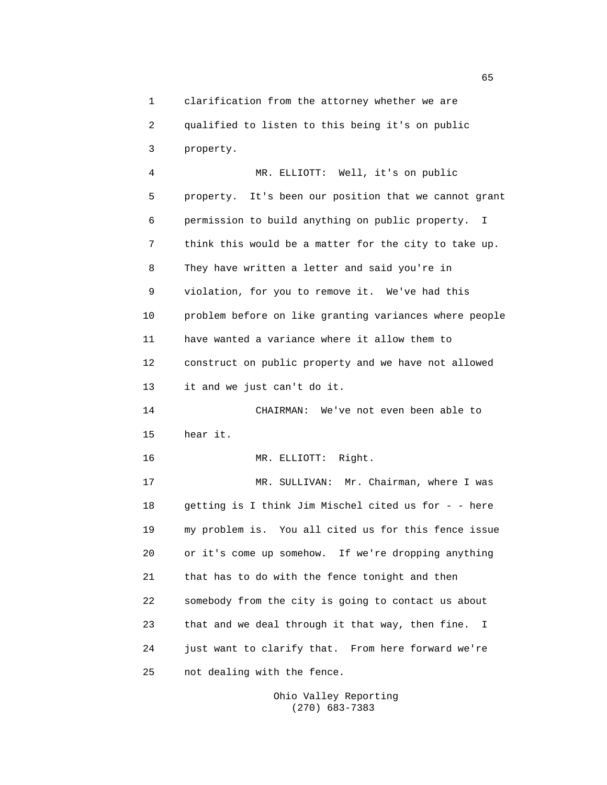1 clarification from the attorney whether we are 2 qualified to listen to this being it's on public 3 property.

4 MR. ELLIOTT: Well, it's on public 5 property. It's been our position that we cannot grant 6 permission to build anything on public property. I 7 think this would be a matter for the city to take up. 8 They have written a letter and said you're in 9 violation, for you to remove it. We've had this 10 problem before on like granting variances where people 11 have wanted a variance where it allow them to 12 construct on public property and we have not allowed 13 it and we just can't do it. 14 CHAIRMAN: We've not even been able to 15 hear it. 16 MR. ELLIOTT: Right. 17 MR. SULLIVAN: Mr. Chairman, where I was 18 getting is I think Jim Mischel cited us for - - here 19 my problem is. You all cited us for this fence issue 20 or it's come up somehow. If we're dropping anything 21 that has to do with the fence tonight and then 22 somebody from the city is going to contact us about 23 that and we deal through it that way, then fine. I 24 just want to clarify that. From here forward we're 25 not dealing with the fence.

> Ohio Valley Reporting (270) 683-7383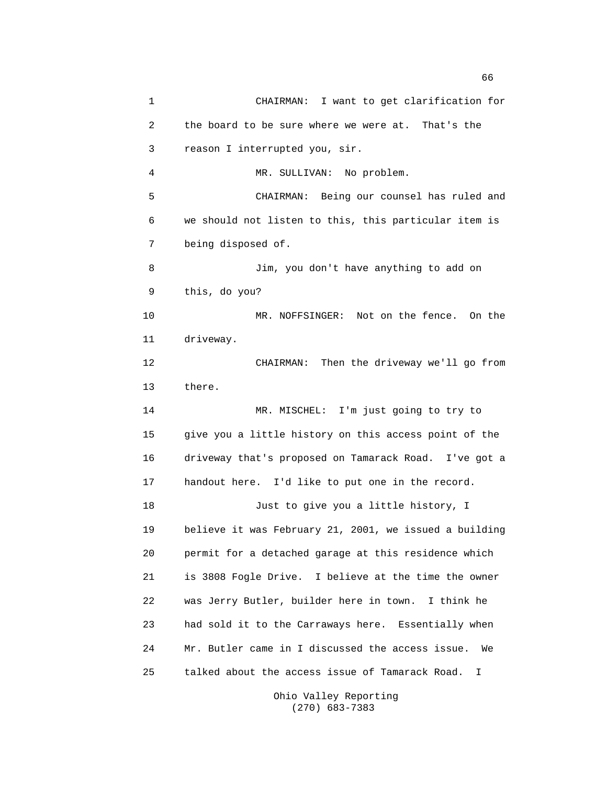1 CHAIRMAN: I want to get clarification for 2 the board to be sure where we were at. That's the 3 reason I interrupted you, sir. 4 MR. SULLIVAN: No problem. 5 CHAIRMAN: Being our counsel has ruled and 6 we should not listen to this, this particular item is 7 being disposed of. 8 Jim, you don't have anything to add on 9 this, do you? 10 MR. NOFFSINGER: Not on the fence. On the 11 driveway. 12 CHAIRMAN: Then the driveway we'll go from 13 there. 14 MR. MISCHEL: I'm just going to try to 15 give you a little history on this access point of the 16 driveway that's proposed on Tamarack Road. I've got a 17 handout here. I'd like to put one in the record. 18 Just to give you a little history, I 19 believe it was February 21, 2001, we issued a building 20 permit for a detached garage at this residence which 21 is 3808 Fogle Drive. I believe at the time the owner 22 was Jerry Butler, builder here in town. I think he 23 had sold it to the Carraways here. Essentially when 24 Mr. Butler came in I discussed the access issue. We 25 talked about the access issue of Tamarack Road. I

> Ohio Valley Reporting (270) 683-7383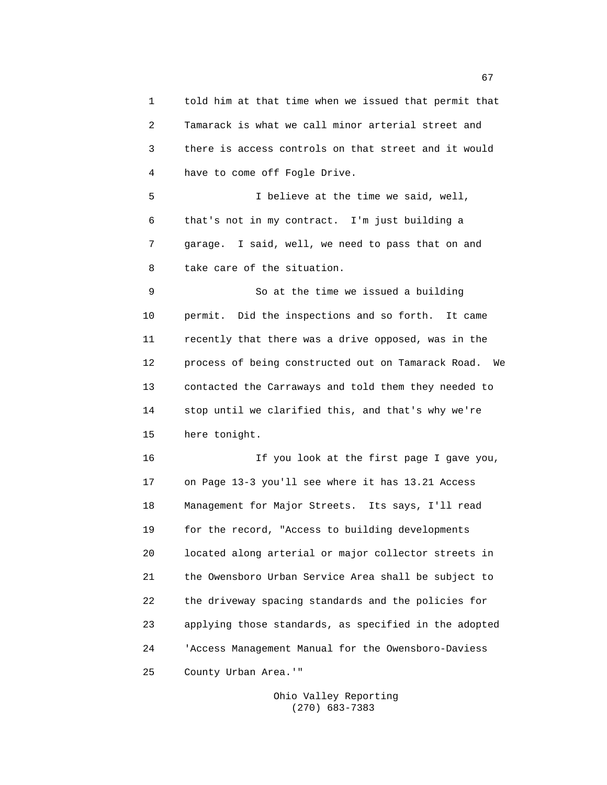1 told him at that time when we issued that permit that 2 Tamarack is what we call minor arterial street and 3 there is access controls on that street and it would 4 have to come off Fogle Drive.

5 I believe at the time we said, well, 6 that's not in my contract. I'm just building a 7 garage. I said, well, we need to pass that on and 8 take care of the situation.

9 So at the time we issued a building 10 permit. Did the inspections and so forth. It came 11 recently that there was a drive opposed, was in the 12 process of being constructed out on Tamarack Road. We 13 contacted the Carraways and told them they needed to 14 stop until we clarified this, and that's why we're 15 here tonight.

16 If you look at the first page I gave you, 17 on Page 13-3 you'll see where it has 13.21 Access 18 Management for Major Streets. Its says, I'll read 19 for the record, "Access to building developments 20 located along arterial or major collector streets in 21 the Owensboro Urban Service Area shall be subject to 22 the driveway spacing standards and the policies for 23 applying those standards, as specified in the adopted 24 'Access Management Manual for the Owensboro-Daviess 25 County Urban Area.'"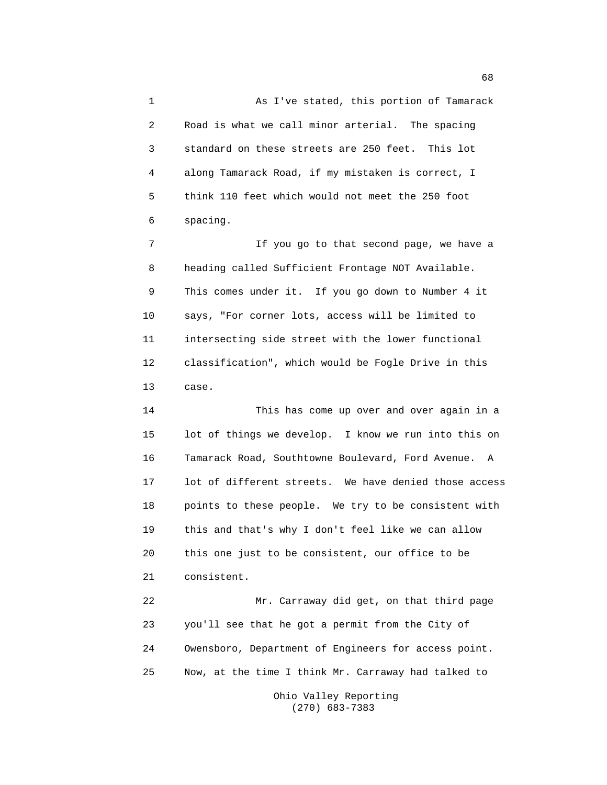1 As I've stated, this portion of Tamarack 2 Road is what we call minor arterial. The spacing 3 standard on these streets are 250 feet. This lot 4 along Tamarack Road, if my mistaken is correct, I 5 think 110 feet which would not meet the 250 foot 6 spacing.

7 If you go to that second page, we have a 8 heading called Sufficient Frontage NOT Available. 9 This comes under it. If you go down to Number 4 it 10 says, "For corner lots, access will be limited to 11 intersecting side street with the lower functional 12 classification", which would be Fogle Drive in this 13 case.

14 This has come up over and over again in a 15 lot of things we develop. I know we run into this on 16 Tamarack Road, Southtowne Boulevard, Ford Avenue. A 17 lot of different streets. We have denied those access 18 points to these people. We try to be consistent with 19 this and that's why I don't feel like we can allow 20 this one just to be consistent, our office to be 21 consistent.

22 Mr. Carraway did get, on that third page 23 you'll see that he got a permit from the City of 24 Owensboro, Department of Engineers for access point. 25 Now, at the time I think Mr. Carraway had talked to

> Ohio Valley Reporting (270) 683-7383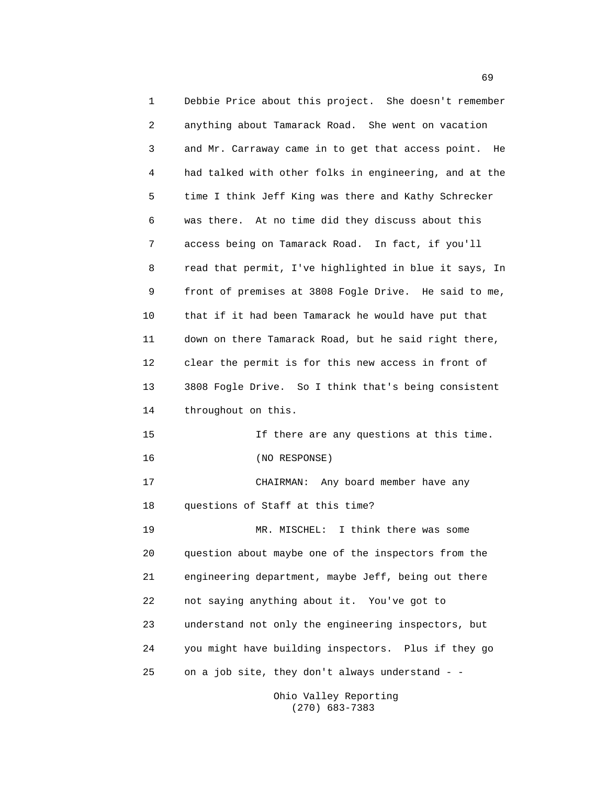1 Debbie Price about this project. She doesn't remember 2 anything about Tamarack Road. She went on vacation 3 and Mr. Carraway came in to get that access point. He 4 had talked with other folks in engineering, and at the 5 time I think Jeff King was there and Kathy Schrecker 6 was there. At no time did they discuss about this 7 access being on Tamarack Road. In fact, if you'll 8 read that permit, I've highlighted in blue it says, In 9 front of premises at 3808 Fogle Drive. He said to me, 10 that if it had been Tamarack he would have put that 11 down on there Tamarack Road, but he said right there, 12 clear the permit is for this new access in front of 13 3808 Fogle Drive. So I think that's being consistent 14 throughout on this. 15 If there are any questions at this time. 16 (NO RESPONSE) 17 CHAIRMAN: Any board member have any 18 questions of Staff at this time? 19 MR. MISCHEL: I think there was some 20 question about maybe one of the inspectors from the 21 engineering department, maybe Jeff, being out there 22 not saying anything about it. You've got to 23 understand not only the engineering inspectors, but 24 you might have building inspectors. Plus if they go 25 on a job site, they don't always understand - -

> Ohio Valley Reporting (270) 683-7383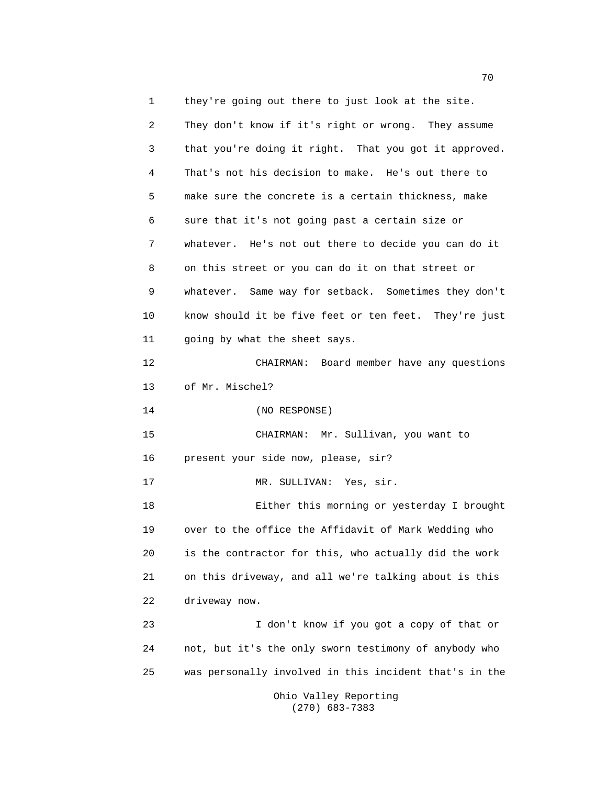1 they're going out there to just look at the site.

2 They don't know if it's right or wrong. They assume 3 that you're doing it right. That you got it approved. 4 That's not his decision to make. He's out there to 5 make sure the concrete is a certain thickness, make 6 sure that it's not going past a certain size or 7 whatever. He's not out there to decide you can do it 8 on this street or you can do it on that street or 9 whatever. Same way for setback. Sometimes they don't 10 know should it be five feet or ten feet. They're just 11 going by what the sheet says. 12 CHAIRMAN: Board member have any questions 13 of Mr. Mischel? 14 (NO RESPONSE) 15 CHAIRMAN: Mr. Sullivan, you want to 16 present your side now, please, sir? 17 MR. SULLIVAN: Yes, sir. 18 Either this morning or yesterday I brought 19 over to the office the Affidavit of Mark Wedding who 20 is the contractor for this, who actually did the work 21 on this driveway, and all we're talking about is this 22 driveway now. 23 I don't know if you got a copy of that or 24 not, but it's the only sworn testimony of anybody who 25 was personally involved in this incident that's in the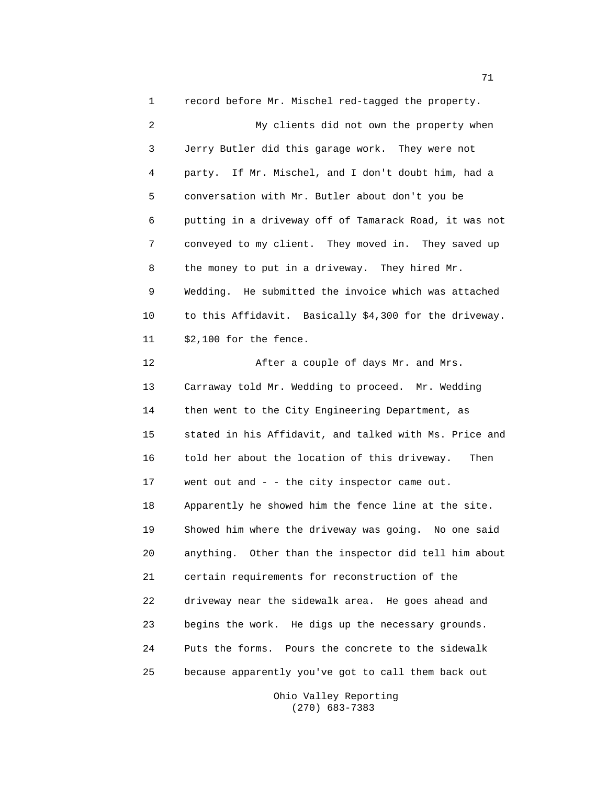1 record before Mr. Mischel red-tagged the property. 2 My clients did not own the property when 3 Jerry Butler did this garage work. They were not 4 party. If Mr. Mischel, and I don't doubt him, had a 5 conversation with Mr. Butler about don't you be 6 putting in a driveway off of Tamarack Road, it was not 7 conveyed to my client. They moved in. They saved up 8 the money to put in a driveway. They hired Mr. 9 Wedding. He submitted the invoice which was attached 10 to this Affidavit. Basically \$4,300 for the driveway. 11 \$2,100 for the fence. 12 After a couple of days Mr. and Mrs. 13 Carraway told Mr. Wedding to proceed. Mr. Wedding 14 then went to the City Engineering Department, as 15 stated in his Affidavit, and talked with Ms. Price and 16 told her about the location of this driveway. Then 17 went out and - - the city inspector came out. 18 Apparently he showed him the fence line at the site. 19 Showed him where the driveway was going. No one said 20 anything. Other than the inspector did tell him about 21 certain requirements for reconstruction of the

22 driveway near the sidewalk area. He goes ahead and 23 begins the work. He digs up the necessary grounds. 24 Puts the forms. Pours the concrete to the sidewalk 25 because apparently you've got to call them back out

> Ohio Valley Reporting (270) 683-7383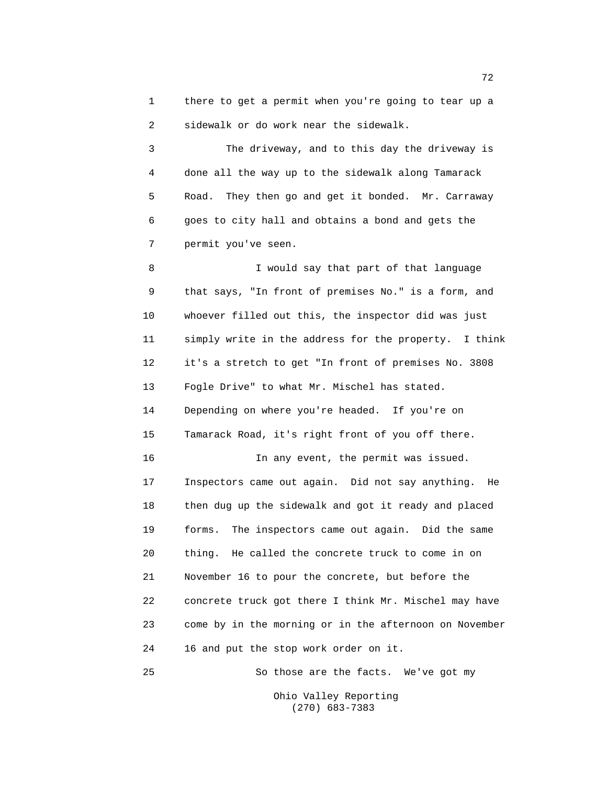1 there to get a permit when you're going to tear up a 2 sidewalk or do work near the sidewalk.

3 The driveway, and to this day the driveway is 4 done all the way up to the sidewalk along Tamarack 5 Road. They then go and get it bonded. Mr. Carraway 6 goes to city hall and obtains a bond and gets the 7 permit you've seen.

8 I would say that part of that language 9 that says, "In front of premises No." is a form, and 10 whoever filled out this, the inspector did was just 11 simply write in the address for the property. I think 12 it's a stretch to get "In front of premises No. 3808 13 Fogle Drive" to what Mr. Mischel has stated. 14 Depending on where you're headed. If you're on 15 Tamarack Road, it's right front of you off there. 16 In any event, the permit was issued. 17 Inspectors came out again. Did not say anything. He 18 then dug up the sidewalk and got it ready and placed 19 forms. The inspectors came out again. Did the same 20 thing. He called the concrete truck to come in on 21 November 16 to pour the concrete, but before the 22 concrete truck got there I think Mr. Mischel may have 23 come by in the morning or in the afternoon on November 24 16 and put the stop work order on it.

25 So those are the facts. We've got my Ohio Valley Reporting

(270) 683-7383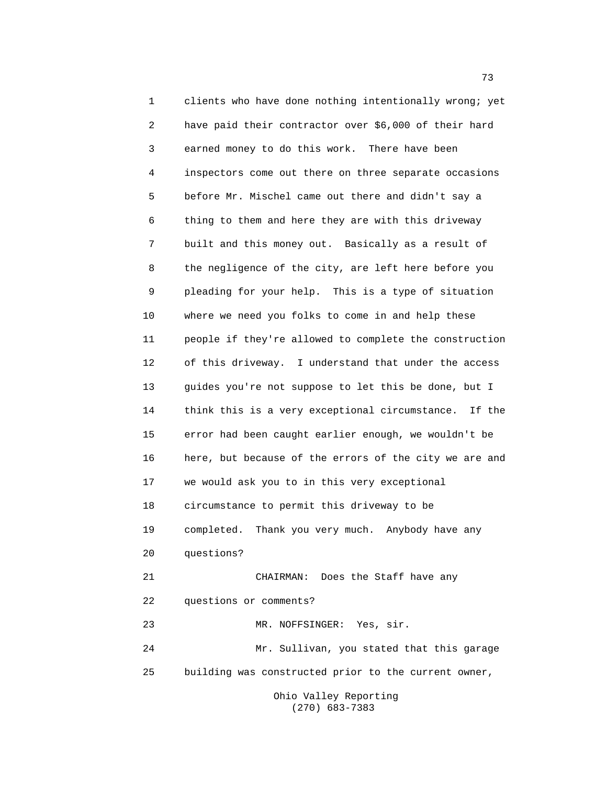1 clients who have done nothing intentionally wrong; yet 2 have paid their contractor over \$6,000 of their hard 3 earned money to do this work. There have been 4 inspectors come out there on three separate occasions 5 before Mr. Mischel came out there and didn't say a 6 thing to them and here they are with this driveway 7 built and this money out. Basically as a result of 8 the negligence of the city, are left here before you 9 pleading for your help. This is a type of situation 10 where we need you folks to come in and help these 11 people if they're allowed to complete the construction 12 of this driveway. I understand that under the access 13 guides you're not suppose to let this be done, but I 14 think this is a very exceptional circumstance. If the 15 error had been caught earlier enough, we wouldn't be 16 here, but because of the errors of the city we are and 17 we would ask you to in this very exceptional 18 circumstance to permit this driveway to be 19 completed. Thank you very much. Anybody have any 20 questions? 21 CHAIRMAN: Does the Staff have any 22 questions or comments? 23 MR. NOFFSINGER: Yes, sir. 24 Mr. Sullivan, you stated that this garage 25 building was constructed prior to the current owner,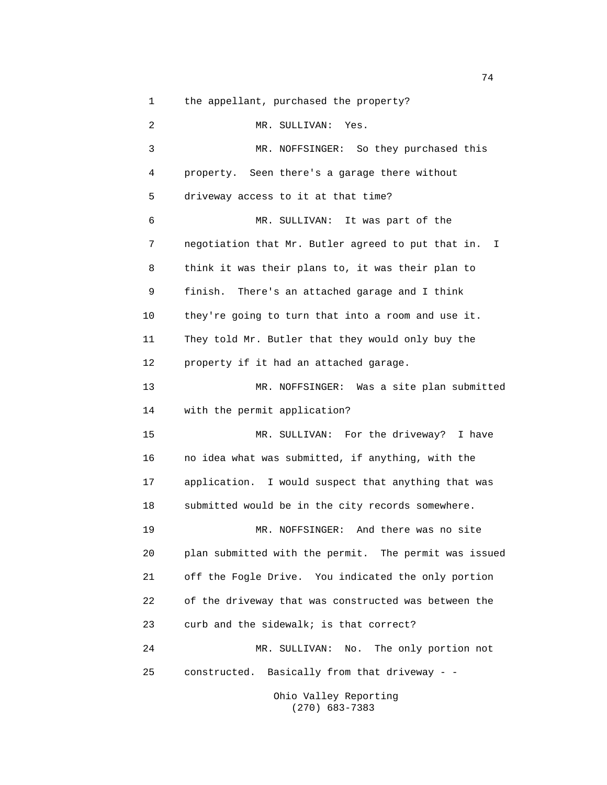1 the appellant, purchased the property?

2 MR. SULLIVAN: Yes. 3 MR. NOFFSINGER: So they purchased this 4 property. Seen there's a garage there without 5 driveway access to it at that time? 6 MR. SULLIVAN: It was part of the 7 negotiation that Mr. Butler agreed to put that in. I 8 think it was their plans to, it was their plan to 9 finish. There's an attached garage and I think 10 they're going to turn that into a room and use it. 11 They told Mr. Butler that they would only buy the 12 property if it had an attached garage. 13 MR. NOFFSINGER: Was a site plan submitted 14 with the permit application? 15 MR. SULLIVAN: For the driveway? I have 16 no idea what was submitted, if anything, with the 17 application. I would suspect that anything that was 18 submitted would be in the city records somewhere. 19 MR. NOFFSINGER: And there was no site 20 plan submitted with the permit. The permit was issued 21 off the Fogle Drive. You indicated the only portion 22 of the driveway that was constructed was between the 23 curb and the sidewalk; is that correct? 24 MR. SULLIVAN: No. The only portion not 25 constructed. Basically from that driveway - -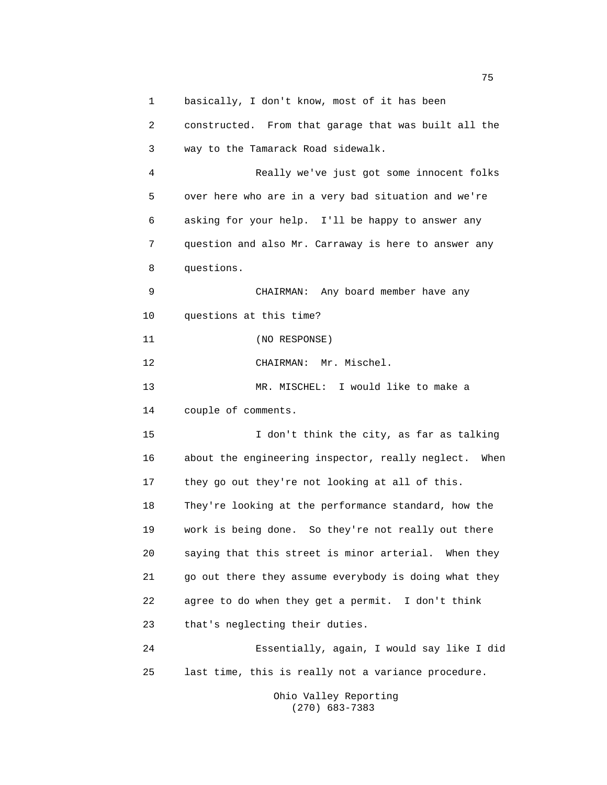1 basically, I don't know, most of it has been 2 constructed. From that garage that was built all the 3 way to the Tamarack Road sidewalk. 4 Really we've just got some innocent folks 5 over here who are in a very bad situation and we're 6 asking for your help. I'll be happy to answer any 7 question and also Mr. Carraway is here to answer any 8 questions. 9 CHAIRMAN: Any board member have any 10 questions at this time? 11 (NO RESPONSE) 12 CHAIRMAN: Mr. Mischel. 13 MR. MISCHEL: I would like to make a 14 couple of comments. 15 I don't think the city, as far as talking 16 about the engineering inspector, really neglect. When 17 they go out they're not looking at all of this. 18 They're looking at the performance standard, how the 19 work is being done. So they're not really out there 20 saying that this street is minor arterial. When they 21 go out there they assume everybody is doing what they 22 agree to do when they get a permit. I don't think 23 that's neglecting their duties. 24 Essentially, again, I would say like I did 25 last time, this is really not a variance procedure.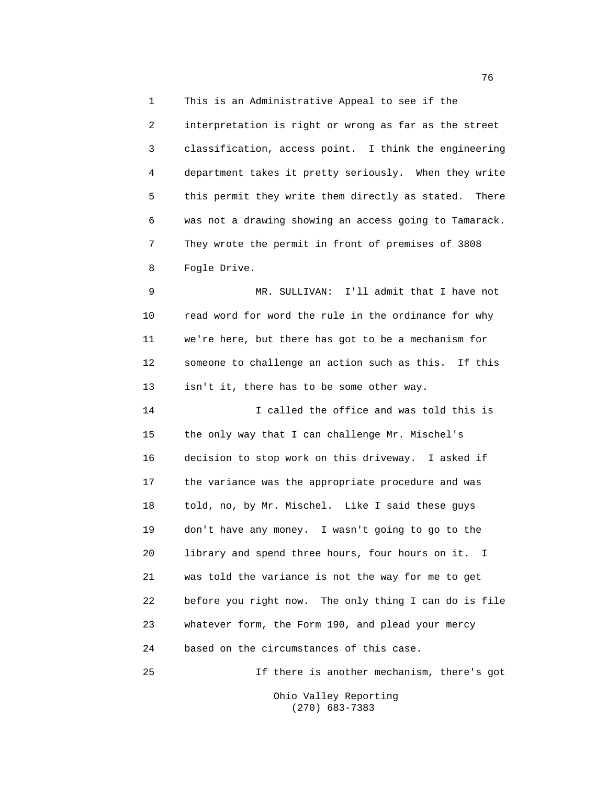1 This is an Administrative Appeal to see if the

2 interpretation is right or wrong as far as the street 3 classification, access point. I think the engineering 4 department takes it pretty seriously. When they write 5 this permit they write them directly as stated. There 6 was not a drawing showing an access going to Tamarack. 7 They wrote the permit in front of premises of 3808 8 Fogle Drive.

9 MR. SULLIVAN: I'll admit that I have not 10 read word for word the rule in the ordinance for why 11 we're here, but there has got to be a mechanism for 12 someone to challenge an action such as this. If this 13 isn't it, there has to be some other way.

14 I called the office and was told this is 15 the only way that I can challenge Mr. Mischel's 16 decision to stop work on this driveway. I asked if 17 the variance was the appropriate procedure and was 18 told, no, by Mr. Mischel. Like I said these guys 19 don't have any money. I wasn't going to go to the 20 library and spend three hours, four hours on it. I 21 was told the variance is not the way for me to get 22 before you right now. The only thing I can do is file 23 whatever form, the Form 190, and plead your mercy 24 based on the circumstances of this case.

25 If there is another mechanism, there's got

Ohio Valley Reporting (270) 683-7383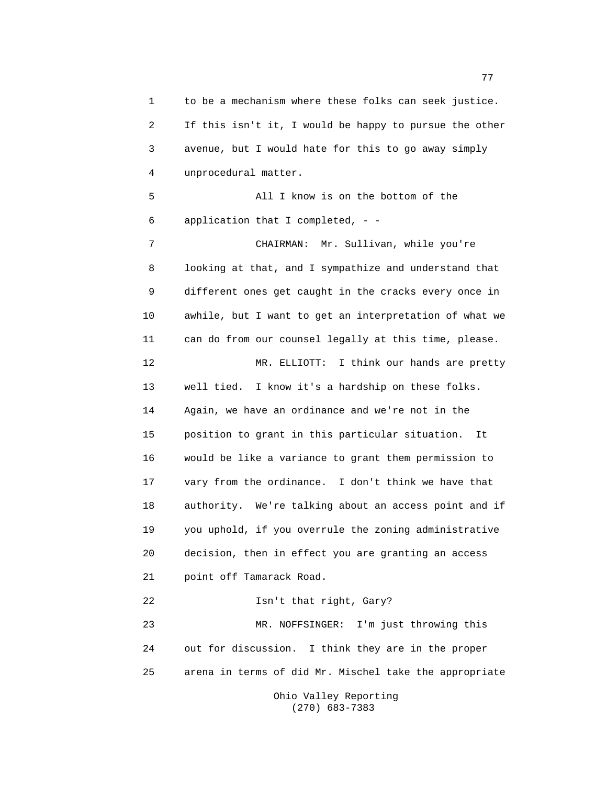1 to be a mechanism where these folks can seek justice. 2 If this isn't it, I would be happy to pursue the other 3 avenue, but I would hate for this to go away simply 4 unprocedural matter. 5 All I know is on the bottom of the 6 application that I completed, - - 7 CHAIRMAN: Mr. Sullivan, while you're 8 looking at that, and I sympathize and understand that 9 different ones get caught in the cracks every once in 10 awhile, but I want to get an interpretation of what we 11 can do from our counsel legally at this time, please. 12 MR. ELLIOTT: I think our hands are pretty 13 well tied. I know it's a hardship on these folks. 14 Again, we have an ordinance and we're not in the 15 position to grant in this particular situation. It 16 would be like a variance to grant them permission to 17 vary from the ordinance. I don't think we have that 18 authority. We're talking about an access point and if 19 you uphold, if you overrule the zoning administrative 20 decision, then in effect you are granting an access 21 point off Tamarack Road. 22 Isn't that right, Gary? 23 MR. NOFFSINGER: I'm just throwing this 24 out for discussion. I think they are in the proper 25 arena in terms of did Mr. Mischel take the appropriate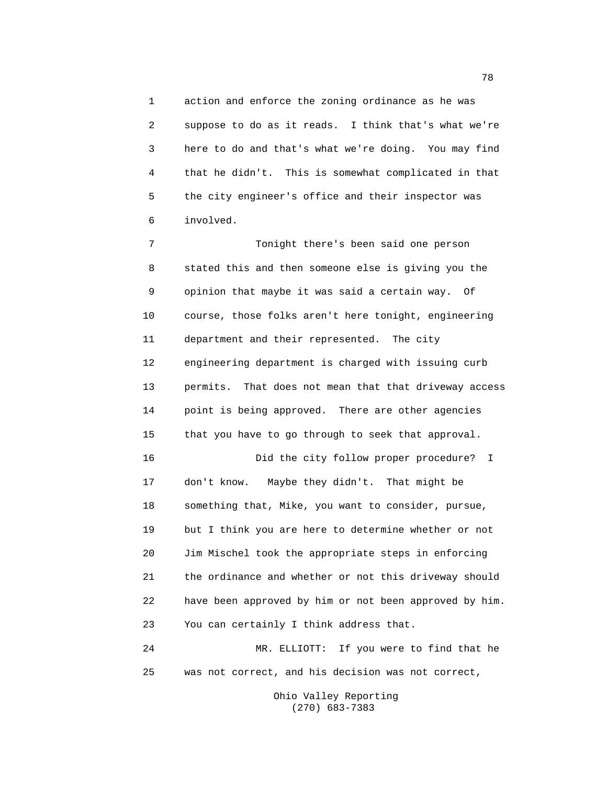1 action and enforce the zoning ordinance as he was 2 suppose to do as it reads. I think that's what we're 3 here to do and that's what we're doing. You may find 4 that he didn't. This is somewhat complicated in that 5 the city engineer's office and their inspector was 6 involved.

7 Tonight there's been said one person 8 stated this and then someone else is giving you the 9 opinion that maybe it was said a certain way. Of 10 course, those folks aren't here tonight, engineering 11 department and their represented. The city 12 engineering department is charged with issuing curb 13 permits. That does not mean that that driveway access 14 point is being approved. There are other agencies 15 that you have to go through to seek that approval. 16 Did the city follow proper procedure? I 17 don't know. Maybe they didn't. That might be 18 something that, Mike, you want to consider, pursue, 19 but I think you are here to determine whether or not 20 Jim Mischel took the appropriate steps in enforcing 21 the ordinance and whether or not this driveway should 22 have been approved by him or not been approved by him. 23 You can certainly I think address that. 24 MR. ELLIOTT: If you were to find that he 25 was not correct, and his decision was not correct,

> Ohio Valley Reporting (270) 683-7383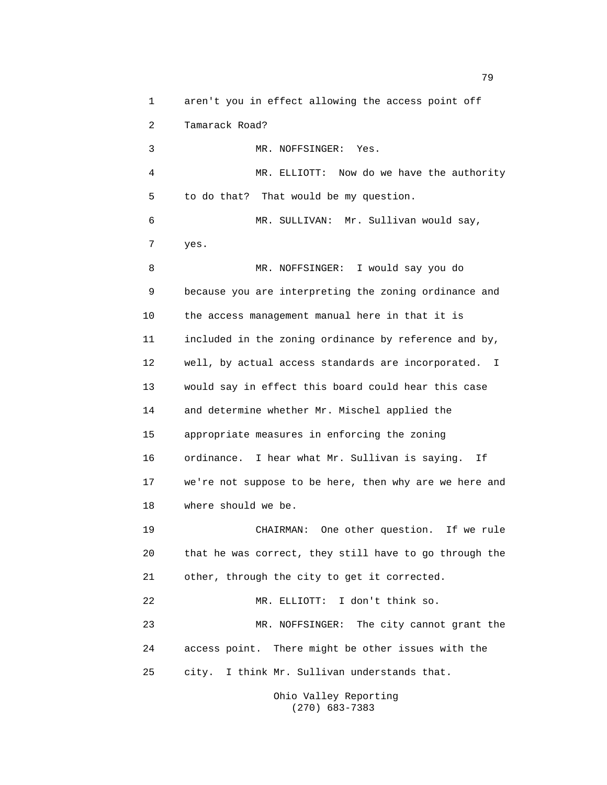1 aren't you in effect allowing the access point off 2 Tamarack Road? 3 MR. NOFFSINGER: Yes. 4 MR. ELLIOTT: Now do we have the authority 5 to do that? That would be my question. 6 MR. SULLIVAN: Mr. Sullivan would say, 7 yes. 8 MR. NOFFSINGER: I would say you do 9 because you are interpreting the zoning ordinance and 10 the access management manual here in that it is 11 included in the zoning ordinance by reference and by, 12 well, by actual access standards are incorporated. I 13 would say in effect this board could hear this case 14 and determine whether Mr. Mischel applied the 15 appropriate measures in enforcing the zoning 16 ordinance. I hear what Mr. Sullivan is saying. If 17 we're not suppose to be here, then why are we here and 18 where should we be. 19 CHAIRMAN: One other question. If we rule 20 that he was correct, they still have to go through the 21 other, through the city to get it corrected. 22 MR. ELLIOTT: I don't think so. 23 MR. NOFFSINGER: The city cannot grant the 24 access point. There might be other issues with the 25 city. I think Mr. Sullivan understands that.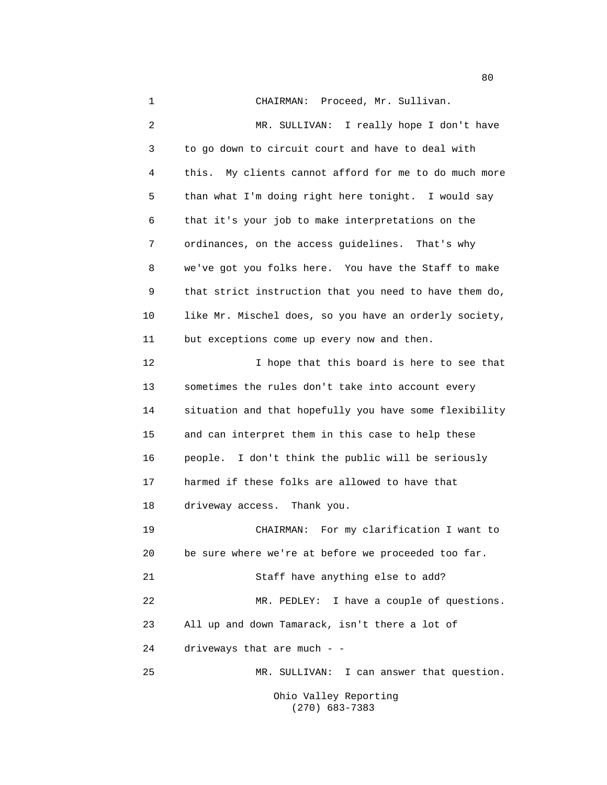1 CHAIRMAN: Proceed, Mr. Sullivan. 2 MR. SULLIVAN: I really hope I don't have 3 to go down to circuit court and have to deal with 4 this. My clients cannot afford for me to do much more 5 than what I'm doing right here tonight. I would say 6 that it's your job to make interpretations on the 7 ordinances, on the access guidelines. That's why 8 we've got you folks here. You have the Staff to make 9 that strict instruction that you need to have them do, 10 like Mr. Mischel does, so you have an orderly society, 11 but exceptions come up every now and then. 12 I hope that this board is here to see that 13 sometimes the rules don't take into account every 14 situation and that hopefully you have some flexibility 15 and can interpret them in this case to help these 16 people. I don't think the public will be seriously 17 harmed if these folks are allowed to have that 18 driveway access. Thank you. 19 CHAIRMAN: For my clarification I want to 20 be sure where we're at before we proceeded too far. 21 Staff have anything else to add? 22 MR. PEDLEY: I have a couple of questions. 23 All up and down Tamarack, isn't there a lot of 24 driveways that are much - - 25 MR. SULLIVAN: I can answer that question. Ohio Valley Reporting

(270) 683-7383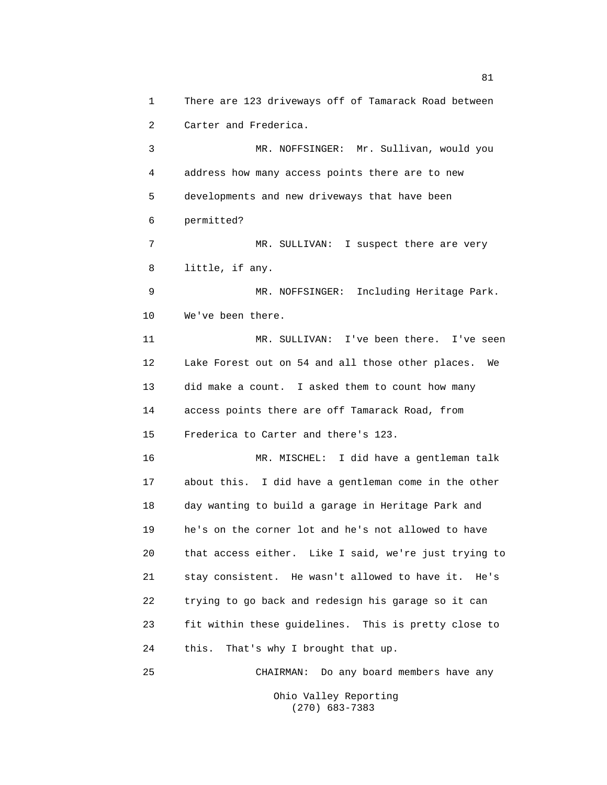1 There are 123 driveways off of Tamarack Road between 2 Carter and Frederica.

3 MR. NOFFSINGER: Mr. Sullivan, would you 4 address how many access points there are to new 5 developments and new driveways that have been 6 permitted?

7 MR. SULLIVAN: I suspect there are very 8 little, if any.

9 MR. NOFFSINGER: Including Heritage Park. 10 We've been there.

11 MR. SULLIVAN: I've been there. I've seen 12 Lake Forest out on 54 and all those other places. We 13 did make a count. I asked them to count how many 14 access points there are off Tamarack Road, from 15 Frederica to Carter and there's 123.

16 MR. MISCHEL: I did have a gentleman talk 17 about this. I did have a gentleman come in the other 18 day wanting to build a garage in Heritage Park and 19 he's on the corner lot and he's not allowed to have 20 that access either. Like I said, we're just trying to 21 stay consistent. He wasn't allowed to have it. He's 22 trying to go back and redesign his garage so it can 23 fit within these guidelines. This is pretty close to 24 this. That's why I brought that up.

25 CHAIRMAN: Do any board members have any Ohio Valley Reporting

(270) 683-7383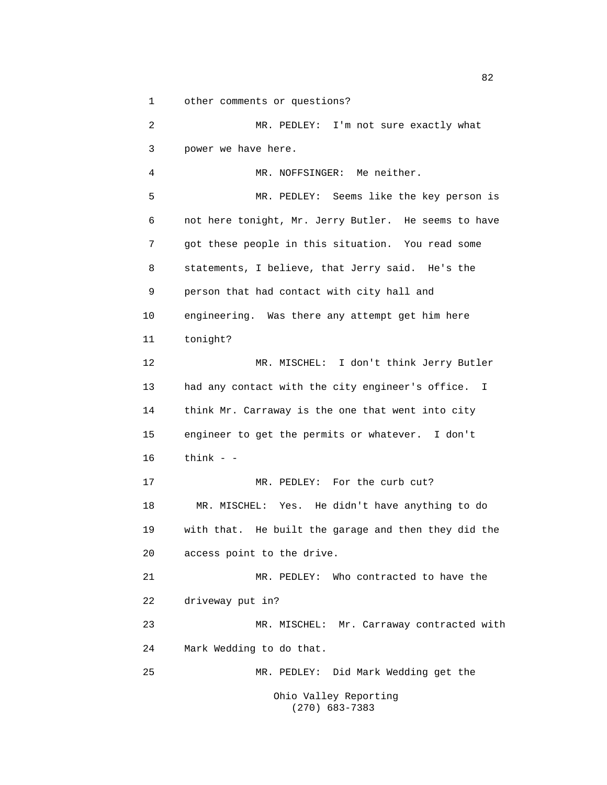1 other comments or questions? 2 MR. PEDLEY: I'm not sure exactly what 3 power we have here. 4 MR. NOFFSINGER: Me neither. 5 MR. PEDLEY: Seems like the key person is 6 not here tonight, Mr. Jerry Butler. He seems to have 7 got these people in this situation. You read some 8 statements, I believe, that Jerry said. He's the 9 person that had contact with city hall and 10 engineering. Was there any attempt get him here 11 tonight? 12 MR. MISCHEL: I don't think Jerry Butler 13 had any contact with the city engineer's office. I 14 think Mr. Carraway is the one that went into city 15 engineer to get the permits or whatever. I don't 16 think - - 17 MR. PEDLEY: For the curb cut? 18 MR. MISCHEL: Yes. He didn't have anything to do 19 with that. He built the garage and then they did the 20 access point to the drive. 21 MR. PEDLEY: Who contracted to have the 22 driveway put in? 23 MR. MISCHEL: Mr. Carraway contracted with 24 Mark Wedding to do that. 25 MR. PEDLEY: Did Mark Wedding get the Ohio Valley Reporting (270) 683-7383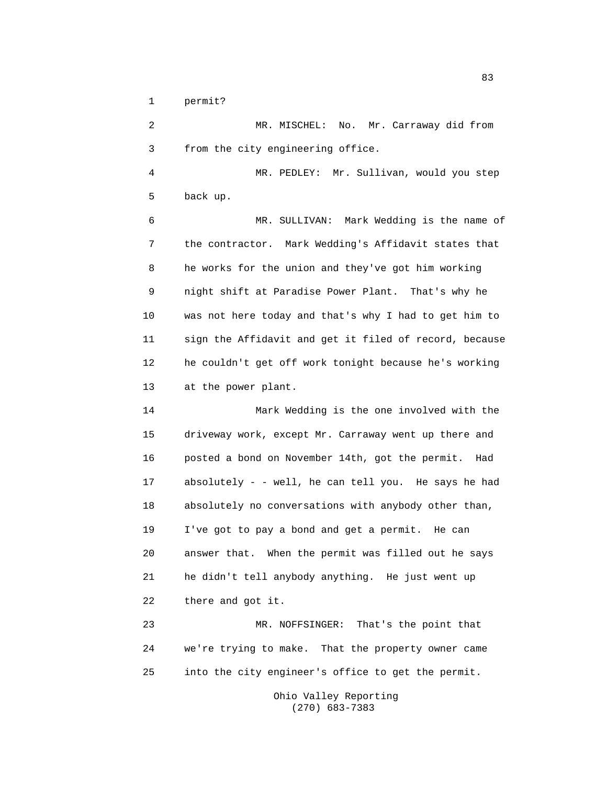1 permit?

2 MR. MISCHEL: No. Mr. Carraway did from 3 from the city engineering office. 4 MR. PEDLEY: Mr. Sullivan, would you step 5 back up. 6 MR. SULLIVAN: Mark Wedding is the name of 7 the contractor. Mark Wedding's Affidavit states that 8 he works for the union and they've got him working 9 night shift at Paradise Power Plant. That's why he 10 was not here today and that's why I had to get him to 11 sign the Affidavit and get it filed of record, because 12 he couldn't get off work tonight because he's working 13 at the power plant. 14 Mark Wedding is the one involved with the 15 driveway work, except Mr. Carraway went up there and 16 posted a bond on November 14th, got the permit. Had 17 absolutely - - well, he can tell you. He says he had 18 absolutely no conversations with anybody other than, 19 I've got to pay a bond and get a permit. He can 20 answer that. When the permit was filled out he says 21 he didn't tell anybody anything. He just went up 22 there and got it. 23 MR. NOFFSINGER: That's the point that 24 we're trying to make. That the property owner came 25 into the city engineer's office to get the permit.

> Ohio Valley Reporting (270) 683-7383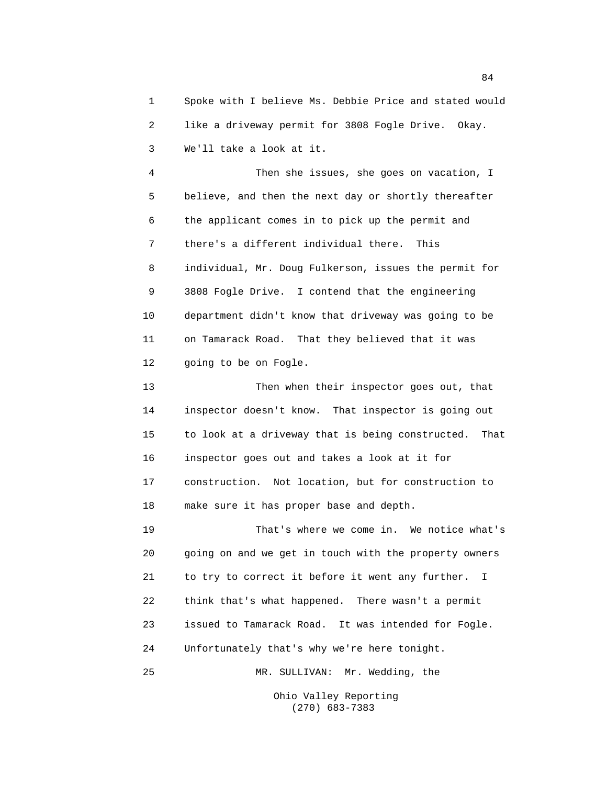1 Spoke with I believe Ms. Debbie Price and stated would 2 like a driveway permit for 3808 Fogle Drive. Okay. 3 We'll take a look at it.

4 Then she issues, she goes on vacation, I 5 believe, and then the next day or shortly thereafter 6 the applicant comes in to pick up the permit and 7 there's a different individual there. This 8 individual, Mr. Doug Fulkerson, issues the permit for 9 3808 Fogle Drive. I contend that the engineering 10 department didn't know that driveway was going to be 11 on Tamarack Road. That they believed that it was 12 going to be on Fogle.

13 Then when their inspector goes out, that 14 inspector doesn't know. That inspector is going out 15 to look at a driveway that is being constructed. That 16 inspector goes out and takes a look at it for 17 construction. Not location, but for construction to 18 make sure it has proper base and depth.

19 That's where we come in. We notice what's 20 going on and we get in touch with the property owners 21 to try to correct it before it went any further. I 22 think that's what happened. There wasn't a permit 23 issued to Tamarack Road. It was intended for Fogle. 24 Unfortunately that's why we're here tonight. 25 MR. SULLIVAN: Mr. Wedding, the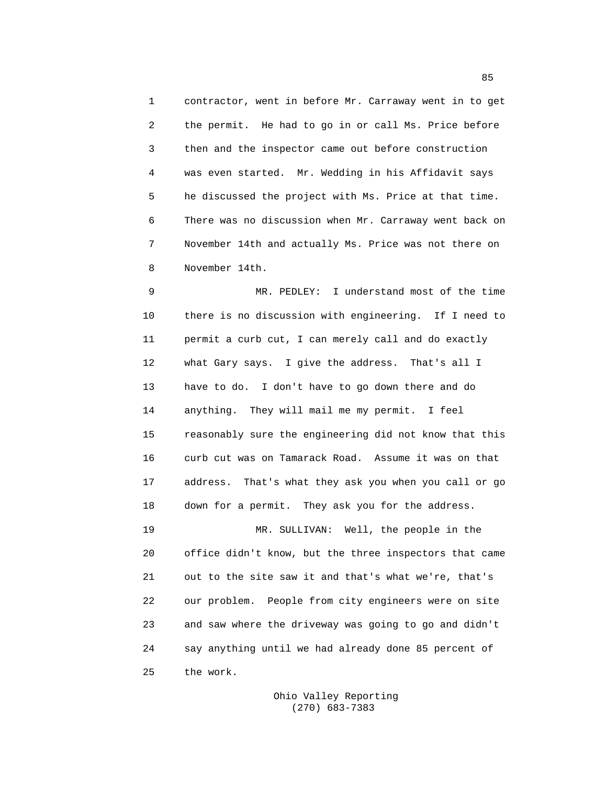1 contractor, went in before Mr. Carraway went in to get 2 the permit. He had to go in or call Ms. Price before 3 then and the inspector came out before construction 4 was even started. Mr. Wedding in his Affidavit says 5 he discussed the project with Ms. Price at that time. 6 There was no discussion when Mr. Carraway went back on 7 November 14th and actually Ms. Price was not there on 8 November 14th.

9 MR. PEDLEY: I understand most of the time 10 there is no discussion with engineering. If I need to 11 permit a curb cut, I can merely call and do exactly 12 what Gary says. I give the address. That's all I 13 have to do. I don't have to go down there and do 14 anything. They will mail me my permit. I feel 15 reasonably sure the engineering did not know that this 16 curb cut was on Tamarack Road. Assume it was on that 17 address. That's what they ask you when you call or go 18 down for a permit. They ask you for the address. 19 MR. SULLIVAN: Well, the people in the

20 office didn't know, but the three inspectors that came 21 out to the site saw it and that's what we're, that's 22 our problem. People from city engineers were on site 23 and saw where the driveway was going to go and didn't 24 say anything until we had already done 85 percent of 25 the work.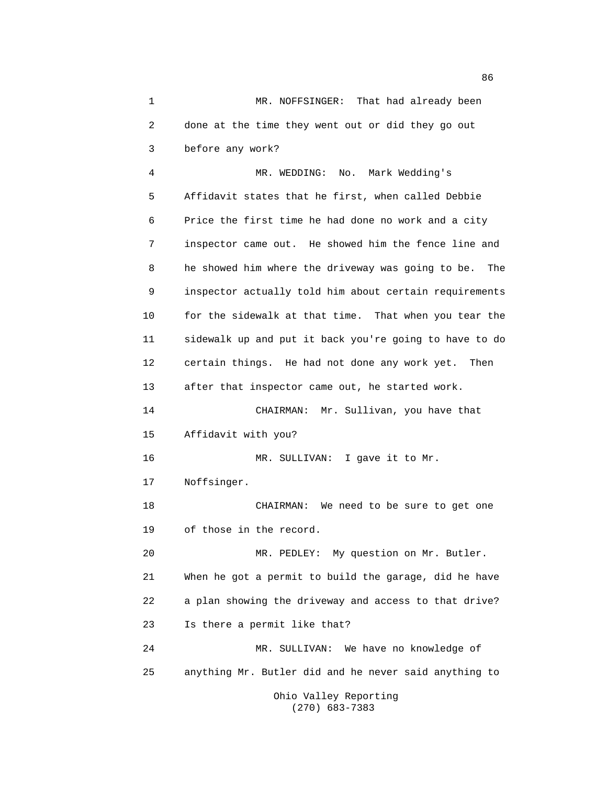1 MR. NOFFSINGER: That had already been 2 done at the time they went out or did they go out 3 before any work?

4 MR. WEDDING: No. Mark Wedding's 5 Affidavit states that he first, when called Debbie 6 Price the first time he had done no work and a city 7 inspector came out. He showed him the fence line and 8 he showed him where the driveway was going to be. The 9 inspector actually told him about certain requirements 10 for the sidewalk at that time. That when you tear the 11 sidewalk up and put it back you're going to have to do 12 certain things. He had not done any work yet. Then 13 after that inspector came out, he started work. 14 CHAIRMAN: Mr. Sullivan, you have that 15 Affidavit with you? 16 MR. SULLIVAN: I gave it to Mr. 17 Noffsinger. 18 CHAIRMAN: We need to be sure to get one 19 of those in the record. 20 MR. PEDLEY: My question on Mr. Butler. 21 When he got a permit to build the garage, did he have 22 a plan showing the driveway and access to that drive? 23 Is there a permit like that? 24 MR. SULLIVAN: We have no knowledge of 25 anything Mr. Butler did and he never said anything to Ohio Valley Reporting

(270) 683-7383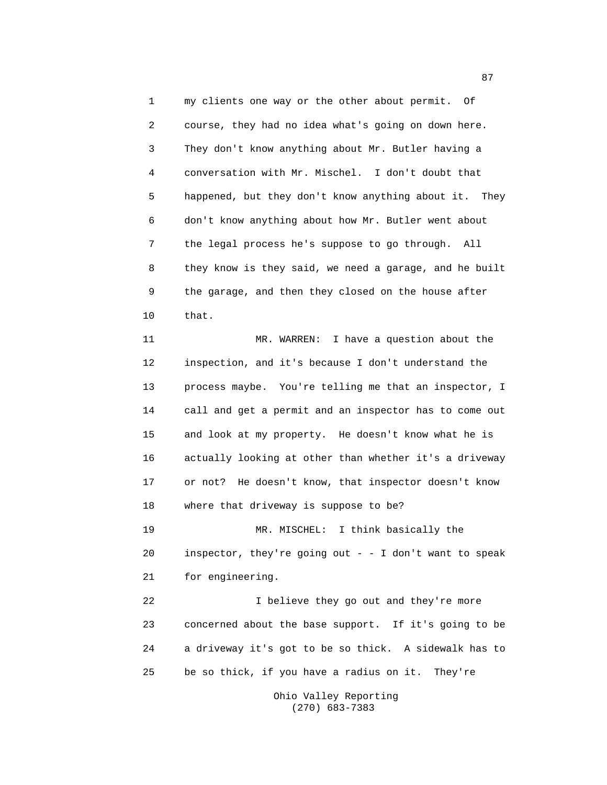1 my clients one way or the other about permit. Of 2 course, they had no idea what's going on down here. 3 They don't know anything about Mr. Butler having a 4 conversation with Mr. Mischel. I don't doubt that 5 happened, but they don't know anything about it. They 6 don't know anything about how Mr. Butler went about 7 the legal process he's suppose to go through. All 8 they know is they said, we need a garage, and he built 9 the garage, and then they closed on the house after 10 that.

11 MR. WARREN: I have a question about the 12 inspection, and it's because I don't understand the 13 process maybe. You're telling me that an inspector, I 14 call and get a permit and an inspector has to come out 15 and look at my property. He doesn't know what he is 16 actually looking at other than whether it's a driveway 17 or not? He doesn't know, that inspector doesn't know 18 where that driveway is suppose to be?

19 MR. MISCHEL: I think basically the 20 inspector, they're going out - - I don't want to speak 21 for engineering.

22 I believe they go out and they're more 23 concerned about the base support. If it's going to be 24 a driveway it's got to be so thick. A sidewalk has to 25 be so thick, if you have a radius on it. They're

> Ohio Valley Reporting (270) 683-7383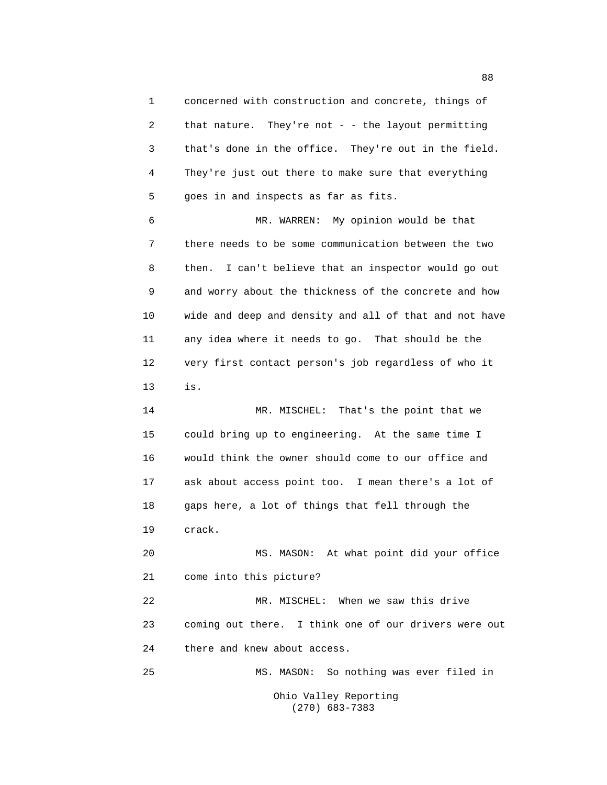1 concerned with construction and concrete, things of 2 that nature. They're not - - the layout permitting 3 that's done in the office. They're out in the field. 4 They're just out there to make sure that everything 5 goes in and inspects as far as fits. 6 MR. WARREN: My opinion would be that 7 there needs to be some communication between the two 8 then. I can't believe that an inspector would go out 9 and worry about the thickness of the concrete and how 10 wide and deep and density and all of that and not have 11 any idea where it needs to go. That should be the 12 very first contact person's job regardless of who it

13 is.

14 MR. MISCHEL: That's the point that we 15 could bring up to engineering. At the same time I 16 would think the owner should come to our office and 17 ask about access point too. I mean there's a lot of 18 gaps here, a lot of things that fell through the 19 crack.

20 MS. MASON: At what point did your office 21 come into this picture?

22 MR. MISCHEL: When we saw this drive 23 coming out there. I think one of our drivers were out 24 there and knew about access.

25 MS. MASON: So nothing was ever filed in

Ohio Valley Reporting (270) 683-7383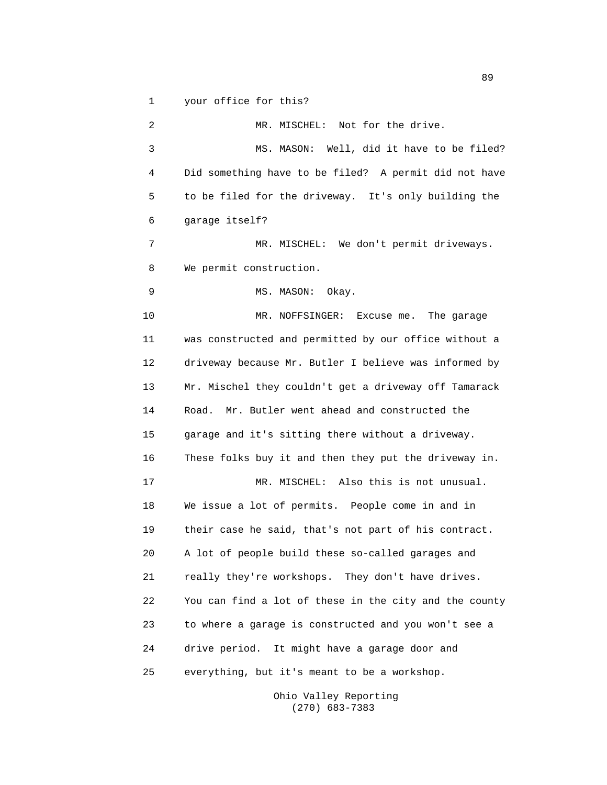1 your office for this?

2 MR. MISCHEL: Not for the drive. 3 MS. MASON: Well, did it have to be filed? 4 Did something have to be filed? A permit did not have 5 to be filed for the driveway. It's only building the 6 garage itself? 7 MR. MISCHEL: We don't permit driveways. 8 We permit construction. 9 MS. MASON: Okay. 10 MR. NOFFSINGER: Excuse me. The garage 11 was constructed and permitted by our office without a 12 driveway because Mr. Butler I believe was informed by 13 Mr. Mischel they couldn't get a driveway off Tamarack 14 Road. Mr. Butler went ahead and constructed the 15 garage and it's sitting there without a driveway. 16 These folks buy it and then they put the driveway in. 17 MR. MISCHEL: Also this is not unusual. 18 We issue a lot of permits. People come in and in 19 their case he said, that's not part of his contract. 20 A lot of people build these so-called garages and 21 really they're workshops. They don't have drives. 22 You can find a lot of these in the city and the county 23 to where a garage is constructed and you won't see a 24 drive period. It might have a garage door and 25 everything, but it's meant to be a workshop.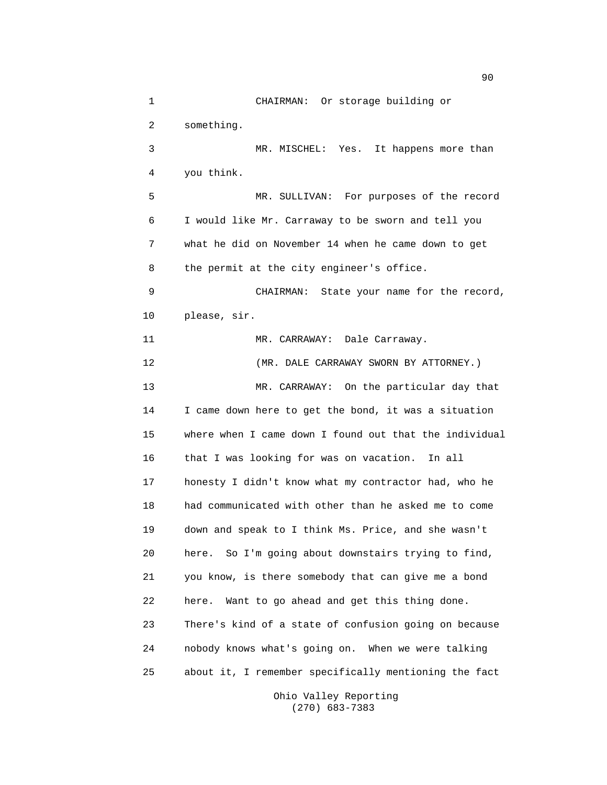1 CHAIRMAN: Or storage building or 2 something. 3 MR. MISCHEL: Yes. It happens more than 4 you think. 5 MR. SULLIVAN: For purposes of the record 6 I would like Mr. Carraway to be sworn and tell you 7 what he did on November 14 when he came down to get 8 the permit at the city engineer's office. 9 CHAIRMAN: State your name for the record, 10 please, sir. 11 MR. CARRAWAY: Dale Carraway. 12 (MR. DALE CARRAWAY SWORN BY ATTORNEY.) 13 MR. CARRAWAY: On the particular day that 14 I came down here to get the bond, it was a situation 15 where when I came down I found out that the individual 16 that I was looking for was on vacation. In all 17 honesty I didn't know what my contractor had, who he 18 had communicated with other than he asked me to come 19 down and speak to I think Ms. Price, and she wasn't 20 here. So I'm going about downstairs trying to find, 21 you know, is there somebody that can give me a bond 22 here. Want to go ahead and get this thing done. 23 There's kind of a state of confusion going on because 24 nobody knows what's going on. When we were talking 25 about it, I remember specifically mentioning the fact

Ohio Valley Reporting (270) 683-7383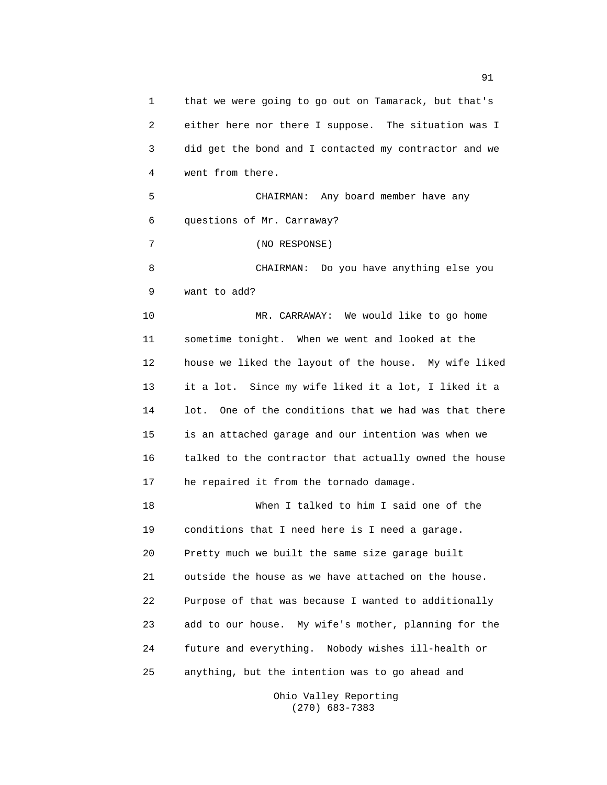1 that we were going to go out on Tamarack, but that's 2 either here nor there I suppose. The situation was I 3 did get the bond and I contacted my contractor and we 4 went from there. 5 CHAIRMAN: Any board member have any 6 questions of Mr. Carraway? 7 (NO RESPONSE) 8 CHAIRMAN: Do you have anything else you 9 want to add? 10 MR. CARRAWAY: We would like to go home 11 sometime tonight. When we went and looked at the 12 house we liked the layout of the house. My wife liked 13 it a lot. Since my wife liked it a lot, I liked it a 14 lot. One of the conditions that we had was that there 15 is an attached garage and our intention was when we 16 talked to the contractor that actually owned the house 17 he repaired it from the tornado damage. 18 When I talked to him I said one of the 19 conditions that I need here is I need a garage. 20 Pretty much we built the same size garage built 21 outside the house as we have attached on the house. 22 Purpose of that was because I wanted to additionally 23 add to our house. My wife's mother, planning for the 24 future and everything. Nobody wishes ill-health or 25 anything, but the intention was to go ahead and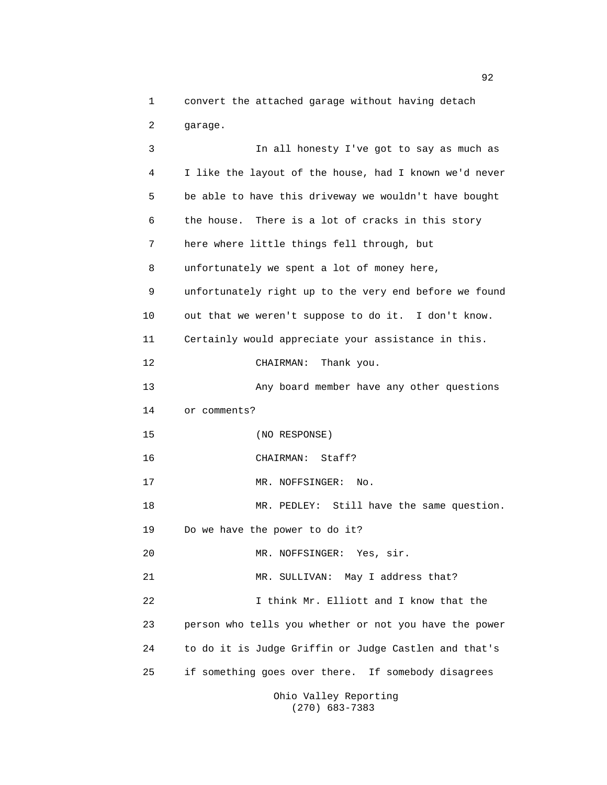1 convert the attached garage without having detach 2 garage.

3 In all honesty I've got to say as much as 4 I like the layout of the house, had I known we'd never 5 be able to have this driveway we wouldn't have bought 6 the house. There is a lot of cracks in this story 7 here where little things fell through, but 8 unfortunately we spent a lot of money here, 9 unfortunately right up to the very end before we found 10 out that we weren't suppose to do it. I don't know. 11 Certainly would appreciate your assistance in this. 12 CHAIRMAN: Thank you. 13 Any board member have any other questions 14 or comments? 15 (NO RESPONSE) 16 CHAIRMAN: Staff? 17 MR. NOFFSINGER: No. 18 MR. PEDLEY: Still have the same question. 19 Do we have the power to do it? 20 MR. NOFFSINGER: Yes, sir. 21 MR. SULLIVAN: May I address that? 22 I think Mr. Elliott and I know that the 23 person who tells you whether or not you have the power 24 to do it is Judge Griffin or Judge Castlen and that's 25 if something goes over there. If somebody disagrees Ohio Valley Reporting (270) 683-7383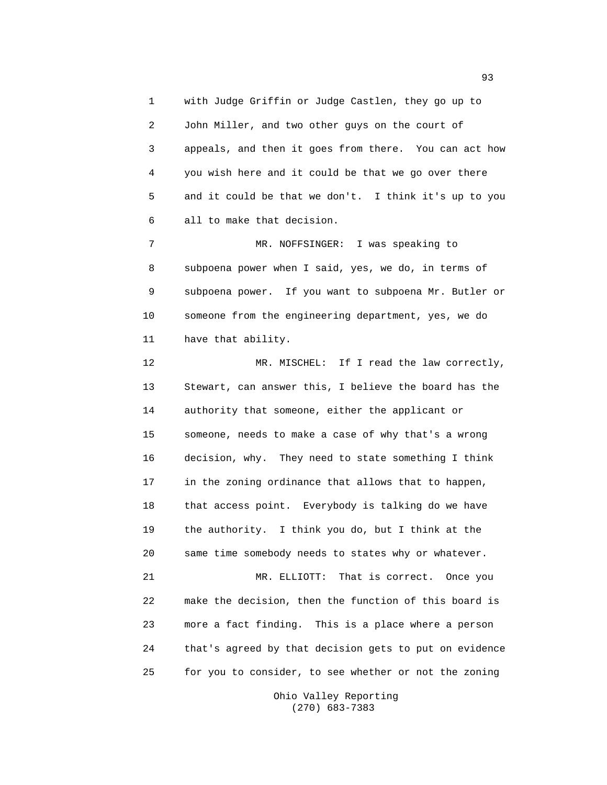1 with Judge Griffin or Judge Castlen, they go up to 2 John Miller, and two other guys on the court of 3 appeals, and then it goes from there. You can act how 4 you wish here and it could be that we go over there 5 and it could be that we don't. I think it's up to you 6 all to make that decision.

7 MR. NOFFSINGER: I was speaking to 8 subpoena power when I said, yes, we do, in terms of 9 subpoena power. If you want to subpoena Mr. Butler or 10 someone from the engineering department, yes, we do 11 have that ability.

12 MR. MISCHEL: If I read the law correctly, 13 Stewart, can answer this, I believe the board has the 14 authority that someone, either the applicant or 15 someone, needs to make a case of why that's a wrong 16 decision, why. They need to state something I think 17 in the zoning ordinance that allows that to happen, 18 that access point. Everybody is talking do we have 19 the authority. I think you do, but I think at the 20 same time somebody needs to states why or whatever. 21 MR. ELLIOTT: That is correct. Once you 22 make the decision, then the function of this board is 23 more a fact finding. This is a place where a person 24 that's agreed by that decision gets to put on evidence 25 for you to consider, to see whether or not the zoning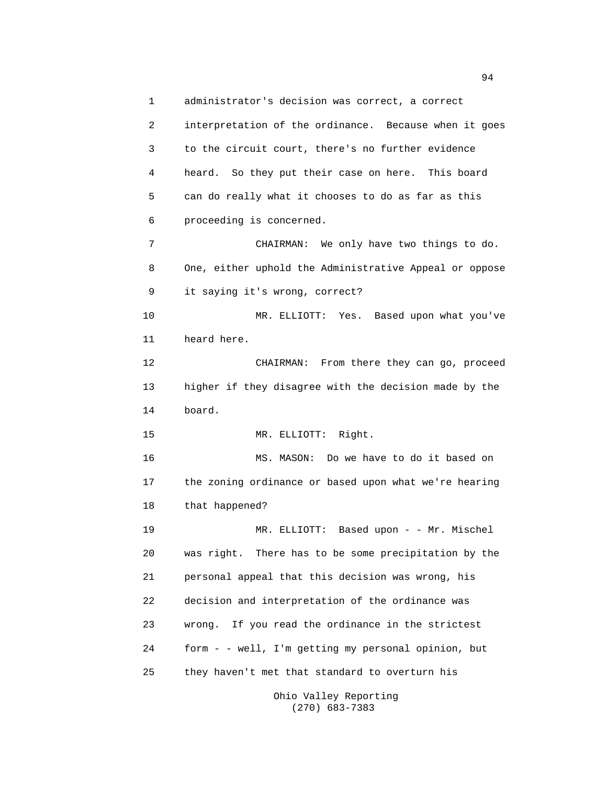1 administrator's decision was correct, a correct 2 interpretation of the ordinance. Because when it goes 3 to the circuit court, there's no further evidence 4 heard. So they put their case on here. This board 5 can do really what it chooses to do as far as this 6 proceeding is concerned. 7 CHAIRMAN: We only have two things to do. 8 One, either uphold the Administrative Appeal or oppose 9 it saying it's wrong, correct? 10 MR. ELLIOTT: Yes. Based upon what you've 11 heard here. 12 CHAIRMAN: From there they can go, proceed 13 higher if they disagree with the decision made by the 14 board. 15 MR. ELLIOTT: Right. 16 MS. MASON: Do we have to do it based on 17 the zoning ordinance or based upon what we're hearing 18 that happened? 19 MR. ELLIOTT: Based upon - - Mr. Mischel 20 was right. There has to be some precipitation by the 21 personal appeal that this decision was wrong, his 22 decision and interpretation of the ordinance was 23 wrong. If you read the ordinance in the strictest 24 form - - well, I'm getting my personal opinion, but 25 they haven't met that standard to overturn his

Ohio Valley Reporting (270) 683-7383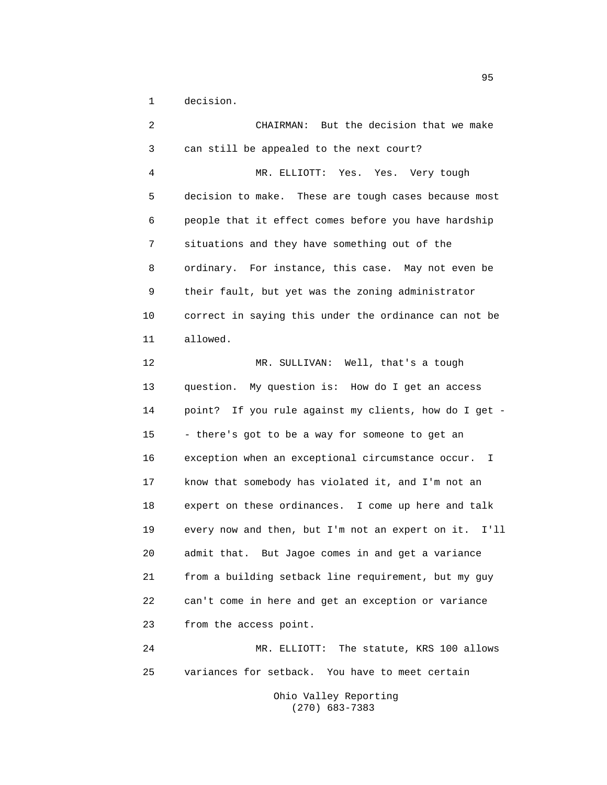1 decision.

2 CHAIRMAN: But the decision that we make 3 can still be appealed to the next court? 4 MR. ELLIOTT: Yes. Yes. Very tough 5 decision to make. These are tough cases because most 6 people that it effect comes before you have hardship 7 situations and they have something out of the 8 ordinary. For instance, this case. May not even be 9 their fault, but yet was the zoning administrator 10 correct in saying this under the ordinance can not be 11 allowed. 12 MR. SULLIVAN: Well, that's a tough 13 question. My question is: How do I get an access 14 point? If you rule against my clients, how do I get - 15 - there's got to be a way for someone to get an 16 exception when an exceptional circumstance occur. I 17 know that somebody has violated it, and I'm not an 18 expert on these ordinances. I come up here and talk 19 every now and then, but I'm not an expert on it. I'll 20 admit that. But Jagoe comes in and get a variance 21 from a building setback line requirement, but my guy 22 can't come in here and get an exception or variance 23 from the access point. 24 MR. ELLIOTT: The statute, KRS 100 allows 25 variances for setback. You have to meet certain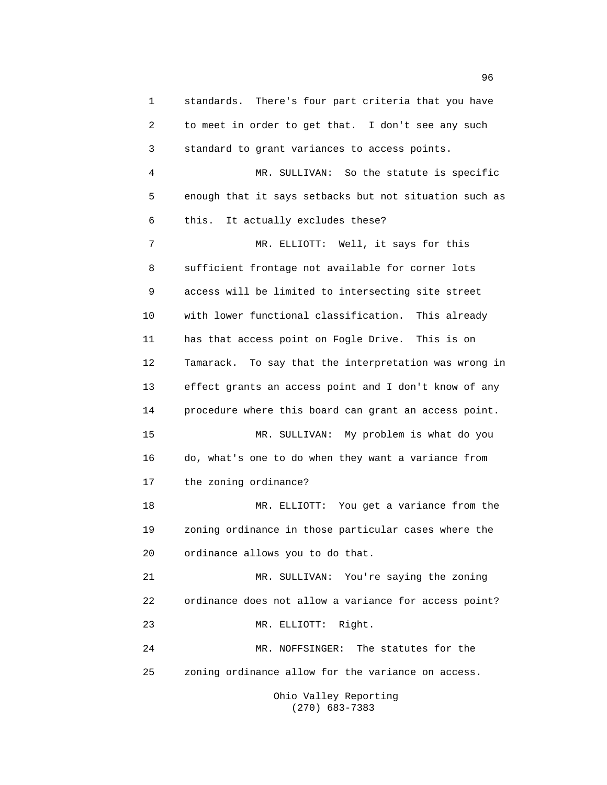1 standards. There's four part criteria that you have 2 to meet in order to get that. I don't see any such 3 standard to grant variances to access points. 4 MR. SULLIVAN: So the statute is specific 5 enough that it says setbacks but not situation such as 6 this. It actually excludes these? 7 MR. ELLIOTT: Well, it says for this 8 sufficient frontage not available for corner lots 9 access will be limited to intersecting site street 10 with lower functional classification. This already 11 has that access point on Fogle Drive. This is on 12 Tamarack. To say that the interpretation was wrong in 13 effect grants an access point and I don't know of any 14 procedure where this board can grant an access point. 15 MR. SULLIVAN: My problem is what do you 16 do, what's one to do when they want a variance from 17 the zoning ordinance? 18 MR. ELLIOTT: You get a variance from the 19 zoning ordinance in those particular cases where the 20 ordinance allows you to do that. 21 MR. SULLIVAN: You're saying the zoning 22 ordinance does not allow a variance for access point? 23 MR. ELLIOTT: Right. 24 MR. NOFFSINGER: The statutes for the 25 zoning ordinance allow for the variance on access.

Ohio Valley Reporting (270) 683-7383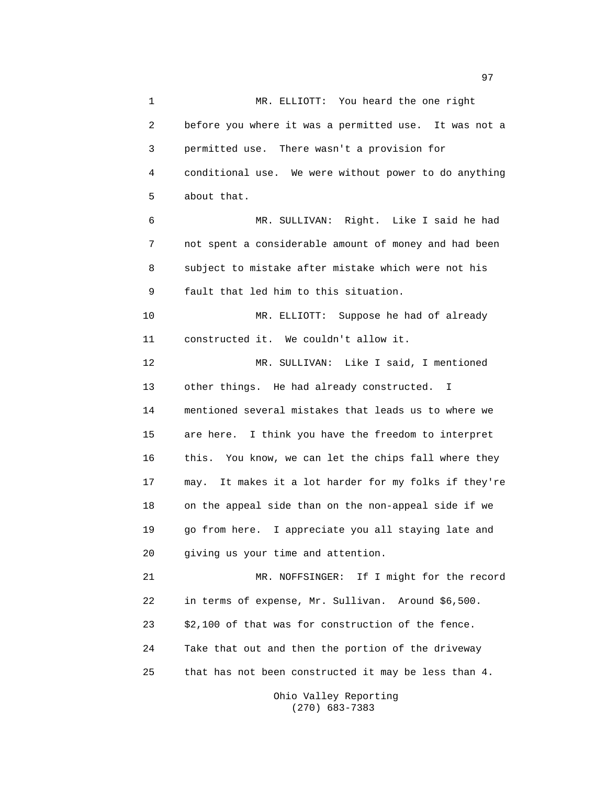97

1 MR. ELLIOTT: You heard the one right 2 before you where it was a permitted use. It was not a 3 permitted use. There wasn't a provision for 4 conditional use. We were without power to do anything 5 about that. 6 MR. SULLIVAN: Right. Like I said he had 7 not spent a considerable amount of money and had been 8 subject to mistake after mistake which were not his 9 fault that led him to this situation. 10 MR. ELLIOTT: Suppose he had of already 11 constructed it. We couldn't allow it. 12 MR. SULLIVAN: Like I said, I mentioned 13 other things. He had already constructed. I 14 mentioned several mistakes that leads us to where we 15 are here. I think you have the freedom to interpret 16 this. You know, we can let the chips fall where they 17 may. It makes it a lot harder for my folks if they're 18 on the appeal side than on the non-appeal side if we 19 go from here. I appreciate you all staying late and 20 giving us your time and attention. 21 MR. NOFFSINGER: If I might for the record 22 in terms of expense, Mr. Sullivan. Around \$6,500. 23 \$2,100 of that was for construction of the fence. 24 Take that out and then the portion of the driveway 25 that has not been constructed it may be less than 4.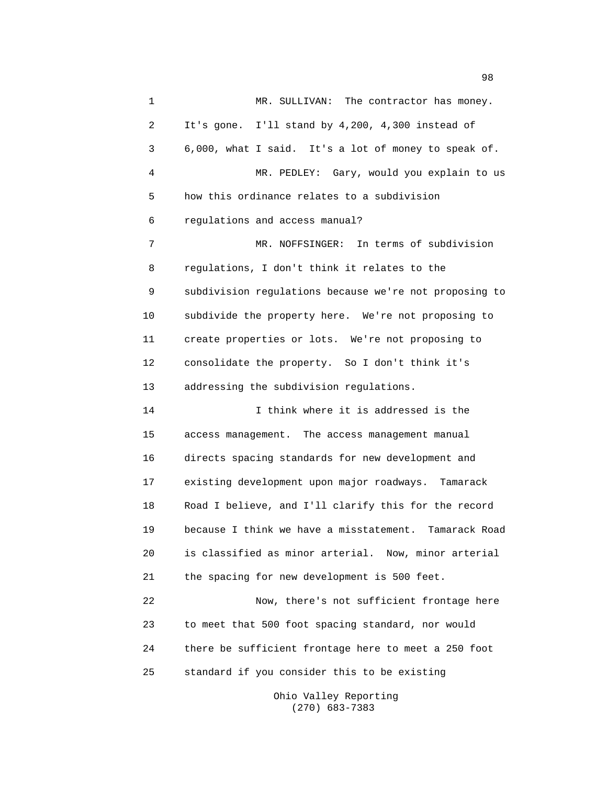1 MR. SULLIVAN: The contractor has money. 2 It's gone. I'll stand by 4,200, 4,300 instead of 3 6,000, what I said. It's a lot of money to speak of. 4 MR. PEDLEY: Gary, would you explain to us 5 how this ordinance relates to a subdivision 6 regulations and access manual? 7 MR. NOFFSINGER: In terms of subdivision 8 regulations, I don't think it relates to the 9 subdivision regulations because we're not proposing to 10 subdivide the property here. We're not proposing to 11 create properties or lots. We're not proposing to 12 consolidate the property. So I don't think it's 13 addressing the subdivision regulations. 14 I think where it is addressed is the 15 access management. The access management manual 16 directs spacing standards for new development and 17 existing development upon major roadways. Tamarack 18 Road I believe, and I'll clarify this for the record 19 because I think we have a misstatement. Tamarack Road 20 is classified as minor arterial. Now, minor arterial 21 the spacing for new development is 500 feet. 22 Now, there's not sufficient frontage here 23 to meet that 500 foot spacing standard, nor would 24 there be sufficient frontage here to meet a 250 foot 25 standard if you consider this to be existing

> Ohio Valley Reporting (270) 683-7383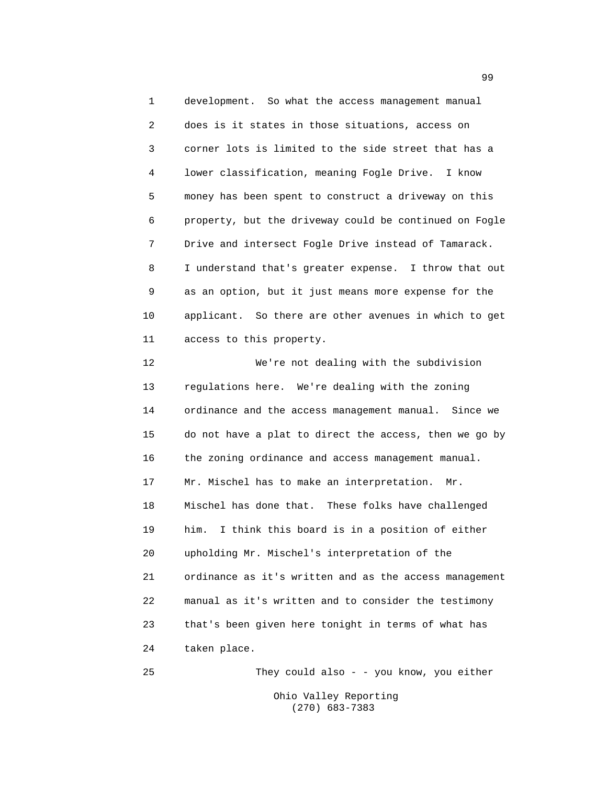1 development. So what the access management manual 2 does is it states in those situations, access on 3 corner lots is limited to the side street that has a 4 lower classification, meaning Fogle Drive. I know 5 money has been spent to construct a driveway on this 6 property, but the driveway could be continued on Fogle 7 Drive and intersect Fogle Drive instead of Tamarack. 8 I understand that's greater expense. I throw that out 9 as an option, but it just means more expense for the 10 applicant. So there are other avenues in which to get 11 access to this property.

12 We're not dealing with the subdivision 13 regulations here. We're dealing with the zoning 14 ordinance and the access management manual. Since we 15 do not have a plat to direct the access, then we go by 16 the zoning ordinance and access management manual. 17 Mr. Mischel has to make an interpretation. Mr. 18 Mischel has done that. These folks have challenged 19 him. I think this board is in a position of either 20 upholding Mr. Mischel's interpretation of the 21 ordinance as it's written and as the access management 22 manual as it's written and to consider the testimony 23 that's been given here tonight in terms of what has 24 taken place.

25 They could also - - you know, you either Ohio Valley Reporting (270) 683-7383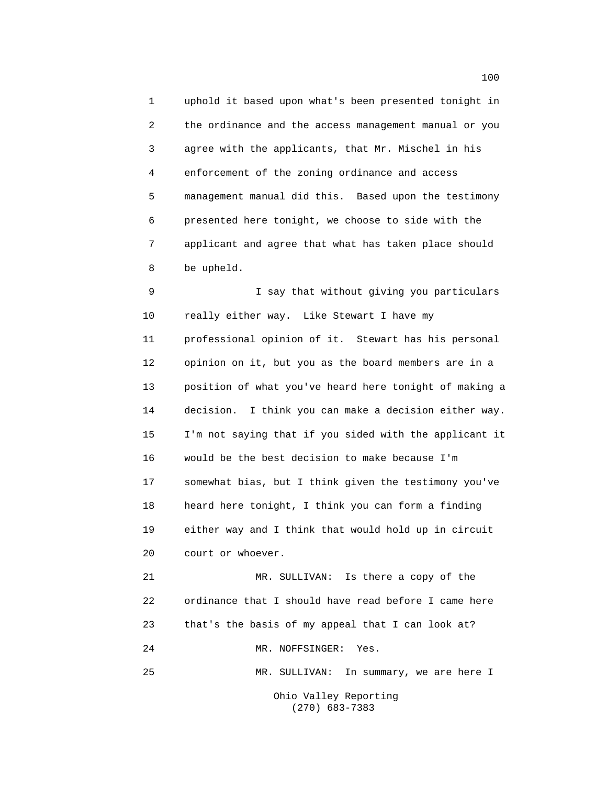1 uphold it based upon what's been presented tonight in 2 the ordinance and the access management manual or you 3 agree with the applicants, that Mr. Mischel in his 4 enforcement of the zoning ordinance and access 5 management manual did this. Based upon the testimony 6 presented here tonight, we choose to side with the 7 applicant and agree that what has taken place should 8 be upheld.

9 I say that without giving you particulars 10 really either way. Like Stewart I have my 11 professional opinion of it. Stewart has his personal 12 opinion on it, but you as the board members are in a 13 position of what you've heard here tonight of making a 14 decision. I think you can make a decision either way. 15 I'm not saying that if you sided with the applicant it 16 would be the best decision to make because I'm 17 somewhat bias, but I think given the testimony you've 18 heard here tonight, I think you can form a finding 19 either way and I think that would hold up in circuit 20 court or whoever.

21 MR. SULLIVAN: Is there a copy of the 22 ordinance that I should have read before I came here 23 that's the basis of my appeal that I can look at? 24 MR. NOFFSINGER: Yes.

25 MR. SULLIVAN: In summary, we are here I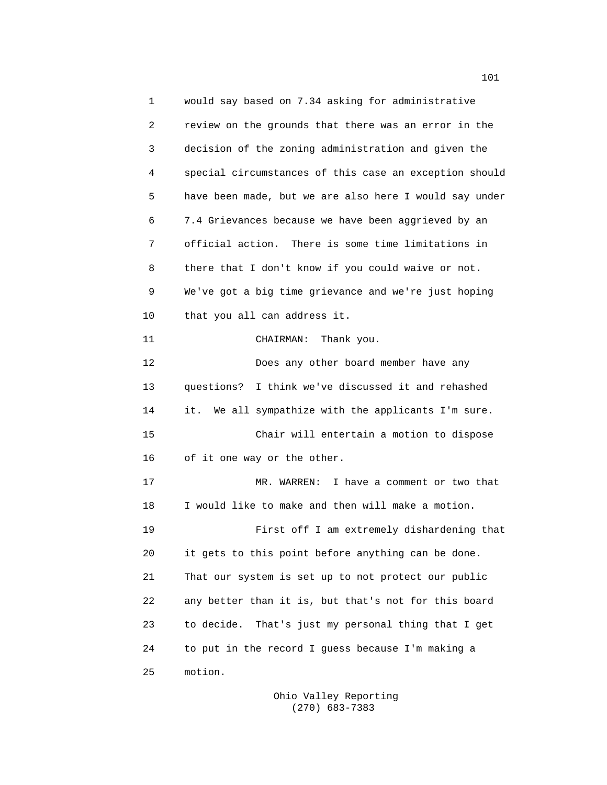1 would say based on 7.34 asking for administrative 2 review on the grounds that there was an error in the 3 decision of the zoning administration and given the 4 special circumstances of this case an exception should 5 have been made, but we are also here I would say under 6 7.4 Grievances because we have been aggrieved by an 7 official action. There is some time limitations in 8 there that I don't know if you could waive or not. 9 We've got a big time grievance and we're just hoping 10 that you all can address it. 11 CHAIRMAN: Thank you. 12 Does any other board member have any 13 questions? I think we've discussed it and rehashed 14 it. We all sympathize with the applicants I'm sure. 15 Chair will entertain a motion to dispose 16 of it one way or the other. 17 MR. WARREN: I have a comment or two that 18 I would like to make and then will make a motion. 19 First off I am extremely dishardening that 20 it gets to this point before anything can be done. 21 That our system is set up to not protect our public 22 any better than it is, but that's not for this board 23 to decide. That's just my personal thing that I get 24 to put in the record I guess because I'm making a 25 motion.

> Ohio Valley Reporting (270) 683-7383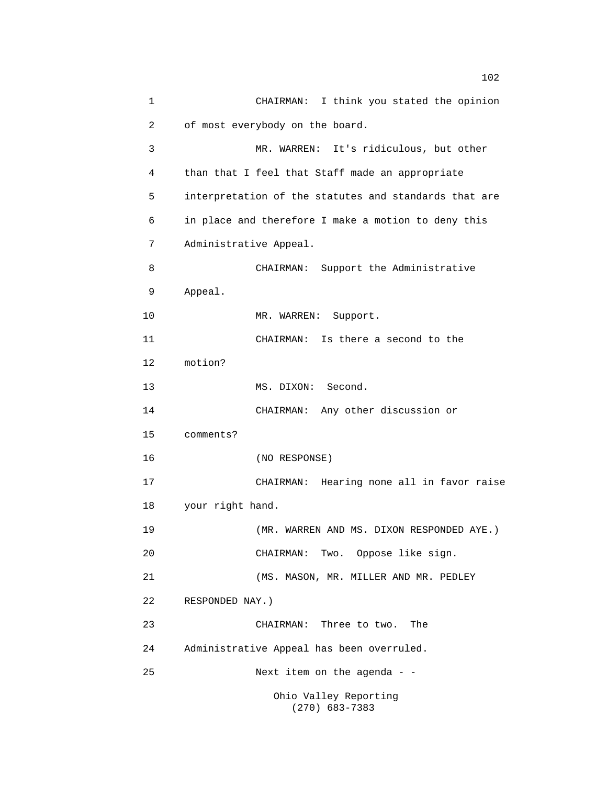1 CHAIRMAN: I think you stated the opinion 2 of most everybody on the board. 3 MR. WARREN: It's ridiculous, but other 4 than that I feel that Staff made an appropriate 5 interpretation of the statutes and standards that are 6 in place and therefore I make a motion to deny this 7 Administrative Appeal. 8 CHAIRMAN: Support the Administrative 9 Appeal. 10 MR. WARREN: Support. 11 CHAIRMAN: Is there a second to the 12 motion? 13 MS. DIXON: Second. 14 CHAIRMAN: Any other discussion or 15 comments? 16 (NO RESPONSE) 17 CHAIRMAN: Hearing none all in favor raise 18 your right hand. 19 (MR. WARREN AND MS. DIXON RESPONDED AYE.) 20 CHAIRMAN: Two. Oppose like sign. 21 (MS. MASON, MR. MILLER AND MR. PEDLEY 22 RESPONDED NAY.) 23 CHAIRMAN: Three to two. The 24 Administrative Appeal has been overruled. 25 Next item on the agenda - - Ohio Valley Reporting (270) 683-7383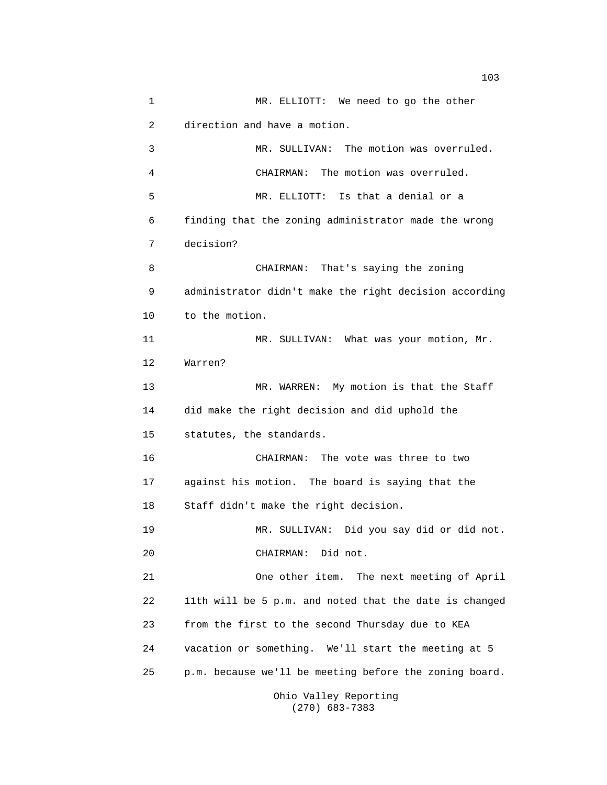1 MR. ELLIOTT: We need to go the other 2 direction and have a motion. 3 MR. SULLIVAN: The motion was overruled. 4 CHAIRMAN: The motion was overruled. 5 MR. ELLIOTT: Is that a denial or a 6 finding that the zoning administrator made the wrong 7 decision? 8 CHAIRMAN: That's saying the zoning 9 administrator didn't make the right decision according 10 to the motion. 11 MR. SULLIVAN: What was your motion, Mr. 12 Warren? 13 MR. WARREN: My motion is that the Staff 14 did make the right decision and did uphold the 15 statutes, the standards. 16 CHAIRMAN: The vote was three to two 17 against his motion. The board is saying that the 18 Staff didn't make the right decision. 19 MR. SULLIVAN: Did you say did or did not. 20 CHAIRMAN: Did not. 21 One other item. The next meeting of April 22 11th will be 5 p.m. and noted that the date is changed 23 from the first to the second Thursday due to KEA 24 vacation or something. We'll start the meeting at 5 25 p.m. because we'll be meeting before the zoning board.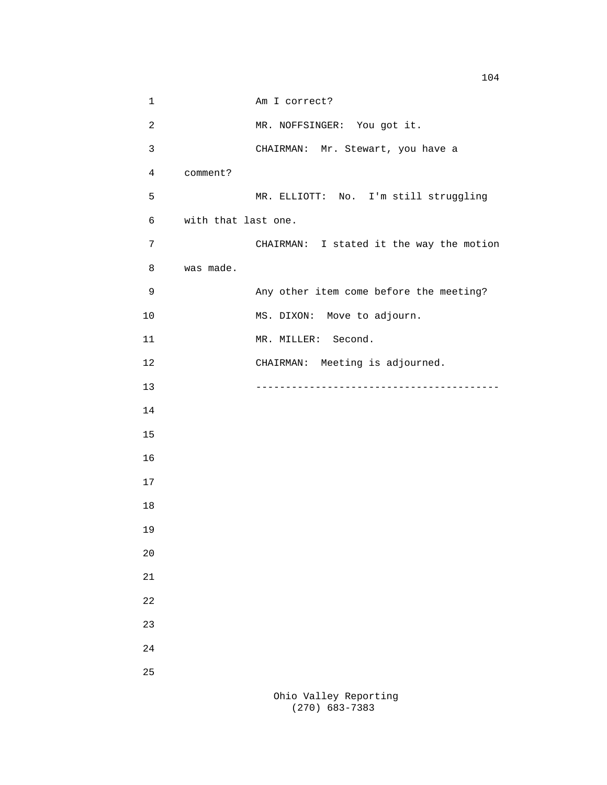1 Am I correct? 2 MR. NOFFSINGER: You got it. 3 CHAIRMAN: Mr. Stewart, you have a 4 comment? 5 MR. ELLIOTT: No. I'm still struggling 6 with that last one. 7 CHAIRMAN: I stated it the way the motion 8 was made. 9 Any other item come before the meeting? 10 MS. DIXON: Move to adjourn. 11 MR. MILLER: Second. 12 CHAIRMAN: Meeting is adjourned. 13 ----------------------------------------- 14 15 16 17 18 19 20 21 22 23 24 25